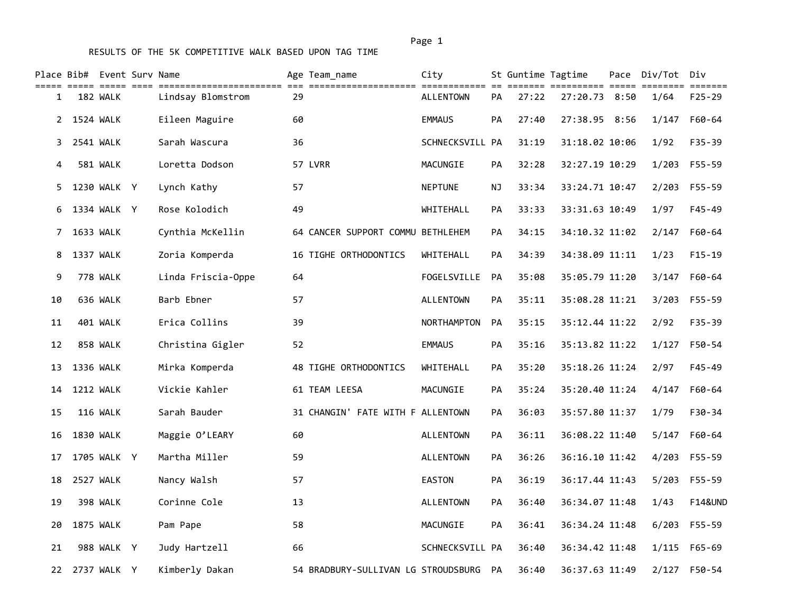|             | Place Bib# Event Surv Name | ----- ----- ---- |                    |    | Age Team name                       | City             |           | St Guntime Tagtime |                | Pace Div/Tot Div | $=$ = = = = = =    |
|-------------|----------------------------|------------------|--------------------|----|-------------------------------------|------------------|-----------|--------------------|----------------|------------------|--------------------|
| 1           |                            | 182 WALK         | Lindsay Blomstrom  | 29 |                                     | <b>ALLENTOWN</b> | PA        | 27:22              | 27:20.73 8:50  | 1/64             | $F25 - 29$         |
|             | 2 1524 WALK                |                  | Eileen Maguire     | 60 |                                     | <b>EMMAUS</b>    | PA        | 27:40              | 27:38.95 8:56  | 1/147            | F60-64             |
| 3           |                            | 2541 WALK        | Sarah Wascura      | 36 |                                     | SCHNECKSVILL PA  |           | 31:19              | 31:18.02 10:06 | 1/92             | F35-39             |
| 4           |                            | 581 WALK         | Loretta Dodson     |    | 57 LVRR                             | MACUNGIE         | <b>PA</b> | 32:28              | 32:27.19 10:29 | 1/203            | F55-59             |
| 5.          |                            | 1230 WALK Y      | Lynch Kathy        | 57 |                                     | <b>NEPTUNE</b>   | ΝJ        | 33:34              | 33:24.71 10:47 |                  | 2/203 F55-59       |
| 6           |                            | 1334 WALK Y      | Rose Kolodich      | 49 |                                     | WHITEHALL        | <b>PA</b> | 33:33              | 33:31.63 10:49 | 1/97             | $F45 - 49$         |
| $7^{\circ}$ |                            | 1633 WALK        | Cynthia McKellin   |    | 64 CANCER SUPPORT COMMU BETHLEHEM   |                  | <b>PA</b> | 34:15              | 34:10.32 11:02 | 2/147            | F60-64             |
| 8           | 1337 WALK                  |                  | Zoria Komperda     |    | 16 TIGHE ORTHODONTICS               | WHITEHALL        | PA        | 34:39              | 34:38.09 11:11 | 1/23             | $F15-19$           |
| 9           |                            | 778 WALK         | Linda Friscia-Oppe | 64 |                                     | FOGELSVILLE      | PA        | 35:08              | 35:05.79 11:20 | 3/147            | F60-64             |
| 10          |                            | 636 WALK         | Barb Ebner         | 57 |                                     | <b>ALLENTOWN</b> | PA        | 35:11              | 35:08.28 11:21 | 3/203            | F55-59             |
| 11          |                            | 401 WALK         | Erica Collins      | 39 |                                     | NORTHAMPTON      | PA        | 35:15              | 35:12.44 11:22 | 2/92             | $F35 - 39$         |
| 12          |                            | 858 WALK         | Christina Gigler   | 52 |                                     | <b>EMMAUS</b>    | PA        | 35:16              | 35:13.82 11:22 | 1/127            | F50-54             |
| 13          |                            | 1336 WALK        | Mirka Komperda     |    | 48 TIGHE ORTHODONTICS               | WHITEHALL        | PA        | 35:20              | 35:18.26 11:24 | 2/97             | $F45 - 49$         |
| 14          |                            | <b>1212 WALK</b> | Vickie Kahler      |    | 61 TEAM LEESA                       | MACUNGIE         | <b>PA</b> | 35:24              | 35:20.40 11:24 | 4/147            | F60-64             |
| 15          |                            | 116 WALK         | Sarah Bauder       |    | 31 CHANGIN' FATE WITH F ALLENTOWN   |                  | PA        | 36:03              | 35:57.80 11:37 | 1/79             | F30-34             |
| 16          |                            | 1830 WALK        | Maggie O'LEARY     | 60 |                                     | <b>ALLENTOWN</b> | PA        | 36:11              | 36:08.22 11:40 | 5/147            | F60-64             |
| 17          |                            | 1705 WALK Y      | Martha Miller      | 59 |                                     | <b>ALLENTOWN</b> | <b>PA</b> | 36:26              | 36:16.10 11:42 |                  | 4/203 F55-59       |
| 18          |                            | 2527 WALK        | Nancy Walsh        | 57 |                                     | <b>EASTON</b>    | PA        | 36:19              | 36:17.44 11:43 | 5/203            | F55-59             |
| 19          |                            | 398 WALK         | Corinne Cole       | 13 |                                     | <b>ALLENTOWN</b> | <b>PA</b> | 36:40              | 36:34.07 11:48 | 1/43             | <b>F14&amp;UND</b> |
| 20          |                            | 1875 WALK        | Pam Pape           | 58 |                                     | MACUNGIE         | <b>PA</b> | 36:41              | 36:34.24 11:48 |                  | 6/203 F55-59       |
| 21          |                            | 988 WALK Y       | Judy Hartzell      | 66 |                                     | SCHNECKSVILL PA  |           | 36:40              | 36:34.42 11:48 |                  | 1/115 F65-69       |
| 22          |                            | 2737 WALK Y      | Kimberly Dakan     |    | 54 BRADBURY-SULLIVAN LG STROUDSBURG |                  | PA        | 36:40              | 36:37.63 11:49 |                  | 2/127 F50-54       |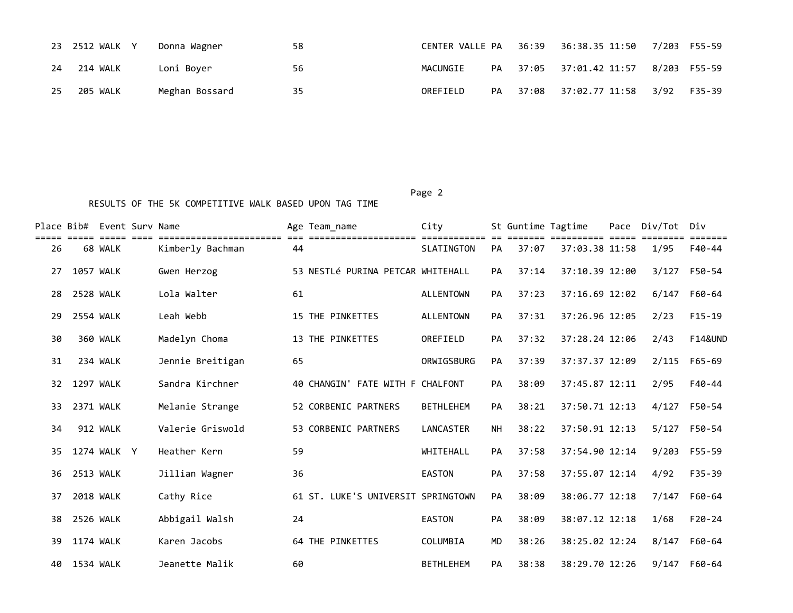|    | 23 2512 WALK Y | Donna Wagner   | 58 |          |  |                                      |  |
|----|----------------|----------------|----|----------|--|--------------------------------------|--|
| 24 | 214 WALK       | Loni Bover     | 56 | MACUNGIE |  | PA 37:05 37:01.42 11:57 8/203 F55-59 |  |
| 25 | 205 WALK       | Meghan Bossard | 35 | OREFIELD |  | PA 37:08 37:02.77 11:58 3/92 F35-39  |  |

|    |                  | Place Bib# Event Surv Name |                  |    | Age Team name                      | City              |           | St Guntime Tagtime |                | Pace | Div/Tot | Div                |
|----|------------------|----------------------------|------------------|----|------------------------------------|-------------------|-----------|--------------------|----------------|------|---------|--------------------|
| 26 |                  | 68 WALK                    | Kimberly Bachman | 44 |                                    | <b>SLATINGTON</b> | PA        | 37:07              | 37:03.38 11:58 |      | 1/95    | F40-44             |
| 27 | <b>1057 WALK</b> |                            | Gwen Herzog      |    | 53 NESTLÉ PURINA PETCAR WHITEHALL  |                   | PA        | 37:14              | 37:10.39 12:00 |      | 3/127   | F50-54             |
| 28 | <b>2528 WALK</b> |                            | Lola Walter      | 61 |                                    | <b>ALLENTOWN</b>  | PA        | 37:23              | 37:16.69 12:02 |      | 6/147   | F60-64             |
| 29 | 2554 WALK        |                            | Leah Webb        |    | <b>15 THE PINKETTES</b>            | <b>ALLENTOWN</b>  | <b>PA</b> | 37:31              | 37:26.96 12:05 |      | 2/23    | $F15-19$           |
| 30 |                  | 360 WALK                   | Madelyn Choma    |    | 13 THE PINKETTES                   | OREFIELD          | <b>PA</b> | 37:32              | 37:28.24 12:06 |      | 2/43    | <b>F14&amp;UND</b> |
| 31 |                  | 234 WALK                   | Jennie Breitigan | 65 |                                    | ORWIGSBURG        | <b>PA</b> | 37:39              | 37:37.37 12:09 |      | 2/115   | F65-69             |
| 32 | 1297 WALK        |                            | Sandra Kirchner  |    | 40 CHANGIN' FATE WITH F CHALFONT   |                   | <b>PA</b> | 38:09              | 37:45.87 12:11 |      | 2/95    | F40-44             |
| 33 | 2371 WALK        |                            | Melanie Strange  |    | 52 CORBENIC PARTNERS               | <b>BETHLEHEM</b>  | <b>PA</b> | 38:21              | 37:50.71 12:13 |      | 4/127   | F50-54             |
| 34 |                  | 912 WALK                   | Valerie Griswold |    | 53 CORBENIC PARTNERS               | LANCASTER         | <b>NH</b> | 38:22              | 37:50.91 12:13 |      | 5/127   | F50-54             |
| 35 |                  | 1274 WALK Y                | Heather Kern     | 59 |                                    | WHITEHALL         | <b>PA</b> | 37:58              | 37:54.90 12:14 |      |         | 9/203 F55-59       |
| 36 | 2513 WALK        |                            | Jillian Wagner   | 36 |                                    | <b>EASTON</b>     | <b>PA</b> | 37:58              | 37:55.07 12:14 |      | 4/92    | $F35 - 39$         |
| 37 | <b>2018 WALK</b> |                            | Cathy Rice       |    | 61 ST. LUKE'S UNIVERSIT SPRINGTOWN |                   | PA        | 38:09              | 38:06.77 12:18 |      | 7/147   | F60-64             |
| 38 | 2526 WALK        |                            | Abbigail Walsh   | 24 |                                    | <b>EASTON</b>     | <b>PA</b> | 38:09              | 38:07.12 12:18 |      | 1/68    | $F20-24$           |
| 39 | 1174 WALK        |                            | Karen Jacobs     |    | 64 THE PINKETTES                   | COLUMBIA          | <b>MD</b> | 38:26              | 38:25.02 12:24 |      | 8/147   | F60-64             |
| 40 | 1534 WALK        |                            | Jeanette Malik   | 60 |                                    | <b>BETHLEHEM</b>  | PA        | 38:38              | 38:29.70 12:26 |      | 9/147   | F60-64             |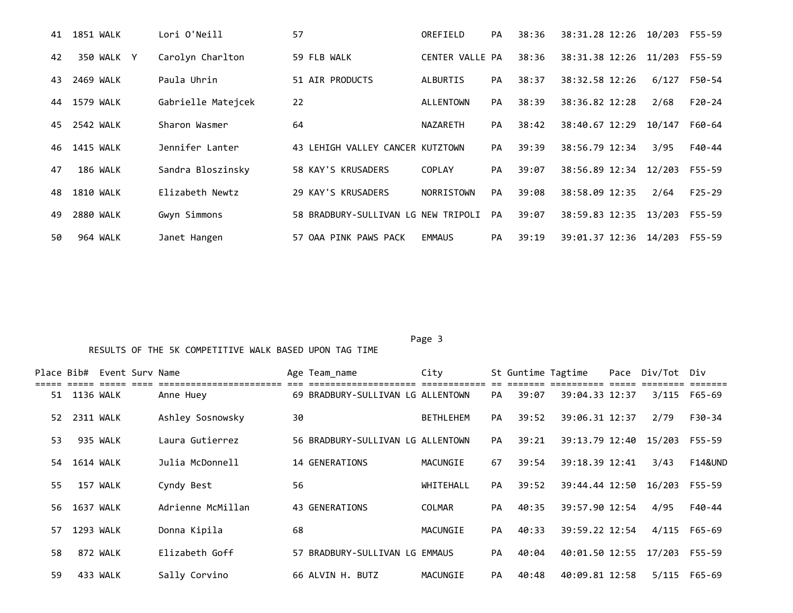| 41 | 1851 WALK        | Lori O'Neill       | 57                                  | OREFIELD        | <b>PA</b> | 38:36 | 38:31.28 12:26        | 10/203 | F55-59     |
|----|------------------|--------------------|-------------------------------------|-----------------|-----------|-------|-----------------------|--------|------------|
| 42 | 350 WALK Y       | Carolyn Charlton   | 59 FLB WALK                         | CENTER VALLE PA |           | 38:36 | 38:31.38 12:26 11/203 |        | $F55 - 59$ |
| 43 | 2469 WALK        | Paula Uhrin        | 51 AIR PRODUCTS                     | ALBURTIS        | <b>PA</b> | 38:37 | 38:32.58 12:26        | 6/127  | F50-54     |
| 44 | 1579 WALK        | Gabrielle Matejcek | 22                                  | ALLENTOWN       | PA        | 38:39 | 38:36.82 12:28        | 2/68   | $F20-24$   |
| 45 | 2542 WALK        | Sharon Wasmer      | 64                                  | <b>NAZARETH</b> | PA        | 38:42 | 38:40.67 12:29        | 10/147 | F60-64     |
| 46 | 1415 WALK        | Jennifer Lanter    | 43 LEHIGH VALLEY CANCER KUTZTOWN    |                 | PA        | 39:39 | 38:56.79 12:34        | 3/95   | F40-44     |
| 47 | 186 WALK         | Sandra Bloszinsky  | 58 KAY'S KRUSADERS                  | <b>COPLAY</b>   | PA        | 39:07 | 38:56.89 12:34        | 12/203 | F55-59     |
| 48 | <b>1810 WALK</b> | Elizabeth Newtz    | 29 KAY'S KRUSADERS                  | NORRISTOWN      | PA        | 39:08 | 38:58.09 12:35        | 2/64   | $F25 - 29$ |
| 49 | 2880 WALK        | Gwyn Simmons       | 58 BRADBURY-SULLIVAN LG NEW TRIPOLI |                 | PA        | 39:07 | 38:59.83 12:35        | 13/203 | F55-59     |
| 50 | 964 WALK         | Janet Hangen       | 57 OAA PINK PAWS PACK               | <b>EMMAUS</b>   | PA        | 39:19 | 39:01.37 12:36 14/203 |        | F55-59     |

Page 3 and 2012 and 2012 and 2012 and 2012 and 2012 and 2012 and 2012 and 2012 and 2012 and 2012 and 2012 and

|    |                  | Place Bib# Event Surv Name |                   |    | Age Team_name                     | City             |           |       | St Guntime Tagtime    | Pace Div/Tot Div |                    |
|----|------------------|----------------------------|-------------------|----|-----------------------------------|------------------|-----------|-------|-----------------------|------------------|--------------------|
| 51 | 1136 WALK        |                            | Anne Huey         |    | 69 BRADBURY-SULLIVAN LG ALLENTOWN |                  | PA        | 39:07 | 39:04.33 12:37        | 3/115            | F65-69             |
| 52 | 2311 WALK        |                            | Ashley Sosnowsky  | 30 |                                   | <b>BETHLEHEM</b> | PA        | 39:52 | 39:06.31 12:37        | 2/79             | F30-34             |
| 53 |                  | 935 WALK                   | Laura Gutierrez   |    | 56 BRADBURY-SULLIVAN LG ALLENTOWN |                  | <b>PA</b> | 39:21 | 39:13.79 12:40 15/203 |                  | F55-59             |
| 54 | <b>1614 WALK</b> |                            | Julia McDonnell   |    | 14 GENERATIONS                    | MACUNGIE         | 67        | 39:54 | 39:18.39 12:41        | 3/43             | <b>F14&amp;UND</b> |
| 55 |                  | 157 WALK                   | Cyndy Best        | 56 |                                   | WHITEHALL        | PA        | 39:52 | 39:44.44 12:50        | 16/203           | F55-59             |
| 56 | 1637 WALK        |                            | Adrienne McMillan |    | 43 GENERATIONS                    | COLMAR           | PA        | 40:35 | 39:57.90 12:54        | 4/95             | F40-44             |
| 57 | 1293 WALK        |                            | Donna Kipila      | 68 |                                   | MACUNGIE         | PA        | 40:33 | 39:59.22 12:54        | 4/115            | $F65 - 69$         |
| 58 |                  | 872 WALK                   | Elizabeth Goff    |    | 57 BRADBURY-SULLIVAN LG EMMAUS    |                  | <b>PA</b> | 40:04 | 40:01.50 12:55        | 17/203           | F55-59             |
| 59 |                  | 433 WALK                   | Sally Corvino     |    | 66 ALVIN H. BUTZ                  | MACUNGIE         | PA        | 40:48 | 40:09.81 12:58        | 5/115            | F65-69             |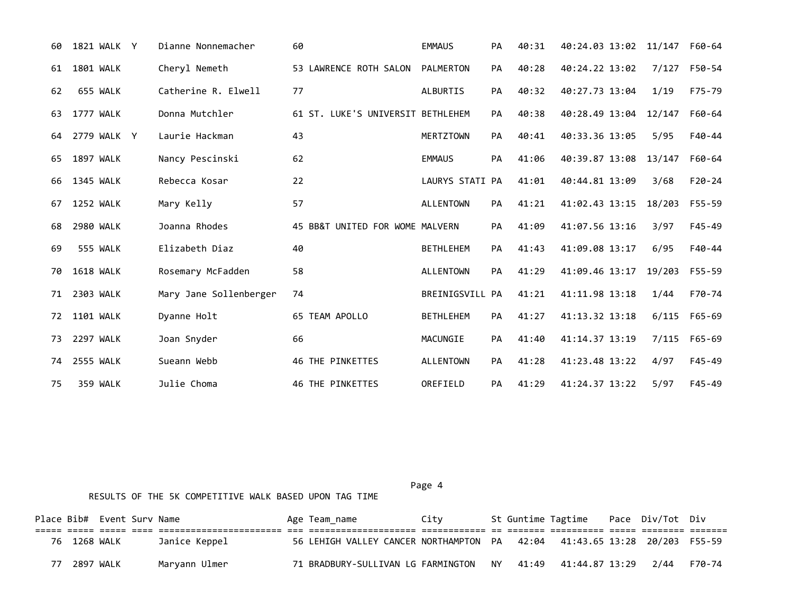| 60 | 1821 WALK Y      | Dianne Nonnemacher     | 60                                | <b>EMMAUS</b>    | PA        | 40:31 | 40:24.03 13:02 11/147 |        | F60-64     |
|----|------------------|------------------------|-----------------------------------|------------------|-----------|-------|-----------------------|--------|------------|
| 61 | <b>1801 WALK</b> | Cheryl Nemeth          | 53 LAWRENCE ROTH SALON            | <b>PALMERTON</b> | PA        | 40:28 | 40:24.22 13:02        | 7/127  | F50-54     |
| 62 | 655 WALK         | Catherine R. Elwell    | 77                                | <b>ALBURTIS</b>  | PA        | 40:32 | 40:27.73 13:04        | 1/19   | F75-79     |
| 63 | <b>1777 WALK</b> | Donna Mutchler         | 61 ST. LUKE'S UNIVERSIT BETHLEHEM |                  | PA        | 40:38 | 40:28.49 13:04        | 12/147 | F60-64     |
| 64 | 2779 WALK Y      | Laurie Hackman         | 43                                | <b>MERTZTOWN</b> | <b>PA</b> | 40:41 | 40:33.36 13:05        | 5/95   | F40-44     |
| 65 | <b>1897 WALK</b> | Nancy Pescinski        | 62                                | <b>EMMAUS</b>    | PA        | 41:06 | 40:39.87 13:08        | 13/147 | F60-64     |
| 66 | <b>1345 WALK</b> | Rebecca Kosar          | 22                                | LAURYS STATI PA  |           | 41:01 | 40:44.81 13:09        | 3/68   | $F20 - 24$ |
| 67 | 1252 WALK        | Mary Kelly             | 57                                | <b>ALLENTOWN</b> | PA        | 41:21 | 41:02.43 13:15        | 18/203 | $F55 - 59$ |
| 68 | 2980 WALK        | Joanna Rhodes          | 45 BB&T UNITED FOR WOME MALVERN   |                  | <b>PA</b> | 41:09 | 41:07.56 13:16        | 3/97   | $F45 - 49$ |
| 69 | 555 WALK         | Elizabeth Diaz         | 40                                | <b>BETHLEHEM</b> | PA        | 41:43 | 41:09.08 13:17        | 6/95   | F40-44     |
| 70 | <b>1618 WALK</b> | Rosemary McFadden      | 58                                | <b>ALLENTOWN</b> | PA        | 41:29 | 41:09.46 13:17        | 19/203 | F55-59     |
| 71 | 2303 WALK        | Mary Jane Sollenberger | 74                                | BREINIGSVILL PA  |           | 41:21 | 41:11.98 13:18        | 1/44   | F70-74     |
| 72 | 1101 WALK        | Dyanne Holt            | 65 TEAM APOLLO                    | <b>BETHLEHEM</b> | PA        | 41:27 | 41:13.32 13:18        | 6/115  | F65-69     |
| 73 | 2297 WALK        | Joan Snyder            | 66                                | MACUNGIE         | PA        | 41:40 | 41:14.37 13:19        | 7/115  | F65-69     |
| 74 | <b>2555 WALK</b> | Sueann Webb            | <b>46 THE PINKETTES</b>           | <b>ALLENTOWN</b> | PA        | 41:28 | 41:23.48 13:22        | 4/97   | $F45 - 49$ |
| 75 | 359 WALK         | Julie Choma            | 46 THE PINKETTES                  | OREFIELD         | PA        | 41:29 | 41:24.37 13:22        | 5/97   | $F45 - 49$ |

Place Bib# Event Surv Name  $\overline{A}$  Age Team\_name  $\overline{C}$  City St Guntime Tagtime Pace Div/Tot Div ===== ===== ===== ==== ======================= === ==================== ============ == ======= ========== ===== ======== ======= 76 1268 WALK Janice Keppel 56 LEHIGH VALLEY CANCER NORTHAMPTON PA 42:04 41:43.65 13:28 20/203 F55-59 77 2897 WALK Maryann Ulmer 71 BRADBURY-SULLIVAN LG FARMINGTON NY 41:49 41:44.87 13:29 2/44 F70-74

Page 4 and the state of the state of the state of the state of the state of the state of the state of the state of the state of the state of the state of the state of the state of the state of the state of the state of the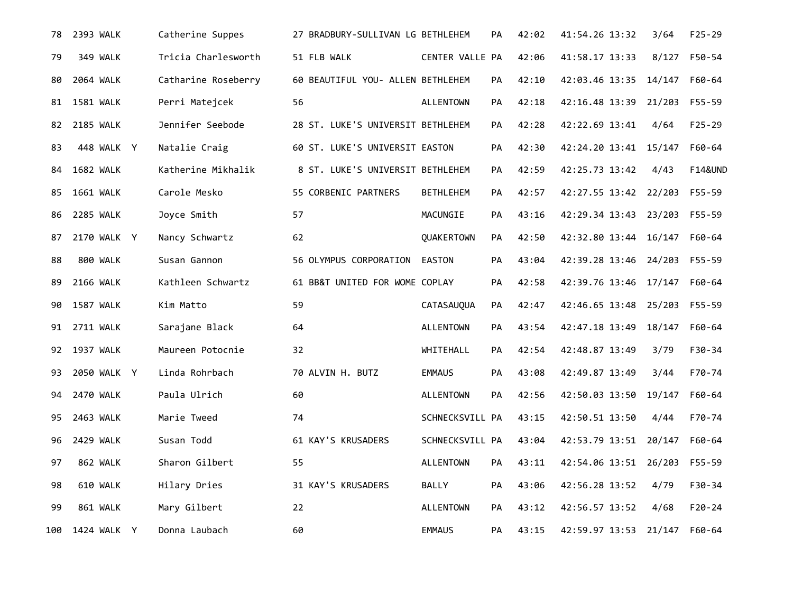| 78  | 2393 WALK        | Catherine Suppes    | 27 BRADBURY-SULLIVAN LG BETHLEHEM |                  | PA        | 42:02 | 41:54.26 13:32               | 3/64   | $F25 - 29$         |
|-----|------------------|---------------------|-----------------------------------|------------------|-----------|-------|------------------------------|--------|--------------------|
| 79  | 349 WALK         | Tricia Charlesworth | 51 FLB WALK                       | CENTER VALLE PA  |           | 42:06 | 41:58.17 13:33               | 8/127  | F50-54             |
| 80  | 2064 WALK        | Catharine Roseberry | 60 BEAUTIFUL YOU- ALLEN BETHLEHEM |                  | PA        | 42:10 | 42:03.46 13:35 14/147 F60-64 |        |                    |
| 81  | 1581 WALK        | Perri Matejcek      | 56                                | ALLENTOWN        | <b>PA</b> | 42:18 | 42:16.48 13:39 21/203        |        | F55-59             |
| 82  | 2185 WALK        | Jennifer Seebode    | 28 ST. LUKE'S UNIVERSIT BETHLEHEM |                  | PA        | 42:28 | 42:22.69 13:41               | 4/64   | $F25 - 29$         |
| 83  | 448 WALK Y       | Natalie Craig       | 60 ST. LUKE'S UNIVERSIT EASTON    |                  | PA        | 42:30 | 42:24.20 13:41 15/147        |        | F60-64             |
| 84  | 1682 WALK        | Katherine Mikhalik  | 8 ST. LUKE'S UNIVERSIT BETHLEHEM  |                  | PA        | 42:59 | 42:25.73 13:42               | 4/43   | <b>F14&amp;UND</b> |
| 85  | 1661 WALK        | Carole Mesko        | 55 CORBENIC PARTNERS              | <b>BETHLEHEM</b> | PA        | 42:57 | 42:27.55 13:42 22/203        |        | F55-59             |
| 86  | <b>2285 WALK</b> | Joyce Smith         | 57                                | MACUNGIE         | PA        | 43:16 | 42:29.34 13:43 23/203 F55-59 |        |                    |
| 87  | 2170 WALK Y      | Nancy Schwartz      | 62                                | QUAKERTOWN       | PA        | 42:50 | 42:32.80 13:44 16/147        |        | F60-64             |
| 88  | 800 WALK         | Susan Gannon        | 56 OLYMPUS CORPORATION EASTON     |                  | PA        | 43:04 | 42:39.28 13:46 24/203 F55-59 |        |                    |
| 89  | 2166 WALK        | Kathleen Schwartz   | 61 BB&T UNITED FOR WOME COPLAY    |                  | PA        | 42:58 | 42:39.76 13:46 17/147 F60-64 |        |                    |
| 90  | 1587 WALK        | Kim Matto           | 59                                | CATASAUQUA       | PA        | 42:47 | 42:46.65 13:48 25/203 F55-59 |        |                    |
| 91  | <b>2711 WALK</b> | Sarajane Black      | 64                                | ALLENTOWN        | PA        | 43:54 | 42:47.18 13:49               | 18/147 | F60-64             |
|     | 92 1937 WALK     | Maureen Potocnie    | 32                                | WHITEHALL        | PA        | 42:54 | 42:48.87 13:49               | 3/79   | F30-34             |
| 93  | 2050 WALK Y      | Linda Rohrbach      | 70 ALVIN H. BUTZ                  | <b>EMMAUS</b>    | PA        | 43:08 | 42:49.87 13:49               | 3/44   | F70-74             |
| 94  | 2470 WALK        | Paula Ulrich        | 60                                | <b>ALLENTOWN</b> | PA        | 42:56 | 42:50.03 13:50               | 19/147 | F60-64             |
| 95  | 2463 WALK        | Marie Tweed         | 74                                | SCHNECKSVILL PA  |           | 43:15 | 42:50.51 13:50               | 4/44   | F70-74             |
| 96  | 2429 WALK        | Susan Todd          | 61 KAY'S KRUSADERS                | SCHNECKSVILL PA  |           | 43:04 | 42:53.79 13:51               | 20/147 | F60-64             |
| 97  | 862 WALK         | Sharon Gilbert      | 55                                | ALLENTOWN        | PA        | 43:11 | 42:54.06 13:51 26/203        |        | F55-59             |
| 98  | 610 WALK         | Hilary Dries        | 31 KAY'S KRUSADERS                | BALLY            | PA        | 43:06 | 42:56.28 13:52               | 4/79   | F30-34             |
| 99  | 861 WALK         | Mary Gilbert        | 22                                | <b>ALLENTOWN</b> | PA.       | 43:12 | 42:56.57 13:52               | 4/68   | $F20 - 24$         |
| 100 | 1424 WALK Y      | Donna Laubach       | 60                                | <b>EMMAUS</b>    | PA        | 43:15 | 42:59.97 13:53               | 21/147 | F60-64             |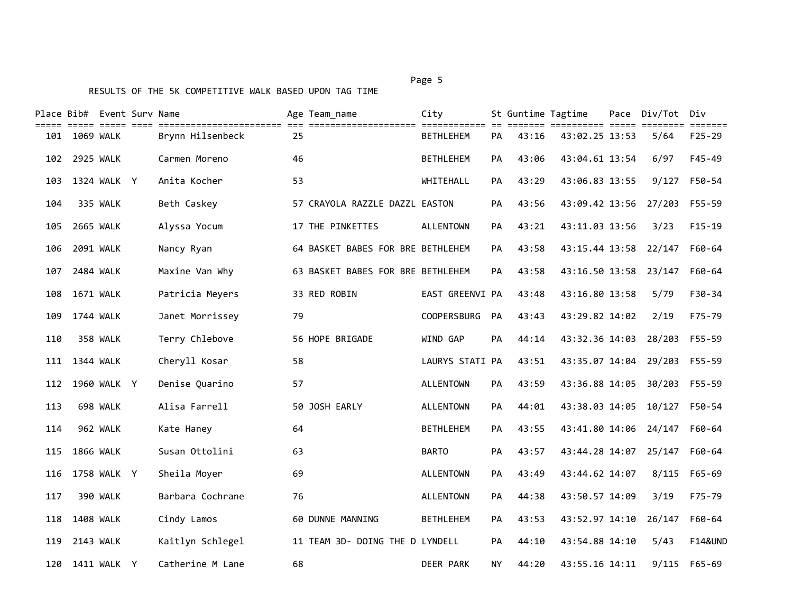|     | Place Bib# Event Surv Name | eesse sees      |                                                     |    | Age Team name                     | City                             |           |       | St Guntime Tagtime           | Pace Div/Tot | Div<br>======      |
|-----|----------------------------|-----------------|-----------------------------------------------------|----|-----------------------------------|----------------------------------|-----------|-------|------------------------------|--------------|--------------------|
| 101 | 1069 WALK                  |                 | ===============================<br>Brynn Hilsenbeck | 25 | ====================              | ============<br><b>BETHLEHEM</b> | PА        | 43:16 | ======<br>43:02.25 13:53     | 5/64         | $F25 - 29$         |
| 102 | 2925 WALK                  |                 | Carmen Moreno                                       | 46 |                                   | <b>BETHLEHEM</b>                 | PA        | 43:06 | 43:04.61 13:54               | 6/97         | $F45 - 49$         |
| 103 |                            | 1324 WALK Y     | Anita Kocher                                        | 53 |                                   | WHITEHALL                        | РA        | 43:29 | 43:06.83 13:55               | 9/127        | F50-54             |
| 104 |                            | 335 WALK        | Beth Caskey                                         |    | 57 CRAYOLA RAZZLE DAZZL EASTON    |                                  | <b>PA</b> | 43:56 | 43:09.42 13:56 27/203 F55-59 |              |                    |
| 105 | 2665 WALK                  |                 | Alyssa Yocum                                        |    | 17 THE PINKETTES                  | ALLENTOWN                        | PA        | 43:21 | 43:11.03 13:56               | 3/23         | $F15-19$           |
| 106 | 2091 WALK                  |                 | Nancy Ryan                                          |    | 64 BASKET BABES FOR BRE BETHLEHEM |                                  | <b>PA</b> | 43:58 | 43:15.44 13:58               | 22/147       | F60-64             |
| 107 | 2484 WALK                  |                 | Maxine Van Why                                      |    | 63 BASKET BABES FOR BRE BETHLEHEM |                                  | PA        | 43:58 | 43:16.50 13:58               | 23/147       | F60-64             |
| 108 | 1671 WALK                  |                 | Patricia Meyers                                     |    | 33 RED ROBIN                      | EAST GREENVI PA                  |           | 43:48 | 43:16.80 13:58               | 5/79         | F30-34             |
| 109 | 1744 WALK                  |                 | Janet Morrissey                                     | 79 |                                   | <b>COOPERSBURG</b>               | <b>PA</b> | 43:43 | 43:29.82 14:02               | 2/19         | F75-79             |
| 110 |                            | 358 WALK        | Terry Chlebove                                      |    | 56 HOPE BRIGADE                   | WIND GAP                         | PA        | 44:14 | 43:32.36 14:03               | 28/203       | F55-59             |
| 111 | 1344 WALK                  |                 | Cheryll Kosar                                       | 58 |                                   | LAURYS STATI PA                  |           | 43:51 | 43:35.07 14:04 29/203        |              | F55-59             |
| 112 |                            | 1960 WALK Y     | Denise Quarino                                      | 57 |                                   | <b>ALLENTOWN</b>                 | PA        | 43:59 | 43:36.88 14:05               | 30/203       | F55-59             |
| 113 |                            | 698 WALK        | Alisa Farrell                                       |    | 50 JOSH EARLY                     | <b>ALLENTOWN</b>                 | PA        | 44:01 | 43:38.03 14:05               | 10/127       | F50-54             |
| 114 |                            | 962 WALK        | Kate Haney                                          | 64 |                                   | <b>BETHLEHEM</b>                 | PA        | 43:55 | 43:41.80 14:06               | 24/147       | F60-64             |
| 115 | <b>1866 WALK</b>           |                 | Susan Ottolini                                      | 63 |                                   | <b>BARTO</b>                     | PA        | 43:57 | 43:44.28 14:07 25/147        |              | F60-64             |
| 116 |                            | 1758 WALK Y     | Sheila Moyer                                        | 69 |                                   | <b>ALLENTOWN</b>                 | <b>PA</b> | 43:49 | 43:44.62 14:07               | 8/115        | F65-69             |
| 117 |                            | <b>390 WALK</b> | Barbara Cochrane                                    | 76 |                                   | <b>ALLENTOWN</b>                 | PA        | 44:38 | 43:50.57 14:09               | 3/19         | F75-79             |
| 118 | <b>1408 WALK</b>           |                 | Cindy Lamos                                         |    | 60 DUNNE MANNING                  | <b>BETHLEHEM</b>                 | PA        | 43:53 | 43:52.97 14:10               | 26/147       | F60-64             |
| 119 | 2143 WALK                  |                 | Kaitlyn Schlegel                                    |    | 11 TEAM 3D- DOING THE D LYNDELL   |                                  | <b>PA</b> | 44:10 | 43:54.88 14:10               | 5/43         | <b>F14&amp;UND</b> |
| 120 |                            | 1411 WALK Y     | Catherine M Lane                                    | 68 |                                   | <b>DEER PARK</b>                 | ΝY        | 44:20 | 43:55.16 14:11               | 9/115        | F65-69             |

Page 5 and 2012 and 2012 and 2012 and 2012 and 2012 and 2012 and 2012 and 2012 and 2012 and 2012 and 2012 and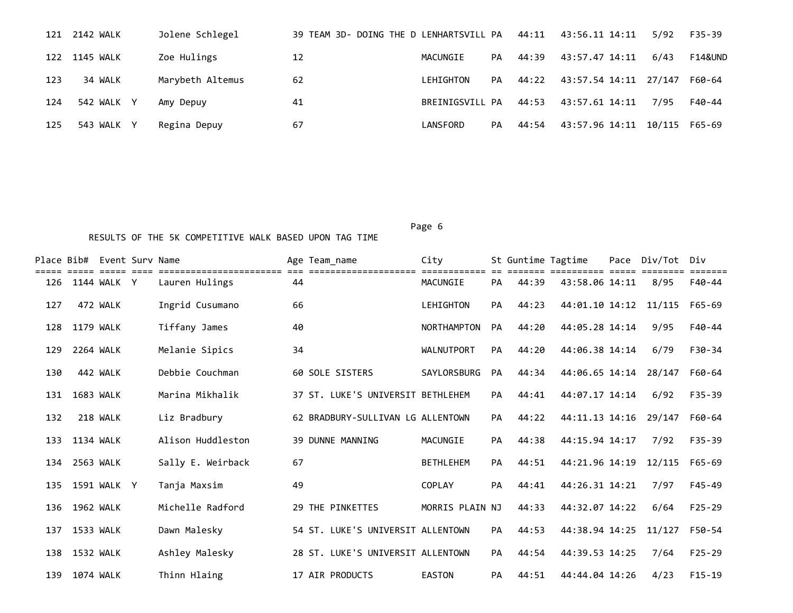| 121 | 2142 WALK  | Jolene Schlegel  | 39 TEAM 3D- DOING THE D LENHARTSVILL PA |                 |    | 44:11 | 43:56.11 14:11        | 5/92          | F35-39  |
|-----|------------|------------------|-----------------------------------------|-----------------|----|-------|-----------------------|---------------|---------|
| 122 | 1145 WALK  | Zoe Hulings      | 12                                      | MACUNGIE        | PA | 44:39 | 43:57.47 14:11        | 6/43          | F14&UND |
| 123 | 34 WALK    | Marybeth Altemus | 62                                      | LEHIGHTON       | PA | 44:22 | 43:57.54 14:11 27/147 |               | F60-64  |
| 124 | 542 WALK Y | Amy Depuy        | 41                                      | BREINIGSVILL PA |    | 44:53 | 43:57.61 14:11        | 7/95          | F40-44  |
| 125 | 543 WALK   | Regina Depuy     | 67                                      | LANSFORD        | PA | 44:54 | 43:57.96 14:11        | 10/115 F65-69 |         |

Page 6 and the contract of the contract of the contract of the contract of the contract of the contract of the

|     |           | Place Bib# Event Surv Name |                   |    | Age Team name                     | City             |           | St Guntime Tagtime |                | Pace | Div/Tot       | Div        |  |
|-----|-----------|----------------------------|-------------------|----|-----------------------------------|------------------|-----------|--------------------|----------------|------|---------------|------------|--|
| 126 |           | 1144 WALK Y                | Lauren Hulings    | 44 |                                   | MACUNGIE         | <b>PA</b> | 44:39              | 43:58.06 14:11 |      | 8/95          | F40-44     |  |
| 127 |           | 472 WALK                   | Ingrid Cusumano   | 66 |                                   | LEHIGHTON        | <b>PA</b> | 44:23              | 44:01.10 14:12 |      | 11/115        | F65-69     |  |
| 128 | 1179 WALK |                            | Tiffany James     | 40 |                                   | NORTHAMPTON      | <b>PA</b> | 44:20              | 44:05.28 14:14 |      | 9/95          | F40-44     |  |
| 129 | 2264 WALK |                            | Melanie Sipics    | 34 |                                   | WALNUTPORT       | <b>PA</b> | 44:20              | 44:06.38 14:14 |      | 6/79          | F30-34     |  |
| 130 |           | 442 WALK                   | Debbie Couchman   |    | 60 SOLE SISTERS                   | SAYLORSBURG      | PA        | 44:34              | 44:06.65 14:14 |      | 28/147        | F60-64     |  |
| 131 | 1683 WALK |                            | Marina Mikhalik   |    | 37 ST. LUKE'S UNIVERSIT BETHLEHEM |                  | <b>PA</b> | 44:41              | 44:07.17 14:14 |      | 6/92          | $F35 - 39$ |  |
| 132 |           | 218 WALK                   | Liz Bradbury      |    | 62 BRADBURY-SULLIVAN LG ALLENTOWN |                  | <b>PA</b> | 44:22              | 44:11.13 14:16 |      | 29/147        | F60-64     |  |
| 133 | 1134 WALK |                            | Alison Huddleston |    | 39 DUNNE MANNING                  | MACUNGIE         | PA        | 44:38              | 44:15.94 14:17 |      | 7/92          | $F35 - 39$ |  |
| 134 | 2563 WALK |                            | Sally E. Weirback | 67 |                                   | <b>BETHLEHEM</b> | PA        | 44:51              | 44:21.96 14:19 |      | 12/115 F65-69 |            |  |
| 135 |           | 1591 WALK Y                | Tanja Maxsim      | 49 |                                   | <b>COPLAY</b>    | PA        | 44:41              | 44:26.31 14:21 |      | 7/97          | $F45 - 49$ |  |
| 136 | 1962 WALK |                            | Michelle Radford  |    | 29 THE PINKETTES                  | MORRIS PLAIN NJ  |           | 44:33              | 44:32.07 14:22 |      | 6/64          | $F25 - 29$ |  |
| 137 | 1533 WALK |                            | Dawn Malesky      |    | 54 ST. LUKE'S UNIVERSIT ALLENTOWN |                  | PA        | 44:53              | 44:38.94 14:25 |      | 11/127        | F50-54     |  |
| 138 | 1532 WALK |                            | Ashley Malesky    |    | 28 ST. LUKE'S UNIVERSIT ALLENTOWN |                  | <b>PA</b> | 44:54              | 44:39.53 14:25 |      | 7/64          | $F25 - 29$ |  |
| 139 | 1074 WALK |                            | Thinn Hlaing      |    | 17 AIR PRODUCTS                   | <b>EASTON</b>    | PA        | 44:51              | 44:44.04 14:26 |      | 4/23          | $F15-19$   |  |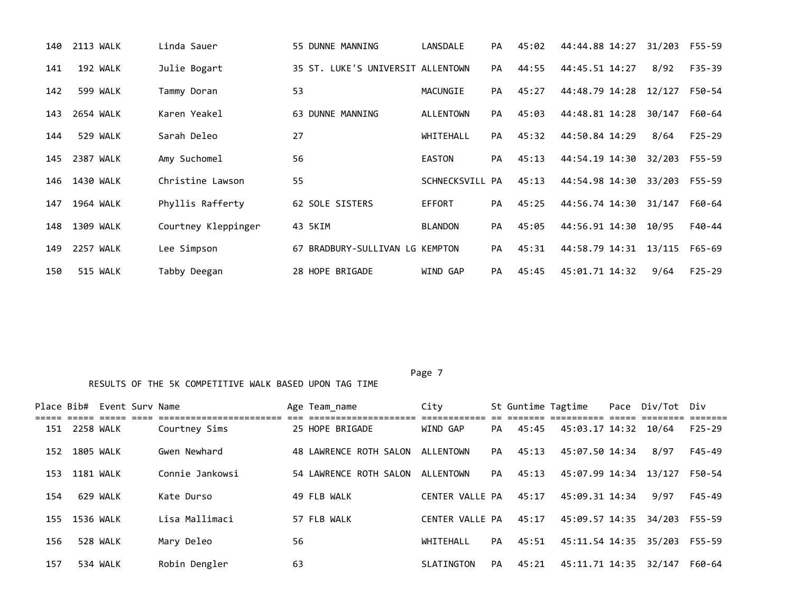| 140 | 2113 WALK | Linda Sauer         | 55 DUNNE MANNING                  | LANSDALE        | <b>PA</b> | 45:02 | 44:44.88 14:27 | 31/203 | F55-59     |
|-----|-----------|---------------------|-----------------------------------|-----------------|-----------|-------|----------------|--------|------------|
| 141 | 192 WALK  | Julie Bogart        | 35 ST. LUKE'S UNIVERSIT ALLENTOWN |                 | PA        | 44:55 | 44:45.51 14:27 | 8/92   | $F35 - 39$ |
| 142 | 599 WALK  | Tammy Doran         | 53                                | MACUNGIE        | PA        | 45:27 | 44:48.79 14:28 | 12/127 | F50-54     |
| 143 | 2654 WALK | Karen Yeakel        | 63 DUNNE MANNING                  | ALLENTOWN       | PA        | 45:03 | 44:48.81 14:28 | 30/147 | F60-64     |
| 144 | 529 WALK  | Sarah Deleo         | 27                                | WHITEHALL       | PA        | 45:32 | 44:50.84 14:29 | 8/64   | $F25 - 29$ |
| 145 | 2387 WALK | Amy Suchomel        | 56                                | <b>EASTON</b>   | PA        | 45:13 | 44:54.19 14:30 | 32/203 | F55-59     |
| 146 | 1430 WALK | Christine Lawson    | 55                                | SCHNECKSVILL PA |           | 45:13 | 44:54.98 14:30 | 33/203 | F55-59     |
| 147 | 1964 WALK | Phyllis Rafferty    | 62 SOLE SISTERS                   | EFFORT          | PA        | 45:25 | 44:56.74 14:30 | 31/147 | F60-64     |
| 148 | 1309 WALK | Courtney Kleppinger | 43 5KIM                           | <b>BLANDON</b>  | PA        | 45:05 | 44:56.91 14:30 | 10/95  | F40-44     |
| 149 | 2257 WALK | Lee Simpson         | 67 BRADBURY-SULLIVAN LG KEMPTON   |                 | PA        | 45:31 | 44:58.79 14:31 | 13/115 | F65-69     |
| 150 | 515 WALK  | Tabby Deegan        | 28 HOPE BRIGADE                   | WIND GAP        | <b>PA</b> | 45:45 | 45:01.71 14:32 | 9/64   | $F25 - 29$ |

| Place Bib# |           | Event Surv Name |                 |    | Age Team name          | City            |    | St Guntime Tagtime |                      | Pace Div/Tot Div |            |
|------------|-----------|-----------------|-----------------|----|------------------------|-----------------|----|--------------------|----------------------|------------------|------------|
| 151        | 2258 WALK |                 | Courtney Sims   |    | 25 HOPE BRIGADE        | WIND GAP        | PA | 45:45              | 45:03.17 14:32 10/64 |                  | $F25 - 29$ |
| 152        | 1805 WALK |                 | Gwen Newhard    |    | 48 LAWRENCE ROTH SALON | ALLENTOWN       | PA | 45:13              | 45:07.50 14:34       | 8/97             | F45-49     |
| 153        | 1181 WALK |                 | Connie Jankowsi |    | 54 LAWRENCE ROTH SALON | ALLENTOWN       | PA | 45:13              | 45:07.99 14:34       | 13/127           | F50-54     |
| 154        |           | 629 WALK        | Kate Durso      |    | 49 FLB WALK            | CENTER VALLE PA |    | 45:17              | 45:09.31 14:34       | 9/97             | F45-49     |
| 155        | 1536 WALK |                 | Lisa Mallimaci  |    | 57 FLB WALK            | CENTER VALLE PA |    | 45:17              | 45:09.57 14:35       | 34/203           | F55-59     |
| 156        |           | 528 WALK        | Mary Deleo      | 56 |                        | WHTTFHAII       | PA | 45:51              | 45:11.54 14:35       | 35/203           | F55-59     |
| 157        |           | 534 WALK        | Robin Dengler   | 63 |                        | SLATINGTON      | PA | 45:21              | 45:11.71 14:35       | 32/147           | F60-64     |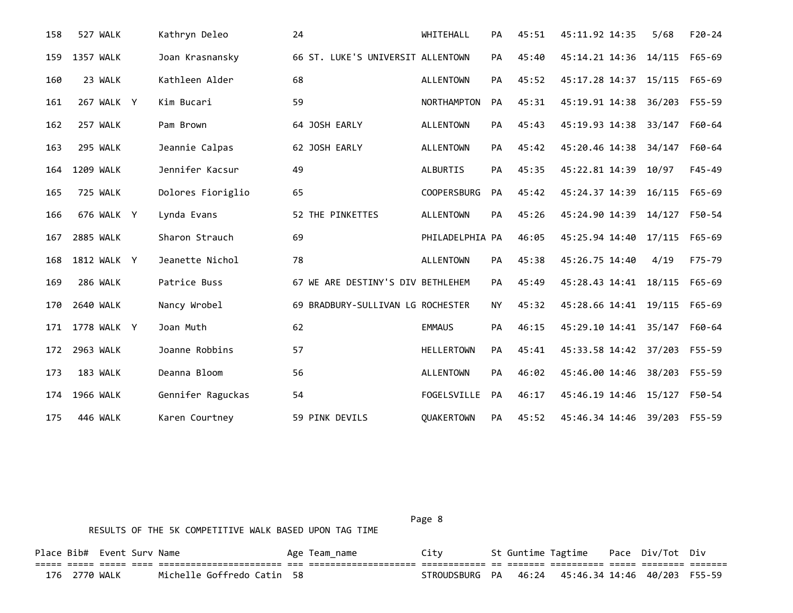| 158 | 527 WALK         | Kathryn Deleo     | 24                                | WHITEHALL          | PA        | 45:51 | 45:11.92 14:35        | 5/68   | $F20 - 24$ |
|-----|------------------|-------------------|-----------------------------------|--------------------|-----------|-------|-----------------------|--------|------------|
| 159 | 1357 WALK        | Joan Krasnansky   | 66 ST. LUKE'S UNIVERSIT ALLENTOWN |                    | PA        | 45:40 | 45:14.21 14:36 14/115 |        | F65-69     |
| 160 | 23 WALK          | Kathleen Alder    | 68                                | <b>ALLENTOWN</b>   | PA        | 45:52 | 45:17.28 14:37 15/115 |        | F65-69     |
| 161 | 267 WALK Y       | Kim Bucari        | 59                                | <b>NORTHAMPTON</b> | PA        | 45:31 | 45:19.91 14:38        | 36/203 | F55-59     |
| 162 | 257 WALK         | Pam Brown         | 64 JOSH EARLY                     | <b>ALLENTOWN</b>   | PA        | 45:43 | 45:19.93 14:38        | 33/147 | F60-64     |
| 163 | 295 WALK         | Jeannie Calpas    | 62 JOSH EARLY                     | <b>ALLENTOWN</b>   | PA        | 45:42 | 45:20.46 14:38        | 34/147 | F60-64     |
| 164 | 1209 WALK        | Jennifer Kacsur   | 49                                | ALBURTIS           | PA        | 45:35 | 45:22.81 14:39        | 10/97  | $F45 - 49$ |
| 165 | 725 WALK         | Dolores Fioriglio | 65                                | <b>COOPERSBURG</b> | <b>PA</b> | 45:42 | 45:24.37 14:39        | 16/115 | $F65 - 69$ |
| 166 | 676 WALK Y       | Lynda Evans       | 52 THE PINKETTES                  | <b>ALLENTOWN</b>   | PA        | 45:26 | 45:24.90 14:39 14/127 |        | F50-54     |
| 167 | <b>2885 WALK</b> | Sharon Strauch    | 69                                | PHILADELPHIA PA    |           | 46:05 | 45:25.94 14:40 17/115 |        | F65-69     |
| 168 | 1812 WALK Y      | Jeanette Nichol   | 78                                | <b>ALLENTOWN</b>   | PA        | 45:38 | 45:26.75 14:40        | 4/19   | F75-79     |
| 169 | 286 WALK         | Patrice Buss      | 67 WE ARE DESTINY'S DIV BETHLEHEM |                    | PA        | 45:49 | 45:28.43 14:41 18/115 |        | F65-69     |
| 170 | 2640 WALK        | Nancy Wrobel      | 69 BRADBURY-SULLIVAN LG ROCHESTER |                    | <b>NY</b> | 45:32 | 45:28.66 14:41 19/115 |        | F65-69     |
| 171 | 1778 WALK Y      | Joan Muth         | 62                                | <b>EMMAUS</b>      | PA        | 46:15 | 45:29.10 14:41 35/147 |        | F60-64     |
| 172 | 2963 WALK        | Joanne Robbins    | 57                                | <b>HELLERTOWN</b>  | PA        | 45:41 | 45:33.58 14:42 37/203 |        | F55-59     |
| 173 | 183 WALK         | Deanna Bloom      | 56                                | <b>ALLENTOWN</b>   | PA        | 46:02 | 45:46.00 14:46 38/203 |        | F55-59     |
| 174 | 1966 WALK        | Gennifer Raguckas | 54                                | FOGELSVILLE        | PA        | 46:17 | 45:46.19 14:46 15/127 |        | F50-54     |
| 175 | 446 WALK         | Karen Courtney    | 59 PINK DEVILS                    | QUAKERTOWN         | PA        | 45:52 | 45:46.34 14:46 39/203 |        | F55-59     |

| Page 8 |  |
|--------|--|
|        |  |

| Place Bib# Event Surv Name |               |  |                            | Age Team name | Citv                                              |  | St Guntime Tagtime Pace Div/Tot Div |  |  |
|----------------------------|---------------|--|----------------------------|---------------|---------------------------------------------------|--|-------------------------------------|--|--|
|                            |               |  |                            |               |                                                   |  |                                     |  |  |
|                            | 176 2770 WALK |  | Michelle Goffredo Catin 58 |               | STROUDSBURG PA 46:24 45:46.34 14:46 40/203 F55-59 |  |                                     |  |  |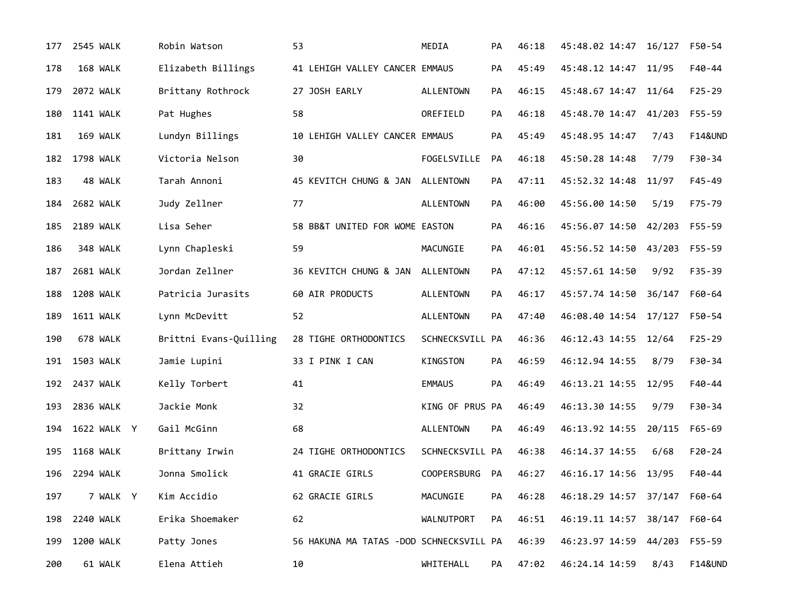| 177 | 2545 WALK        | Robin Watson           | 53                                      | MEDIA              | PА        | 46:18 | 45:48.02 14:47               | 16/127 | F50-54             |
|-----|------------------|------------------------|-----------------------------------------|--------------------|-----------|-------|------------------------------|--------|--------------------|
| 178 | 168 WALK         | Elizabeth Billings     | 41 LEHIGH VALLEY CANCER EMMAUS          |                    | PA        | 45:49 | 45:48.12 14:47 11/95         |        | F40-44             |
| 179 | 2072 WALK        | Brittany Rothrock      | 27 JOSH EARLY                           | <b>ALLENTOWN</b>   | PA        | 46:15 | 45:48.67 14:47               | 11/64  | $F25 - 29$         |
| 180 | <b>1141 WALK</b> | Pat Hughes             | 58                                      | OREFIELD           | PA        | 46:18 | 45:48.70 14:47               | 41/203 | F55-59             |
| 181 | 169 WALK         | Lundyn Billings        | 10 LEHIGH VALLEY CANCER EMMAUS          |                    | PA        | 45:49 | 45:48.95 14:47               | 7/43   | <b>F14&amp;UND</b> |
| 182 | 1798 WALK        | Victoria Nelson        | 30                                      | FOGELSVILLE        | PA        | 46:18 | 45:50.28 14:48               | 7/79   | F30-34             |
| 183 | 48 WALK          | Tarah Annoni           | 45 KEVITCH CHUNG & JAN ALLENTOWN        |                    | PA        | 47:11 | 45:52.32 14:48               | 11/97  | $F45 - 49$         |
| 184 | 2682 WALK        | Judy Zellner           | 77                                      | <b>ALLENTOWN</b>   | PA        | 46:00 | 45:56.00 14:50               | 5/19   | F75-79             |
| 185 | <b>2189 WALK</b> | Lisa Seher             | 58 BB&T UNITED FOR WOME EASTON          |                    | <b>PA</b> | 46:16 | 45:56.07 14:50 42/203        |        | F55-59             |
| 186 | 348 WALK         | Lynn Chapleski         | 59                                      | MACUNGIE           | PA        | 46:01 | 45:56.52 14:50               | 43/203 | F55-59             |
| 187 | 2681 WALK        | Jordan Zellner         | 36 KEVITCH CHUNG & JAN                  | <b>ALLENTOWN</b>   | PA        | 47:12 | 45:57.61 14:50               | 9/92   | $F35 - 39$         |
| 188 | <b>1208 WALK</b> | Patricia Jurasits      | 60 AIR PRODUCTS                         | <b>ALLENTOWN</b>   | PA        | 46:17 | 45:57.74 14:50               | 36/147 | F60-64             |
| 189 | <b>1611 WALK</b> | Lynn McDevitt          | 52                                      | <b>ALLENTOWN</b>   | PA        | 47:40 | 46:08.40 14:54               | 17/127 | F50-54             |
| 190 | 678 WALK         | Brittni Evans-Quilling | 28 TIGHE ORTHODONTICS                   | SCHNECKSVILL PA    |           | 46:36 | 46:12.43 14:55               | 12/64  | $F25 - 29$         |
| 191 | 1503 WALK        | Jamie Lupini           | 33 I PINK I CAN                         | KINGSTON           | PA        | 46:59 | 46:12.94 14:55               | 8/79   | F30-34             |
|     | 192 2437 WALK    | Kelly Torbert          | 41                                      | <b>EMMAUS</b>      | PA        | 46:49 | 46:13.21 14:55               | 12/95  | $F40 - 44$         |
| 193 | 2836 WALK        | Jackie Monk            | 32                                      | KING OF PRUS PA    |           | 46:49 | 46:13.30 14:55               | 9/79   | F30-34             |
| 194 | 1622 WALK Y      | Gail McGinn            | 68                                      | <b>ALLENTOWN</b>   | PA        | 46:49 | 46:13.92 14:55               | 20/115 | F65-69             |
| 195 | <b>1168 WALK</b> | Brittany Irwin         | 24 TIGHE ORTHODONTICS                   | SCHNECKSVILL PA    |           | 46:38 | 46:14.37 14:55               | 6/68   | $F20-24$           |
| 196 | 2294 WALK        | Jonna Smolick          | 41 GRACIE GIRLS                         | <b>COOPERSBURG</b> | <b>PA</b> | 46:27 | 46:16.17 14:56 13/95         |        | $F40 - 44$         |
| 197 | 7 WALK Y         | Kim Accidio            | 62 GRACIE GIRLS                         | MACUNGIE           | PА        | 46:28 | 46:18.29 14:57 37/147 F60-64 |        |                    |
| 198 | 2240 WALK        | Erika Shoemaker        | 62                                      | WALNUTPORT         | PА        | 46:51 | 46:19.11 14:57 38/147        |        | F60-64             |
| 199 | 1200 WALK        | Patty Jones            | 56 HAKUNA MA TATAS -DOD SCHNECKSVILL PA |                    |           | 46:39 | 46:23.97 14:59 44/203        |        | F55-59             |
| 200 | 61 WALK          | Elena Attieh           | 10                                      | WHITEHALL          | PA        | 47:02 | 46:24.14 14:59               | 8/43   | <b>F14&amp;UND</b> |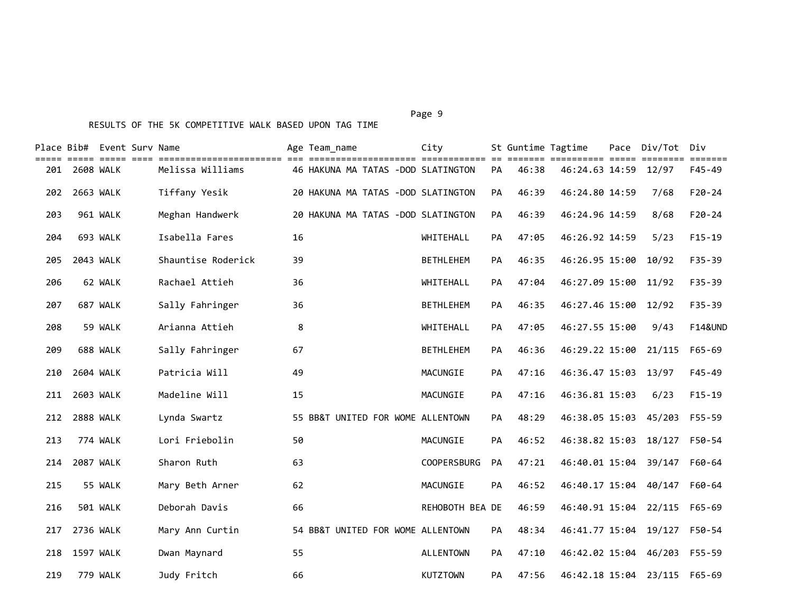#### Page 9 - Page 9 - Page 9 - Page 9 - Page 9 - Page 9 - Page 9 - Page 9 - Page 9 - Page 9 - Page 9

|     |                  | Place Bib#  Event Surv Name |                    |    | Age Team name                     |  | City                               |           | St Guntime Tagtime | ====== ========== ===== | Pace Div/Tot Div | <b>ESSESSE</b>     |
|-----|------------------|-----------------------------|--------------------|----|-----------------------------------|--|------------------------------------|-----------|--------------------|-------------------------|------------------|--------------------|
| 201 | 2608 WALK        |                             | Melissa Williams   |    |                                   |  | 46 HAKUNA MA TATAS -DOD SLATINGTON | <b>PA</b> | 46:38              | 46:24.63 14:59          | 12/97            | F45-49             |
| 202 | 2663 WALK        |                             | Tiffany Yesik      |    |                                   |  | 20 HAKUNA MA TATAS -DOD SLATINGTON | PA        | 46:39              | 46:24.80 14:59          | 7/68             | $F20 - 24$         |
| 203 |                  | 961 WALK                    | Meghan Handwerk    |    |                                   |  | 20 HAKUNA MA TATAS -DOD SLATINGTON | PA        | 46:39              | 46:24.96 14:59          | 8/68             | $F20 - 24$         |
| 204 |                  | 693 WALK                    | Isabella Fares     | 16 |                                   |  | WHITEHALL                          | PA        | 47:05              | 46:26.92 14:59          | 5/23             | $F15-19$           |
| 205 | 2043 WALK        |                             | Shauntise Roderick | 39 |                                   |  | <b>BETHLEHEM</b>                   | PA        | 46:35              | 46:26.95 15:00          | 10/92            | $F35 - 39$         |
| 206 |                  | 62 WALK                     | Rachael Attieh     | 36 |                                   |  | WHITEHALL                          | PА        | 47:04              | 46:27.09 15:00          | 11/92            | $F35 - 39$         |
| 207 |                  | 687 WALK                    | Sally Fahringer    | 36 |                                   |  | <b>BETHLEHEM</b>                   | PА        | 46:35              | 46:27.46 15:00          | 12/92            | $F35 - 39$         |
| 208 |                  | 59 WALK                     | Arianna Attieh     | 8  |                                   |  | WHITEHALL                          | PA        | 47:05              | 46:27.55 15:00          | 9/43             | <b>F14&amp;UND</b> |
| 209 |                  | 688 WALK                    | Sally Fahringer    | 67 |                                   |  | <b>BETHLEHEM</b>                   | PA        | 46:36              | 46:29.22 15:00          | 21/115           | $F65 - 69$         |
| 210 | 2604 WALK        |                             | Patricia Will      | 49 |                                   |  | MACUNGIE                           | PА        | 47:16              | 46:36.47 15:03 13/97    |                  | $F45 - 49$         |
| 211 | 2603 WALK        |                             | Madeline Will      | 15 |                                   |  | MACUNGIE                           | PА        | 47:16              | 46:36.81 15:03          | 6/23             | $F15-19$           |
| 212 | <b>2888 WALK</b> |                             | Lynda Swartz       |    | 55 BB&T UNITED FOR WOME ALLENTOWN |  |                                    | PА        | 48:29              | 46:38.05 15:03          | 45/203           | F55-59             |
| 213 |                  | 774 WALK                    | Lori Friebolin     | 50 |                                   |  | MACUNGIE                           | PA        | 46:52              | 46:38.82 15:03          | 18/127           | F50-54             |
| 214 | <b>2087 WALK</b> |                             | Sharon Ruth        | 63 |                                   |  | <b>COOPERSBURG</b>                 | PA        | 47:21              | 46:40.01 15:04          | 39/147           | F60-64             |
| 215 |                  | 55 WALK                     | Mary Beth Arner    | 62 |                                   |  | MACUNGIE                           | PA        | 46:52              | 46:40.17 15:04          | 40/147           | F60-64             |
| 216 |                  | <b>501 WALK</b>             | Deborah Davis      | 66 |                                   |  | REHOBOTH BEA DE                    |           | 46:59              | 46:40.91 15:04          | 22/115           | $F65 - 69$         |
| 217 | 2736 WALK        |                             | Mary Ann Curtin    |    | 54 BB&T UNITED FOR WOME ALLENTOWN |  |                                    | <b>PA</b> | 48:34              | 46:41.77 15:04          | 19/127           | F50-54             |
| 218 | 1597 WALK        |                             | Dwan Maynard       | 55 |                                   |  | <b>ALLENTOWN</b>                   | PА        | 47:10              | 46:42.02 15:04          | 46/203           | F55-59             |
| 219 |                  | 779 WALK                    | Judy Fritch        | 66 |                                   |  | <b>KUTZTOWN</b>                    | PA        | 47:56              | 46:42.18 15:04          | 23/115           | F65-69             |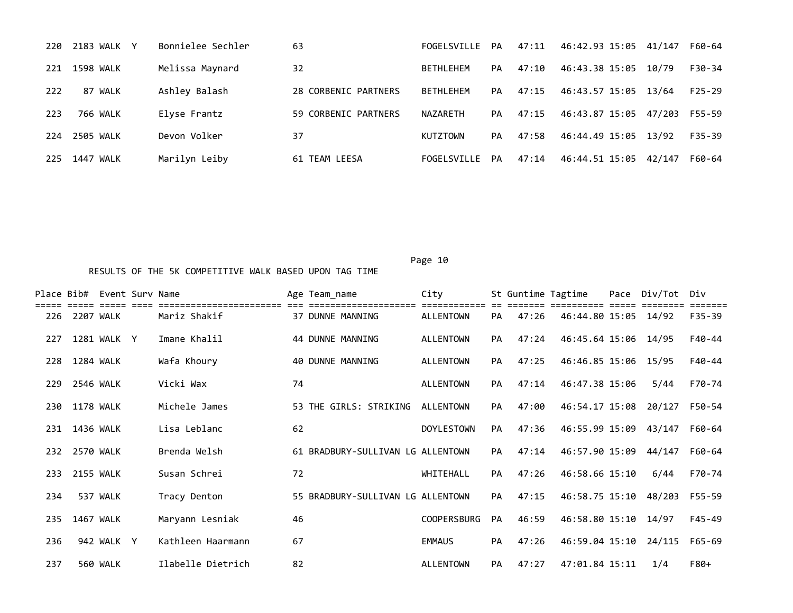| 220 | 2183 WALK Y  | Bonnielee Sechler | 63                   | <b>FOGEL SVTLLE</b> | <b>PA</b> | 47:11 | 46:42.93 15:05       | 41/147 | F60-64     |
|-----|--------------|-------------------|----------------------|---------------------|-----------|-------|----------------------|--------|------------|
| 221 | 1598 WALK    | Melissa Maynard   | 32                   | <b>BETHLEHEM</b>    | PA        | 47:10 | 46:43.38 15:05       | 10/79  | F30-34     |
| 222 | WALK<br>87   | Ashley Balash     | 28 CORBENIC PARTNERS | <b>BETHLEHEM</b>    | PA        | 47:15 | 46:43.57 15:05 13/64 |        | $F25-29$   |
| 223 | 766 WALK     | Elyse Frantz      | 59 CORBENIC PARTNERS | NAZARETH            | PA        | 47:15 | 46:43.87 15:05       | 47/203 | F55-59     |
| 224 | 2505 WALK    | Devon Volker      | 37                   | <b>KUTZTOWN</b>     | PA        | 47:58 | 46:44.49 15:05 13/92 |        | $F35 - 39$ |
| 225 | WALK<br>1447 | Marilyn Leiby     | 61 TEAM LEESA        | FOGELSVILLE         | PA        | 47:14 | 46:44.51 15:05       | 42/147 | F60-64     |

|     |               | Place Bib# Event Surv Name |                   |    | Age Team_name                     | City               |           |       | St Guntime Tagtime    | Pace Div/Tot Div             |        |
|-----|---------------|----------------------------|-------------------|----|-----------------------------------|--------------------|-----------|-------|-----------------------|------------------------------|--------|
|     | 226 2207 WALK |                            | Mariz Shakif      |    | 37 DUNNE MANNING                  | ALLENTOWN          | PA        | 47:26 | 46:44.80 15:05 14/92  |                              | F35-39 |
| 227 |               | 1281 WALK Y                | Imane Khalil      |    | 44 DUNNE MANNING                  | ALLENTOWN          | PA.       | 47:24 | 46:45.64 15:06 14/95  |                              | F40-44 |
| 228 | 1284 WALK     |                            | Wafa Khoury       |    | 40 DUNNE MANNING                  | ALLENTOWN          | PA        | 47:25 | 46:46.85 15:06 15/95  |                              | F40-44 |
| 229 | 2546 WALK     |                            | Vicki Wax         | 74 |                                   | ALLENTOWN          | PA        | 47:14 | 46:47.38 15:06        | 5/44                         | F70-74 |
| 230 | 1178 WALK     |                            | Michele James     |    | 53 THE GIRLS: STRIKING            | ALLENTOWN          | PA        | 47:00 | 46:54.17 15:08        | 20/127                       | F50-54 |
| 231 | 1436 WALK     |                            | Lisa Leblanc      | 62 |                                   | <b>DOYLESTOWN</b>  | PA        | 47:36 | 46:55.99 15:09 43/147 |                              | F60-64 |
| 232 | 2570 WALK     |                            | Brenda Welsh      |    | 61 BRADBURY-SULLIVAN LG ALLENTOWN |                    | PA        | 47:14 | 46:57.90 15:09 44/147 |                              | F60-64 |
| 233 | 2155 WALK     |                            | Susan Schrei      | 72 |                                   | WHITEHALL          | <b>PA</b> | 47:26 | 46:58.66 15:10        | 6/44                         | F70-74 |
| 234 |               | 537 WALK                   | Tracy Denton      |    | 55 BRADBURY-SULLIVAN LG ALLENTOWN |                    | PA        | 47:15 |                       | 46:58.75 15:10 48/203 F55-59 |        |
| 235 | 1467 WALK     |                            | Maryann Lesniak   | 46 |                                   | <b>COOPERSBURG</b> | <b>PA</b> | 46:59 | 46:58.80 15:10 14/97  |                              | F45-49 |
| 236 |               | 942 WALK Y                 | Kathleen Haarmann | 67 |                                   | <b>EMMAUS</b>      | PA        | 47:26 | 46:59.04 15:10 24/115 |                              | F65-69 |
| 237 |               | 560 WALK                   | Ilabelle Dietrich | 82 |                                   | ALLENTOWN          | PA        | 47:27 | 47:01.84 15:11        | 1/4                          | F80+   |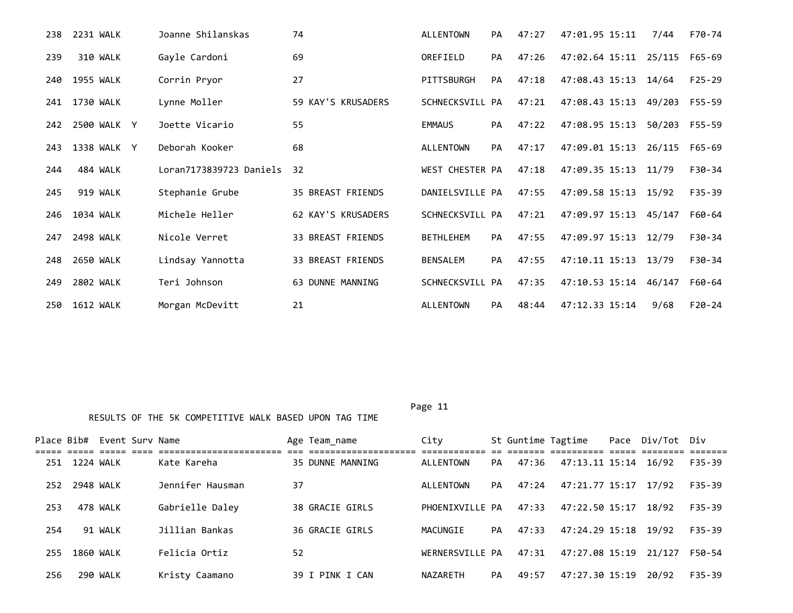| 238 | 2231 WALK   | Joanne Shilanskas       | 74                       | <b>ALLENTOWN</b> | PA | 47:27 | 47:01.95 15:11        | 7/44   | F70-74     |
|-----|-------------|-------------------------|--------------------------|------------------|----|-------|-----------------------|--------|------------|
| 239 | 310 WALK    | Gayle Cardoni           | 69                       | OREFIELD         | PA | 47:26 | 47:02.64 15:11 25/115 |        | F65-69     |
| 240 | 1955 WALK   | Corrin Pryor            | 27                       | PITTSBURGH       | PA | 47:18 | 47:08.43 15:13        | 14/64  | $F25 - 29$ |
| 241 | 1730 WALK   | Lynne Moller            | 59 KAY'S KRUSADERS       | SCHNECKSVILL PA  |    | 47:21 | 47:08.43 15:13        | 49/203 | F55-59     |
| 242 | 2500 WALK Y | Joette Vicario          | 55                       | <b>EMMAUS</b>    | PA | 47:22 | 47:08.95 15:13        | 50/203 | F55-59     |
| 243 | 1338 WALK Y | Deborah Kooker          | 68                       | <b>ALLENTOWN</b> | PA | 47:17 | 47:09.01 15:13        | 26/115 | F65-69     |
| 244 | 484 WALK    | Loran7173839723 Daniels | 32                       | WEST CHESTER PA  |    | 47:18 | 47:09.35 15:13 11/79  |        | F30-34     |
| 245 | 919 WALK    | Stephanie Grube         | <b>35 BREAST FRIENDS</b> | DANIELSVILLE PA  |    | 47:55 | 47:09.58 15:13 15/92  |        | $F35 - 39$ |
| 246 | 1034 WALK   | Michele Heller          | 62 KAY'S KRUSADERS       | SCHNECKSVILL PA  |    | 47:21 | 47:09.97 15:13        | 45/147 | F60-64     |
| 247 | 2498 WALK   | Nicole Verret           | <b>33 BREAST FRIENDS</b> | <b>BETHLEHEM</b> | PA | 47:55 | 47:09.97 15:13        | 12/79  | $F30-34$   |
| 248 | 2650 WALK   | Lindsay Yannotta        | 33 BREAST FRIENDS        | <b>BENSALEM</b>  | PA | 47:55 | 47:10.11 15:13        | 13/79  | F30-34     |
| 249 | 2802 WALK   | Teri Johnson            | 63 DUNNE MANNING         | SCHNECKSVILL PA  |    | 47:35 | 47:10.53 15:14        | 46/147 | F60-64     |
| 250 | 1612 WALK   | Morgan McDevitt         | 21                       | <b>ALLENTOWN</b> | PA | 48:44 | 47:12.33 15:14        | 9/68   | $F20 - 24$ |

| Place Bib# |                  | Event Surv Name |                  |    | Age Team name    | City            |           |       | St Guntime Tagtime    | Pace Div/Tot Div |            |
|------------|------------------|-----------------|------------------|----|------------------|-----------------|-----------|-------|-----------------------|------------------|------------|
|            |                  |                 |                  |    |                  |                 |           |       |                       |                  |            |
| 251        | 1224 WALK        |                 | Kate Kareha      |    | 35 DUNNE MANNING | ALLENTOWN       | PA        | 47:36 | 47:13.11 15:14 16/92  |                  | F35-39     |
| 252        | 2948 WALK        |                 | Jennifer Hausman | 37 |                  | ALLENTOWN       | <b>PA</b> | 47:24 | 47:21.77 15:17 17/92  |                  | F35-39     |
| 253        |                  | 478 WALK        | Gabrielle Daley  |    | 38 GRACIE GIRLS  | PHOENIXVILLE PA |           | 47:33 | 47:22.50 15:17        | 18/92            | $F35 - 39$ |
| 254        |                  | 91 WALK         | Jillian Bankas   |    | 36 GRACIE GIRLS  | MACUNGIE        | PA        | 47:33 | 47:24.29 15:18 19/92  |                  | F35-39     |
| 255        | <b>1860 WALK</b> |                 | Felicia Ortiz    | 52 |                  | WERNERSVILLE PA |           | 47:31 | 47:27.08 15:19 21/127 |                  | F50-54     |
| 256        |                  | 290 WALK        | Kristy Caamano   |    | 39 I PINK I CAN  | NAZARETH        | <b>PA</b> | 49:57 | 47:27.30 15:19        | 20/92            | F35-39     |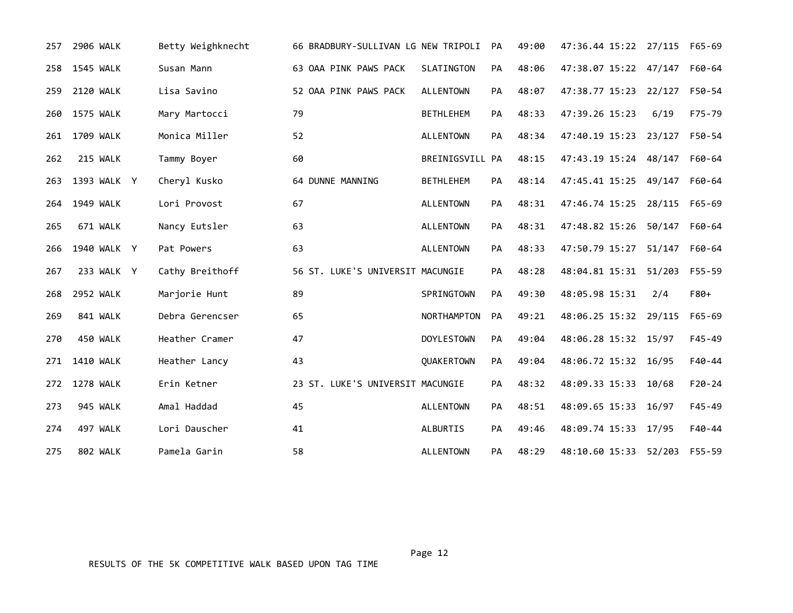| 257 | 2906 WALK        | Betty Weighknecht | 66 BRADBURY-SULLIVAN LG NEW TRIPOLI |                   | <b>PA</b> | 49:00 | 47:36.44 15:22 27/115 |        | F65-69     |
|-----|------------------|-------------------|-------------------------------------|-------------------|-----------|-------|-----------------------|--------|------------|
| 258 | <b>1545 WALK</b> | Susan Mann        | 63 OAA PINK PAWS PACK               | SLATINGTON        | PA        | 48:06 | 47:38.07 15:22 47/147 |        | F60-64     |
| 259 | <b>2120 WALK</b> | Lisa Savino       | 52 OAA PINK PAWS PACK               | <b>ALLENTOWN</b>  | PA        | 48:07 | 47:38.77 15:23 22/127 |        | F50-54     |
| 260 | 1575 WALK        | Mary Martocci     | 79                                  | <b>BETHLEHEM</b>  | PA        | 48:33 | 47:39.26 15:23        | 6/19   | F75-79     |
|     | 261 1709 WALK    | Monica Miller     | 52                                  | <b>ALLENTOWN</b>  | PA        | 48:34 | 47:40.19 15:23 23/127 |        | F50-54     |
| 262 | 215 WALK         | Tammy Boyer       | 60                                  | BREINIGSVILL PA   |           | 48:15 | 47:43.19 15:24 48/147 |        | F60-64     |
| 263 | 1393 WALK Y      | Cheryl Kusko      | 64 DUNNE MANNING                    | <b>BETHLEHEM</b>  | PA        | 48:14 | 47:45.41 15:25 49/147 |        | F60-64     |
| 264 | 1949 WALK        | Lori Provost      | 67                                  | <b>ALLENTOWN</b>  | PA        | 48:31 | 47:46.74 15:25 28/115 |        | F65-69     |
| 265 | 671 WALK         | Nancy Eutsler     | 63                                  | <b>ALLENTOWN</b>  | <b>PA</b> | 48:31 | 47:48.82 15:26 50/147 |        | F60-64     |
| 266 | 1940 WALK Y      | Pat Powers        | 63                                  | <b>ALLENTOWN</b>  | <b>PA</b> | 48:33 | 47:50.79 15:27 51/147 |        | F60-64     |
| 267 | 233 WALK Y       | Cathy Breithoff   | 56 ST. LUKE'S UNIVERSIT MACUNGIE    |                   | PA        | 48:28 | 48:04.81 15:31 51/203 |        | F55-59     |
| 268 | <b>2952 WALK</b> | Marjorie Hunt     | 89                                  | SPRINGTOWN        | PA        | 49:30 | 48:05.98 15:31        | 2/4    | F80+       |
| 269 | 841 WALK         | Debra Gerencser   | 65                                  | NORTHAMPTON       | PA        | 49:21 | 48:06.25 15:32 29/115 |        | $F65 - 69$ |
| 270 | 450 WALK         | Heather Cramer    | 47                                  | <b>DOYLESTOWN</b> | PA        | 49:04 | 48:06.28 15:32 15/97  |        | $F45 - 49$ |
|     | 271 1410 WALK    | Heather Lancy     | 43                                  | QUAKERTOWN        | PA        | 49:04 | 48:06.72 15:32 16/95  |        | $F40 - 44$ |
|     | 272 1278 WALK    | Erin Ketner       | 23 ST. LUKE'S UNIVERSIT MACUNGIE    |                   | PA        | 48:32 | 48:09.33 15:33        | 10/68  | $F20 - 24$ |
| 273 | 945 WALK         | Amal Haddad       | 45                                  | <b>ALLENTOWN</b>  | <b>PA</b> | 48:51 | 48:09.65 15:33        | 16/97  | $F45 - 49$ |
| 274 | 497 WALK         | Lori Dauscher     | 41                                  | ALBURTIS          | <b>PA</b> | 49:46 | 48:09.74 15:33        | 17/95  | $F40 - 44$ |
| 275 | 802 WALK         | Pamela Garin      | 58                                  | <b>ALLENTOWN</b>  | <b>PA</b> | 48:29 | 48:10.60 15:33        | 52/203 | F55-59     |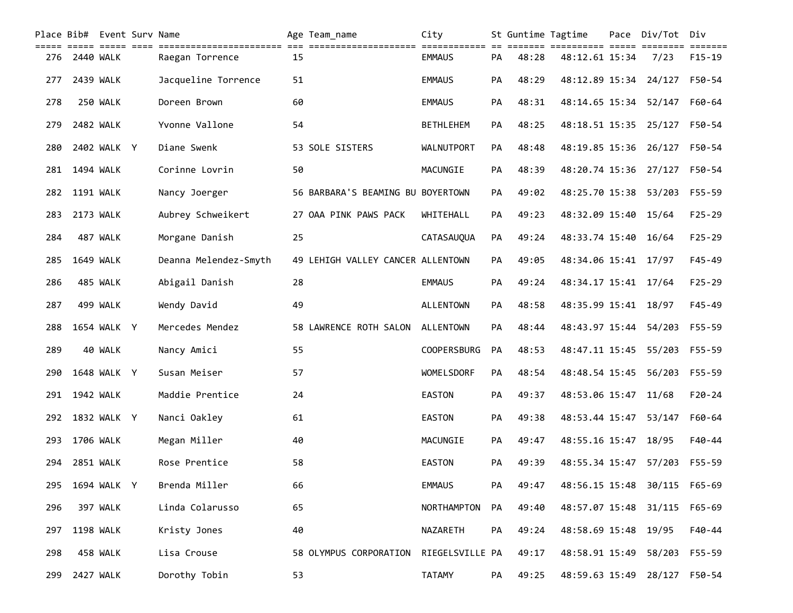|     |           | Place Bib# Event Surv Name<br>=== ===== ==== |                       |    | Age Team_name                     | City               |           | St Guntime Tagtime |                       | Pace Div/Tot Div |                                     |
|-----|-----------|----------------------------------------------|-----------------------|----|-----------------------------------|--------------------|-----------|--------------------|-----------------------|------------------|-------------------------------------|
| 276 | 2440 WALK |                                              | Raegan Torrence       | 15 |                                   | <b>EMMAUS</b>      | PA        | 48:28              | 48:12.61 15:34        | 7/23             | $=$ $=$ $=$ $=$ $=$ $=$<br>$F15-19$ |
| 277 |           | 2439 WALK                                    | Jacqueline Torrence   | 51 |                                   | <b>EMMAUS</b>      | PA        | 48:29              | 48:12.89 15:34        | 24/127           | F50-54                              |
| 278 |           | 250 WALK                                     | Doreen Brown          | 60 |                                   | <b>EMMAUS</b>      | PA        | 48:31              | 48:14.65 15:34        | 52/147           | F60-64                              |
| 279 |           | 2482 WALK                                    | Yvonne Vallone        | 54 |                                   | <b>BETHLEHEM</b>   | PA        | 48:25              | 48:18.51 15:35 25/127 |                  | F50-54                              |
| 280 |           | 2402 WALK Y                                  | Diane Swenk           |    | 53 SOLE SISTERS                   | <b>WALNUTPORT</b>  | PA        | 48:48              | 48:19.85 15:36 26/127 |                  | F50-54                              |
| 281 | 1494 WALK |                                              | Corinne Lovrin        | 50 |                                   | MACUNGIE           | PA        | 48:39              | 48:20.74 15:36 27/127 |                  | F50-54                              |
| 282 | 1191 WALK |                                              | Nancy Joerger         |    | 56 BARBARA'S BEAMING BU BOYERTOWN |                    | <b>PA</b> | 49:02              | 48:25.70 15:38 53/203 |                  | F55-59                              |
| 283 |           | 2173 WALK                                    | Aubrey Schweikert     |    | 27 OAA PINK PAWS PACK             | WHITEHALL          | <b>PA</b> | 49:23              | 48:32.09 15:40 15/64  |                  | $F25 - 29$                          |
| 284 |           | 487 WALK                                     | Morgane Danish        | 25 |                                   | CATASAUQUA         | <b>PA</b> | 49:24              | 48:33.74 15:40        | 16/64            | $F25 - 29$                          |
| 285 |           | 1649 WALK                                    | Deanna Melendez-Smyth |    | 49 LEHIGH VALLEY CANCER ALLENTOWN |                    | PA        | 49:05              | 48:34.06 15:41 17/97  |                  | $F45 - 49$                          |
| 286 |           | 485 WALK                                     | Abigail Danish        | 28 |                                   | <b>EMMAUS</b>      | PA        | 49:24              | 48:34.17 15:41 17/64  |                  | $F25 - 29$                          |
| 287 |           | 499 WALK                                     | Wendy David           | 49 |                                   | <b>ALLENTOWN</b>   | PA        | 48:58              | 48:35.99 15:41        | 18/97            | $F45 - 49$                          |
| 288 |           | 1654 WALK Y                                  | Mercedes Mendez       |    | 58 LAWRENCE ROTH SALON            | ALLENTOWN          | PA        | 48:44              | 48:43.97 15:44        | 54/203           | F55-59                              |
| 289 |           | 40 WALK                                      | Nancy Amici           | 55 |                                   | <b>COOPERSBURG</b> | PA        | 48:53              | 48:47.11 15:45        | 55/203           | F55-59                              |
| 290 |           | 1648 WALK Y                                  | Susan Meiser          | 57 |                                   | WOMELSDORF         | PA        | 48:54              | 48:48.54 15:45        | 56/203           | F55-59                              |
| 291 | 1942 WALK |                                              | Maddie Prentice       | 24 |                                   | <b>EASTON</b>      | PA        | 49:37              | 48:53.06 15:47        | 11/68            | $F20-24$                            |
| 292 |           | 1832 WALK Y                                  | Nanci Oakley          | 61 |                                   | <b>EASTON</b>      | PA        | 49:38              | 48:53.44 15:47        | 53/147           | F60-64                              |
| 293 | 1706 WALK |                                              | Megan Miller          | 40 |                                   | MACUNGIE           | PA        | 49:47              | 48:55.16 15:47        | 18/95            | $F40 - 44$                          |
| 294 | 2851 WALK |                                              | Rose Prentice         | 58 |                                   | <b>EASTON</b>      | PA        | 49:39              | 48:55.34 15:47        | 57/203           | F55-59                              |
| 295 |           | 1694 WALK Y                                  | Brenda Miller         | 66 |                                   | <b>EMMAUS</b>      | PA        | 49:47              | 48:56.15 15:48        | 30/115           | F65-69                              |
| 296 |           | 397 WALK                                     | Linda Colarusso       | 65 |                                   | NORTHAMPTON        | PA        | 49:40              | 48:57.07 15:48        | 31/115           | $F65 - 69$                          |
| 297 |           | 1198 WALK                                    | Kristy Jones          | 40 |                                   | NAZARETH           | PA        | 49:24              | 48:58.69 15:48        | 19/95            | F40-44                              |
| 298 |           | 458 WALK                                     | Lisa Crouse           |    | 58 OLYMPUS CORPORATION            | RIEGELSVILLE PA    |           | 49:17              | 48:58.91 15:49        | 58/203           | F55-59                              |
| 299 |           | 2427 WALK                                    | Dorothy Tobin         | 53 |                                   | <b>TATAMY</b>      | PA        | 49:25              | 48:59.63 15:49        | 28/127 F50-54    |                                     |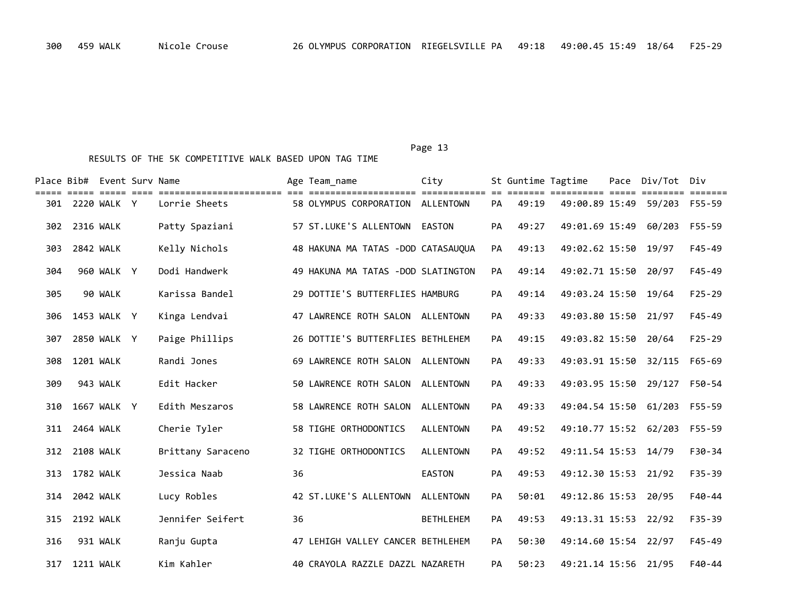|     | Place Bib# Event Sury Name |             |                                                                                                            |    | Age Team name                      | City             |           | St Guntime Tagtime |                                  | Pace | Div/Tot Div                  |            |
|-----|----------------------------|-------------|------------------------------------------------------------------------------------------------------------|----|------------------------------------|------------------|-----------|--------------------|----------------------------------|------|------------------------------|------------|
|     | 301 2220 WALK Y            |             | <u>soosa oosaa oosa oosaaloosaaloosaaloosaa oos oosaaloosaaloosaaloosa oosaaloosaa oo</u><br>Lorrie Sheets |    | 58 OLYMPUS CORPORATION ALLENTOWN   |                  | <b>PA</b> | 49:19              | ====== ========== ===== ======== |      | 49:00.89 15:49 59/203 F55-59 | =======    |
| 302 | 2316 WALK                  |             | Patty Spaziani                                                                                             |    | 57 ST.LUKE'S ALLENTOWN EASTON      |                  | PA        | 49:27              | 49:01.69 15:49                   |      | 60/203                       | F55-59     |
| 303 | <b>2842 WALK</b>           |             | Kelly Nichols                                                                                              |    | 48 HAKUNA MA TATAS -DOD CATASAUQUA |                  | PA        | 49:13              | 49:02.62 15:50 19/97             |      |                              | F45-49     |
| 304 |                            | 960 WALK Y  | Dodi Handwerk                                                                                              |    | 49 HAKUNA MA TATAS -DOD SLATINGTON |                  | <b>PA</b> | 49:14              | 49:02.71 15:50                   |      | 20/97                        | $F45 - 49$ |
| 305 |                            | 90 WALK     | Karissa Bandel                                                                                             |    | 29 DOTTIE'S BUTTERFLIES HAMBURG    |                  | PA        | 49:14              | 49:03.24 15:50                   |      | 19/64                        | $F25 - 29$ |
| 306 |                            | 1453 WALK Y | Kinga Lendvai                                                                                              |    | 47 LAWRENCE ROTH SALON ALLENTOWN   |                  | PA        | 49:33              | 49:03.80 15:50                   |      | 21/97                        | $F45 - 49$ |
| 307 |                            | 2850 WALK Y | Paige Phillips                                                                                             |    | 26 DOTTIE'S BUTTERFLIES BETHLEHEM  |                  | PA        | 49:15              | 49:03.82 15:50                   |      | 20/64                        | $F25 - 29$ |
| 308 | <b>1201 WALK</b>           |             | Randi Jones                                                                                                |    | 69 LAWRENCE ROTH SALON ALLENTOWN   |                  | PA        | 49:33              | 49:03.91 15:50                   |      | 32/115                       | F65-69     |
| 309 |                            | 943 WALK    | Edit Hacker                                                                                                |    | 50 LAWRENCE ROTH SALON ALLENTOWN   |                  | PA        | 49:33              | 49:03.95 15:50 29/127            |      |                              | F50-54     |
| 310 |                            | 1667 WALK Y | Edith Meszaros                                                                                             |    | 58 LAWRENCE ROTH SALON             | ALLENTOWN        | PA        | 49:33              |                                  |      | 49:04.54 15:50 61/203 F55-59 |            |
| 311 | 2464 WALK                  |             | Cherie Tyler                                                                                               |    | 58 TIGHE ORTHODONTICS              | <b>ALLENTOWN</b> | PA        | 49:52              | 49:10.77 15:52 62/203            |      |                              | F55-59     |
| 312 | <b>2108 WALK</b>           |             | Brittany Saraceno                                                                                          |    | 32 TIGHE ORTHODONTICS              | <b>ALLENTOWN</b> | PA        | 49:52              | 49:11.54 15:53                   |      | 14/79                        | F30-34     |
| 313 | 1782 WALK                  |             | Jessica Naab                                                                                               | 36 |                                    | <b>EASTON</b>    | <b>PA</b> | 49:53              | 49:12.30 15:53                   |      | 21/92                        | $F35 - 39$ |
| 314 | 2042 WALK                  |             | Lucy Robles                                                                                                |    | 42 ST.LUKE'S ALLENTOWN             | <b>ALLENTOWN</b> | PA        | 50:01              | 49:12.86 15:53                   |      | 20/95                        | $F40 - 44$ |
| 315 | <b>2192 WALK</b>           |             | Jennifer Seifert                                                                                           | 36 |                                    | <b>BETHLEHEM</b> | PA        | 49:53              | 49:13.31 15:53                   |      | 22/92                        | $F35 - 39$ |
| 316 |                            | 931 WALK    | Ranju Gupta                                                                                                |    | 47 LEHIGH VALLEY CANCER BETHLEHEM  |                  | PA        | 50:30              | 49:14.60 15:54                   |      | 22/97                        | $F45 - 49$ |
| 317 | 1211 WALK                  |             | Kim Kahler                                                                                                 |    | 40 CRAYOLA RAZZLE DAZZL NAZARETH   |                  | PA        | 50:23              | 49:21.14 15:56 21/95             |      |                              | $F40-44$   |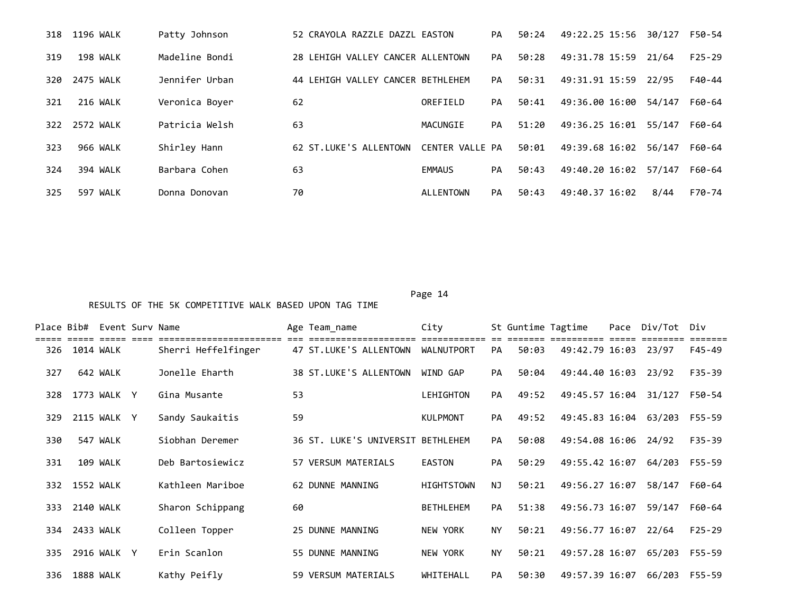| 318 | 1196 WALK   | Patty Johnson  | 52 CRAYOLA RAZZLE DAZZL EASTON    |                  | <b>PA</b> | 50:24 | 49:22.25 15:56 | 30/127 | F50-54   |
|-----|-------------|----------------|-----------------------------------|------------------|-----------|-------|----------------|--------|----------|
| 319 | 198 WALK    | Madeline Bondi | 28 LEHIGH VALLEY CANCER ALLENTOWN |                  | PA        | 50:28 | 49:31.78 15:59 | 21/64  | $F25-29$ |
| 320 | 2475 WALK   | Jennifer Urban | 44 LEHIGH VALLEY CANCER BETHLEHEM |                  | PA        | 50:31 | 49:31.91 15:59 | 22/95  | F40-44   |
| 321 | 216 WALK    | Veronica Boyer | 62                                | OREFIELD         | PA        | 50:41 | 49:36.00 16:00 | 54/147 | F60-64   |
| 322 | 2572 WALK   | Patricia Welsh | 63                                | MACUNGIE         | PA        | 51:20 | 49:36.25 16:01 | 55/147 | F60-64   |
| 323 | 966 WALK    | Shirley Hann   | 62 ST.LUKE'S ALLENTOWN            | CENTER VALLE PA  |           | 50:01 | 49:39.68 16:02 | 56/147 | F60-64   |
| 324 | 394 WALK    | Barbara Cohen  | 63                                | <b>EMMAUS</b>    | PA        | 50:43 | 49:40.20 16:02 | 57/147 | F60-64   |
| 325 | WALK<br>597 | Donna Donovan  | 70                                | <b>ALLENTOWN</b> | PA        | 50:43 | 49:40.37 16:02 | 8/44   | F70-74   |

|     |               | Place Bib# Event Surv Name |                     |    | Age Team name                     | City              |           |       | St Guntime Tagtime    | Pace Div/Tot Div |          |
|-----|---------------|----------------------------|---------------------|----|-----------------------------------|-------------------|-----------|-------|-----------------------|------------------|----------|
| 326 | 1014 WALK     |                            | Sherri Heffelfinger |    | 47 ST.LUKE'S ALLENTOWN            | WALNUTPORT        | PA        | 50:03 | 49:42.79 16:03 23/97  |                  | F45-49   |
| 327 |               | 642 WALK                   | Jonelle Eharth      |    | 38 ST.LUKE'S ALLENTOWN            | WIND GAP          | PA        | 50:04 | 49:44.40 16:03 23/92  |                  | F35-39   |
| 328 |               | 1773 WALK Y                | Gina Musante        | 53 |                                   | LEHIGHTON         | PA        | 49:52 | 49:45.57 16:04        | 31/127           | F50-54   |
| 329 |               | 2115 WALK Y                | Sandy Saukaitis     | 59 |                                   | <b>KULPMONT</b>   | PA        | 49:52 | 49:45.83 16:04 63/203 |                  | F55-59   |
| 330 |               | 547 WALK                   | Siobhan Deremer     |    | 36 ST. LUKE'S UNIVERSIT BETHLEHEM |                   | PA        | 50:08 | 49:54.08 16:06 24/92  |                  | F35-39   |
| 331 |               | 109 WALK                   | Deb Bartosiewicz    |    | 57 VERSUM MATERIALS               | <b>EASTON</b>     | <b>PA</b> | 50:29 | 49:55.42 16:07        | 64/203 F55-59    |          |
| 332 | 1552 WALK     |                            | Kathleen Mariboe    |    | 62 DUNNE MANNING                  | <b>HIGHTSTOWN</b> | NJ.       | 50:21 | 49:56.27 16:07        | 58/147           | F60-64   |
| 333 | 2140 WALK     |                            | Sharon Schippang    | 60 |                                   | <b>BETHLEHEM</b>  | PA        | 51:38 | 49:56.73 16:07        | 59/147           | F60-64   |
|     | 334 2433 WALK |                            | Colleen Topper      |    | 25 DUNNE MANNING                  | <b>NEW YORK</b>   | <b>NY</b> | 50:21 | 49:56.77 16:07        | 22/64            | $F25-29$ |
| 335 |               | 2916 WALK Y                | Erin Scanlon        |    | 55 DUNNE MANNING                  | <b>NEW YORK</b>   | <b>NY</b> | 50:21 | 49:57.28 16:07        | 65/203           | F55-59   |
| 336 | 1888 WALK     |                            | Kathy Peifly        |    | 59 VERSUM MATERIALS               | WHITEHALL         | <b>PA</b> | 50:30 | 49:57.39 16:07        | 66/203           | F55-59   |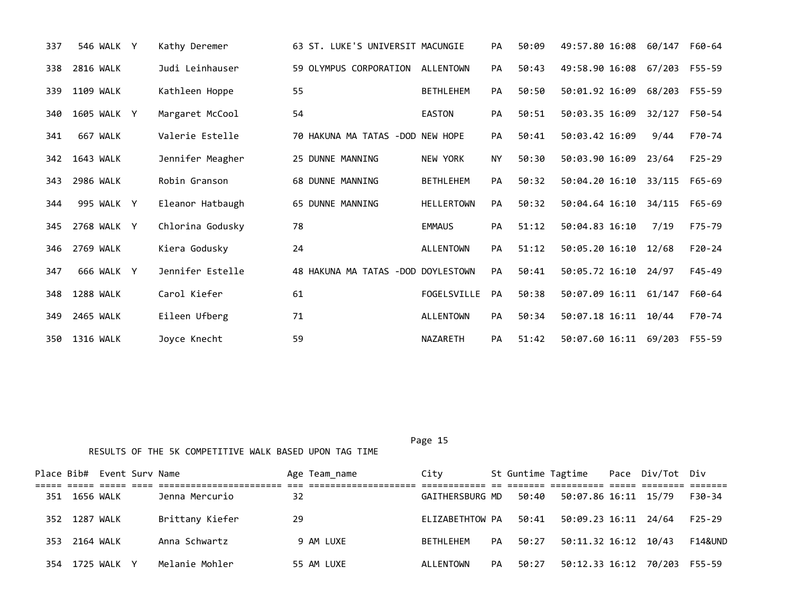| 337 | 546 WALK Y  | Kathy Deremer    | 63 ST. LUKE'S UNIVERSIT MACUNGIE   |                   | PA        | 50:09 | 49:57.80 16:08       | 60/147 | F60-64     |
|-----|-------------|------------------|------------------------------------|-------------------|-----------|-------|----------------------|--------|------------|
| 338 | 2816 WALK   | Judi Leinhauser  | 59 OLYMPUS CORPORATION             | <b>ALLENTOWN</b>  | PA        | 50:43 | 49:58.90 16:08       | 67/203 | F55-59     |
| 339 | 1109 WALK   | Kathleen Hoppe   | 55                                 | <b>BETHLEHEM</b>  | <b>PA</b> | 50:50 | 50:01.92 16:09       | 68/203 | F55-59     |
| 340 | 1605 WALK Y | Margaret McCool  | 54                                 | <b>EASTON</b>     | PA        | 50:51 | 50:03.35 16:09       | 32/127 | F50-54     |
| 341 | 667 WALK    | Valerie Estelle  | 70 HAKUNA MA TATAS -DOD NEW HOPE   |                   | <b>PA</b> | 50:41 | 50:03.42 16:09       | 9/44   | F70-74     |
| 342 | 1643 WALK   | Jennifer Meagher | 25 DUNNE MANNING                   | <b>NEW YORK</b>   | <b>NY</b> | 50:30 | 50:03.90 16:09       | 23/64  | $F25 - 29$ |
| 343 | 2986 WALK   | Robin Granson    | <b>68 DUNNE MANNING</b>            | <b>BETHLEHEM</b>  | PA        | 50:32 | 50:04.20 16:10       | 33/115 | F65-69     |
| 344 | 995 WALK Y  | Eleanor Hatbaugh | 65 DUNNE MANNING                   | <b>HELLERTOWN</b> | PA        | 50:32 | 50:04.64 16:10       | 34/115 | F65-69     |
| 345 | 2768 WALK Y | Chlorina Godusky | 78                                 | <b>EMMAUS</b>     | <b>PA</b> | 51:12 | 50:04.83 16:10       | 7/19   | F75-79     |
| 346 | 2769 WALK   | Kiera Godusky    | 24                                 | <b>ALLENTOWN</b>  | PA        | 51:12 | 50:05.20 16:10       | 12/68  | $F20-24$   |
| 347 | 666 WALK Y  | Jennifer Estelle | 48 HAKUNA MA TATAS -DOD DOYLESTOWN |                   | PA        | 50:41 | 50:05.72 16:10       | 24/97  | $F45 - 49$ |
| 348 | 1288 WALK   | Carol Kiefer     | 61                                 | FOGELSVILLE       | <b>PA</b> | 50:38 | 50:07.09 16:11       | 61/147 | F60-64     |
| 349 | 2465 WALK   | Eileen Ufberg    | 71                                 | <b>ALLENTOWN</b>  | <b>PA</b> | 50:34 | 50:07.18 16:11 10/44 |        | F70-74     |
| 350 | 1316 WALK   | Joyce Knecht     | 59                                 | <b>NAZARETH</b>   | PA        | 51:42 | 50:07.60 16:11       | 69/203 | F55-59     |

|      |               | Place Bib# Event Surv Name |                 |    | Age Team_name | City            |    |       | St Guntime Tagtime Pace Div/Tot Div |  |          |
|------|---------------|----------------------------|-----------------|----|---------------|-----------------|----|-------|-------------------------------------|--|----------|
|      |               |                            |                 |    |               |                 |    |       |                                     |  |          |
| 351  | 1656 WALK     |                            | Jenna Mercurio  | 32 |               | GAITHERSBURG MD |    | 50:40 | 50:07.86 16:11 15/79                |  | F30-34   |
|      | 352 1287 WALK |                            | Brittany Kiefer | 29 |               | ELIZABETHTOW PA |    | 50:41 | 50:09.23 16:11 24/64                |  | $F25-29$ |
| 353. | 2164 WALK     |                            | Anna Schwartz   |    | 9 AM LUXE     | BETHLEHEM       | PA | 50:27 | 50:11.32 16:12 10/43                |  | F14&UND  |
| 354  |               | 1725 WALK Y                | Melanie Mohler  |    | 55 AM LUXE    | ALLENTOWN       | PA | 50:27 | 50:12.33 16:12 70/203               |  | F55-59   |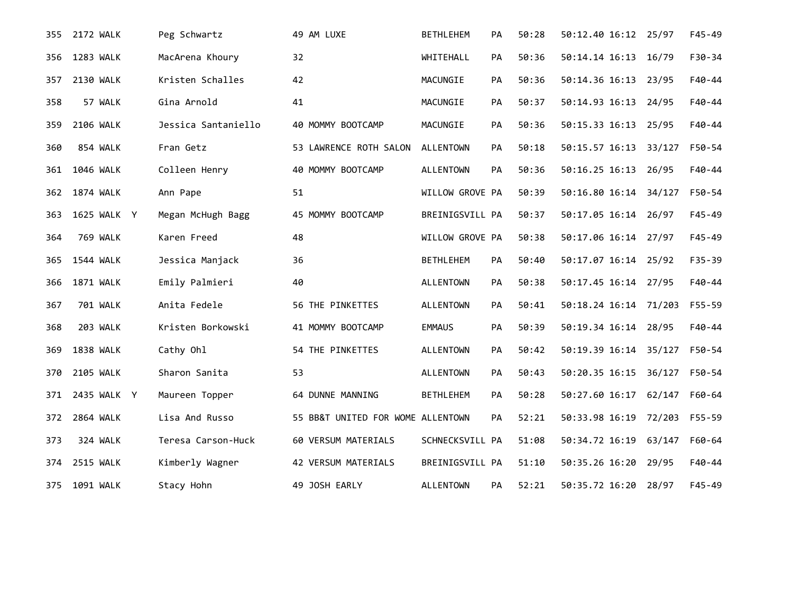| 355 | 2172 WALK        | Peg Schwartz        | 49 AM LUXE                        | <b>BETHLEHEM</b> | PA        | 50:28 | 50:12.40 16:12 25/97  |        | $F45 - 49$ |
|-----|------------------|---------------------|-----------------------------------|------------------|-----------|-------|-----------------------|--------|------------|
| 356 | <b>1283 WALK</b> | MacArena Khoury     | 32                                | WHITEHALL        | PA        | 50:36 | 50:14.14 16:13        | 16/79  | F30-34     |
| 357 | 2130 WALK        | Kristen Schalles    | 42                                | MACUNGIE         | PA        | 50:36 | 50:14.36 16:13 23/95  |        | F40-44     |
| 358 | 57 WALK          | Gina Arnold         | 41                                | MACUNGIE         | PA        | 50:37 | 50:14.93 16:13 24/95  |        | F40-44     |
| 359 | 2106 WALK        | Jessica Santaniello | 40 MOMMY BOOTCAMP                 | MACUNGIE         | PA        | 50:36 | 50:15.33 16:13 25/95  |        | F40-44     |
| 360 | 854 WALK         | Fran Getz           | 53 LAWRENCE ROTH SALON            | <b>ALLENTOWN</b> | PA        | 50:18 | 50:15.57 16:13 33/127 |        | F50-54     |
| 361 | 1046 WALK        | Colleen Henry       | 40 MOMMY BOOTCAMP                 | <b>ALLENTOWN</b> | PA        | 50:36 | 50:16.25 16:13 26/95  |        | F40-44     |
| 362 | 1874 WALK        | Ann Pape            | 51                                | WILLOW GROVE PA  |           | 50:39 | 50:16.80 16:14 34/127 |        | F50-54     |
| 363 | 1625 WALK Y      | Megan McHugh Bagg   | 45 MOMMY BOOTCAMP                 | BREINIGSVILL PA  |           | 50:37 | 50:17.05 16:14 26/97  |        | $F45 - 49$ |
| 364 | 769 WALK         | Karen Freed         | 48                                | WILLOW GROVE PA  |           | 50:38 | 50:17.06 16:14 27/97  |        | $F45 - 49$ |
| 365 | 1544 WALK        | Jessica Manjack     | 36                                | <b>BETHLEHEM</b> | PA        | 50:40 | 50:17.07 16:14 25/92  |        | F35-39     |
| 366 | 1871 WALK        | Emily Palmieri      | 40                                | <b>ALLENTOWN</b> | PA        | 50:38 | 50:17.45 16:14 27/95  |        | F40-44     |
| 367 | <b>701 WALK</b>  | Anita Fedele        | 56 THE PINKETTES                  | <b>ALLENTOWN</b> | PA        | 50:41 | 50:18.24 16:14 71/203 |        | F55-59     |
| 368 | 203 WALK         | Kristen Borkowski   | 41 MOMMY BOOTCAMP                 | <b>EMMAUS</b>    | PA        | 50:39 | 50:19.34 16:14 28/95  |        | F40-44     |
| 369 | 1838 WALK        | Cathy Ohl           | 54 THE PINKETTES                  | <b>ALLENTOWN</b> | PA        | 50:42 | 50:19.39 16:14 35/127 |        | F50-54     |
| 370 | 2105 WALK        | Sharon Sanita       | 53                                | <b>ALLENTOWN</b> | PA        | 50:43 | 50:20.35 16:15 36/127 |        | F50-54     |
| 371 | 2435 WALK Y      | Maureen Topper      | 64 DUNNE MANNING                  | <b>BETHLEHEM</b> | PA        | 50:28 | 50:27.60 16:17 62/147 |        | F60-64     |
| 372 | 2864 WALK        | Lisa And Russo      | 55 BB&T UNITED FOR WOME ALLENTOWN |                  | <b>PA</b> | 52:21 | 50:33.98 16:19 72/203 |        | F55-59     |
| 373 | 324 WALK         | Teresa Carson-Huck  | 60 VERSUM MATERIALS               | SCHNECKSVILL PA  |           | 51:08 | 50:34.72 16:19        | 63/147 | F60-64     |
| 374 | <b>2515 WALK</b> | Kimberly Wagner     | 42 VERSUM MATERIALS               | BREINIGSVILL PA  |           | 51:10 | 50:35.26 16:20        | 29/95  | F40-44     |
| 375 | 1091 WALK        | Stacy Hohn          | 49 JOSH EARLY                     | <b>ALLENTOWN</b> | <b>PA</b> | 52:21 | 50:35.72 16:20        | 28/97  | $F45 - 49$ |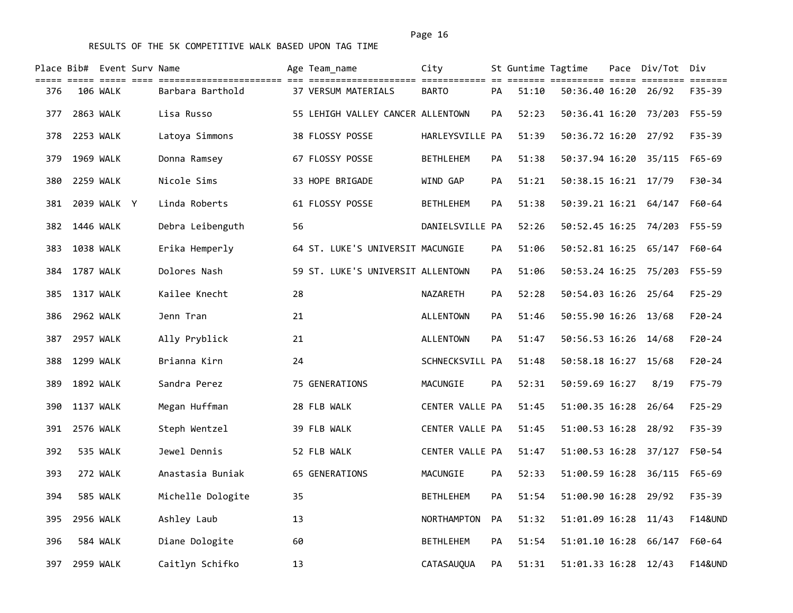|     |                  | Place Bib# Event Surv Name<br>===== ===== ==== |                   |    | Age Team name                     | City              |           | St Guntime Tagtime | ======= ========== ===== ======== | Pace Div/Tot Div             | =======            |
|-----|------------------|------------------------------------------------|-------------------|----|-----------------------------------|-------------------|-----------|--------------------|-----------------------------------|------------------------------|--------------------|
| 376 |                  | 106 WALK                                       | Barbara Barthold  |    | 37 VERSUM MATERIALS               | <b>BARTO</b>      | PA        | 51:10              | 50:36.40 16:20                    | 26/92                        | F35-39             |
| 377 | 2863 WALK        |                                                | Lisa Russo        |    | 55 LEHIGH VALLEY CANCER ALLENTOWN |                   | <b>PA</b> | 52:23              | 50:36.41 16:20 73/203             |                              | F55-59             |
| 378 | 2253 WALK        |                                                | Latoya Simmons    |    | 38 FLOSSY POSSE                   | HARLEYSVILLE PA   |           | 51:39              | 50:36.72 16:20                    | 27/92                        | $F35 - 39$         |
| 379 | 1969 WALK        |                                                | Donna Ramsey      |    | 67 FLOSSY POSSE                   | <b>BETHLEHEM</b>  | <b>PA</b> | 51:38              | 50:37.94 16:20                    | 35/115                       | $F65 - 69$         |
| 380 | 2259 WALK        |                                                | Nicole Sims       |    | 33 HOPE BRIGADE                   | WIND GAP          | <b>PA</b> | 51:21              | 50:38.15 16:21 17/79              |                              | F30-34             |
| 381 |                  | 2039 WALK Y                                    | Linda Roberts     |    | 61 FLOSSY POSSE                   | <b>BETHLEHEM</b>  | <b>PA</b> | 51:38              | 50:39.21 16:21 64/147             |                              | F60-64             |
| 382 | 1446 WALK        |                                                | Debra Leibenguth  | 56 |                                   | DANIELSVILLE PA   |           | 52:26              | 50:52.45 16:25 74/203             |                              | F55-59             |
| 383 | 1038 WALK        |                                                | Erika Hemperly    |    | 64 ST. LUKE'S UNIVERSIT MACUNGIE  |                   | <b>PA</b> | 51:06              |                                   | 50:52.81 16:25 65/147 F60-64 |                    |
| 384 | 1787 WALK        |                                                | Dolores Nash      |    | 59 ST. LUKE'S UNIVERSIT ALLENTOWN |                   | <b>PA</b> | 51:06              | 50:53.24 16:25 75/203             |                              | $F55 - 59$         |
| 385 | 1317 WALK        |                                                | Kailee Knecht     | 28 |                                   | NAZARETH          | <b>PA</b> | 52:28              | 50:54.03 16:26 25/64              |                              | $F25 - 29$         |
| 386 | 2962 WALK        |                                                | Jenn Tran         | 21 |                                   | ALLENTOWN         | PA        | 51:46              | 50:55.90 16:26 13/68              |                              | $F20 - 24$         |
| 387 | 2957 WALK        |                                                | Ally Pryblick     | 21 |                                   | <b>ALLENTOWN</b>  | PA        | 51:47              | 50:56.53 16:26                    | 14/68                        | $F20 - 24$         |
| 388 | 1299 WALK        |                                                | Brianna Kirn      | 24 |                                   | SCHNECKSVILL PA   |           | 51:48              | 50:58.18 16:27 15/68              |                              | $F20 - 24$         |
| 389 | 1892 WALK        |                                                | Sandra Perez      |    | 75 GENERATIONS                    | MACUNGIE          | PA        | 52:31              | 50:59.69 16:27                    | 8/19                         | F75-79             |
| 390 | <b>1137 WALK</b> |                                                | Megan Huffman     |    | 28 FLB WALK                       | CENTER VALLE PA   |           | 51:45              | 51:00.35 16:28                    | 26/64                        | $F25 - 29$         |
| 391 | 2576 WALK        |                                                | Steph Wentzel     |    | 39 FLB WALK                       | CENTER VALLE PA   |           | 51:45              | 51:00.53 16:28                    | 28/92                        | F35-39             |
| 392 |                  | 535 WALK                                       | Jewel Dennis      |    | 52 FLB WALK                       | CENTER VALLE PA   |           | 51:47              | 51:00.53 16:28 37/127             |                              | F50-54             |
| 393 |                  | 272 WALK                                       | Anastasia Buniak  |    | 65 GENERATIONS                    | MACUNGIE          | PA        | 52:33              | 51:00.59 16:28                    | 36/115                       | $F65 - 69$         |
| 394 |                  | 585 WALK                                       | Michelle Dologite | 35 |                                   | <b>BETHLEHEM</b>  | <b>PA</b> | 51:54              | 51:00.90 16:28                    | 29/92                        | $F35 - 39$         |
| 395 | 2956 WALK        |                                                | Ashley Laub       | 13 |                                   | NORTHAMPTON       | <b>PA</b> | 51:32              | 51:01.09 16:28 11/43              |                              | <b>F14&amp;UND</b> |
| 396 |                  | 584 WALK                                       | Diane Dologite    | 60 |                                   | <b>BETHLEHEM</b>  | <b>PA</b> | 51:54              | 51:01.10 16:28 66/147             |                              | $F60 - 64$         |
| 397 | 2959 WALK        |                                                | Caitlyn Schifko   | 13 |                                   | <b>CATASAUOUA</b> | <b>PA</b> | 51:31              | 51:01.33 16:28                    | 12/43                        | <b>F14&amp;UND</b> |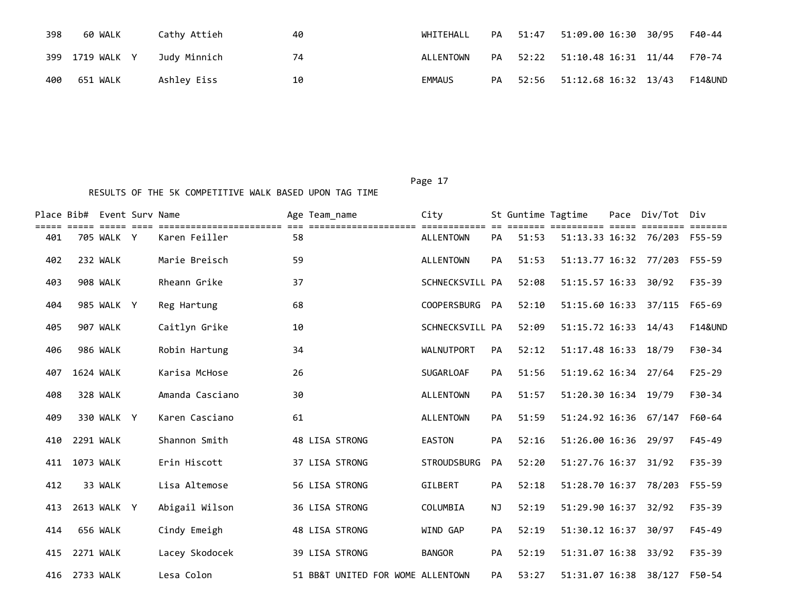| 398 | 60 WALK         | Cathy Attieh | 40 | WHITEHALL     | PA | 51:47 | 51:09.00 16:30 30/95 | F40-44  |
|-----|-----------------|--------------|----|---------------|----|-------|----------------------|---------|
|     | 399 1719 WALK Y | Judy Minnich | 74 | ALLENTOWN     | PА | 52:22 | 51:10.48 16:31 11/44 | F70-74  |
| 400 | 651 WALK        | Ashlev Eiss  | 10 | <b>EMMAUS</b> | PA | 52:56 | 51:12.68 16:32 13/43 | F14&UND |

Page 17

|     |           | Place Bib# Event Surv Name |                                                 |    | Age Team name                     | City                             |           | St Guntime Tagtime |                              | Pace Div/Tot Div             |                    |
|-----|-----------|----------------------------|-------------------------------------------------|----|-----------------------------------|----------------------------------|-----------|--------------------|------------------------------|------------------------------|--------------------|
| 401 |           | 705 WALK Y                 | ==============================<br>Karen Feiller | 58 | _____________________             | ============<br><b>ALLENTOWN</b> | <b>PA</b> | 51:53              |                              | 51:13.33 16:32 76/203 F55-59 |                    |
| 402 |           | 232 WALK                   | Marie Breisch                                   | 59 |                                   | <b>ALLENTOWN</b>                 | <b>PA</b> | 51:53              | 51:13.77 16:32 77/203 F55-59 |                              |                    |
| 403 |           | 908 WALK                   | Rheann Grike                                    | 37 |                                   | SCHNECKSVILL PA                  |           | 52:08              | 51:15.57 16:33               | 30/92                        | $F35 - 39$         |
| 404 |           | 985 WALK Y                 | Reg Hartung                                     | 68 |                                   | <b>COOPERSBURG</b>               | <b>PA</b> | 52:10              | 51:15.60 16:33               | 37/115                       | F65-69             |
| 405 |           | 907 WALK                   | Caitlyn Grike                                   | 10 |                                   | SCHNECKSVILL PA                  |           | 52:09              | 51:15.72 16:33 14/43         |                              | <b>F14&amp;UND</b> |
| 406 |           | 986 WALK                   | Robin Hartung                                   | 34 |                                   | <b>WALNUTPORT</b>                | PA        | 52:12              | 51:17.48 16:33               | 18/79                        | $F30-34$           |
| 407 | 1624 WALK |                            | Karisa McHose                                   | 26 |                                   | <b>SUGARLOAF</b>                 | <b>PA</b> | 51:56              | 51:19.62 16:34               | 27/64                        | $F25 - 29$         |
| 408 |           | 328 WALK                   | Amanda Casciano                                 | 30 |                                   | <b>ALLENTOWN</b>                 | <b>PA</b> | 51:57              | 51:20.30 16:34 19/79         |                              | F30-34             |
| 409 |           | 330 WALK Y                 | Karen Casciano                                  | 61 |                                   | <b>ALLENTOWN</b>                 | <b>PA</b> | 51:59              | 51:24.92 16:36 67/147        |                              | F60-64             |
| 410 | 2291 WALK |                            | Shannon Smith                                   |    | 48 LISA STRONG                    | <b>EASTON</b>                    | <b>PA</b> | 52:16              | 51:26.00 16:36 29/97         |                              | F45-49             |
| 411 | 1073 WALK |                            | Erin Hiscott                                    |    | 37 LISA STRONG                    | <b>STROUDSBURG</b>               | <b>PA</b> | 52:20              | 51:27.76 16:37               | 31/92                        | F35-39             |
| 412 |           | 33 WALK                    | Lisa Altemose                                   |    | 56 LISA STRONG                    | GILBERT                          | <b>PA</b> | 52:18              | 51:28.70 16:37 78/203 F55-59 |                              |                    |
| 413 |           | 2613 WALK Y                | Abigail Wilson                                  |    | 36 LISA STRONG                    | COLUMBIA                         | NJ        | 52:19              | 51:29.90 16:37               | 32/92                        | $F35 - 39$         |
| 414 |           | 656 WALK                   | Cindy Emeigh                                    |    | 48 LISA STRONG                    | WIND GAP                         | PA        | 52:19              | 51:30.12 16:37               | 30/97                        | $F45 - 49$         |
| 415 | 2271 WALK |                            | Lacey Skodocek                                  |    | 39 LISA STRONG                    | <b>BANGOR</b>                    | <b>PA</b> | 52:19              | 51:31.07 16:38               | 33/92                        | F35-39             |
| 416 | 2733 WALK |                            | Lesa Colon                                      |    | 51 BB&T UNITED FOR WOME ALLENTOWN |                                  | PA        | 53:27              | 51:31.07 16:38               | 38/127                       | F50-54             |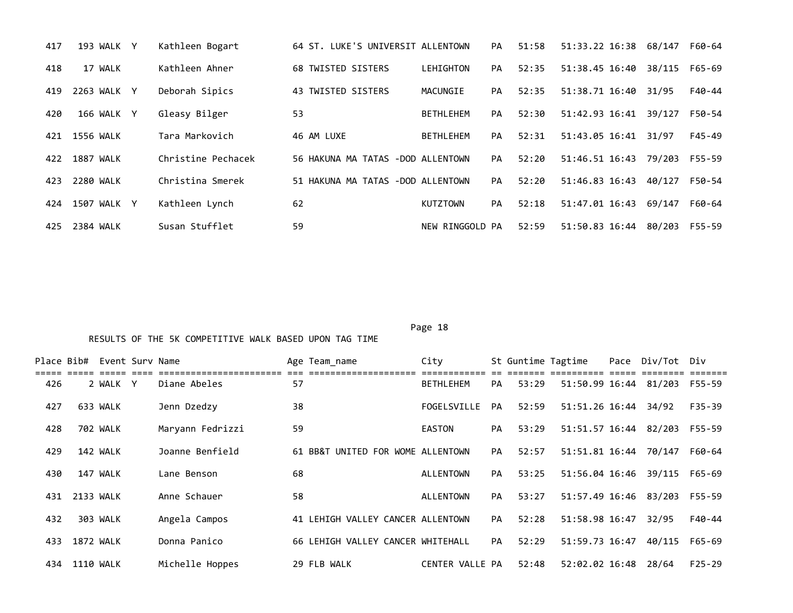| 417 | 193 WALK Y  | Kathleen Bogart    | 64 ST. LUKE'S UNIVERSIT ALLENTOWN |                  | PA | 51:58 | 51:33.22 16:38        | 68/147 | F60-64 |
|-----|-------------|--------------------|-----------------------------------|------------------|----|-------|-----------------------|--------|--------|
| 418 | 17 WALK     | Kathleen Ahner     | 68 TWISTED SISTERS                | LEHIGHTON        | PA | 52:35 | 51:38.45 16:40        | 38/115 | F65-69 |
| 419 | 2263 WALK Y | Deborah Sipics     | 43 TWISTED SISTERS                | MACUNGIE         | PA | 52:35 | 51:38.71 16:40        | 31/95  | F40-44 |
| 420 | 166 WALK Y  | Gleasy Bilger      | 53                                | <b>BETHLEHEM</b> | PA | 52:30 | 51:42.93 16:41        | 39/127 | F50-54 |
| 421 | 1556 WALK   | Tara Markovich     | 46 AM LUXE                        | <b>BETHLEHEM</b> | PA | 52:31 | 51:43.05 16:41        | 31/97  | F45-49 |
| 422 | 1887 WALK   | Christine Pechacek | 56 HAKUNA MA TATAS -DOD ALLENTOWN |                  | PA | 52:20 | 51:46.51 16:43 79/203 |        | F55-59 |
| 423 | 2280 WALK   | Christina Smerek   | 51 HAKUNA MA TATAS -DOD ALLENTOWN |                  | PA | 52:20 | 51:46.83 16:43        | 40/127 | F50-54 |
| 424 | 1507 WALK Y | Kathleen Lynch     | 62                                | <b>KUTZTOWN</b>  | PA | 52:18 | 51:47.01 16:43        | 69/147 | F60-64 |
| 425 | 2384 WALK   | Susan Stufflet     | 59                                | NEW RINGGOLD PA  |    | 52:59 | 51:50.83 16:44        | 80/203 | F55-59 |

Page 18

| Place Bib# Event Surv Name |           |          |                  |    | Age Team_name                     | City             |           | St Guntime Tagtime |                       | Pace Div/Tot Div |            |
|----------------------------|-----------|----------|------------------|----|-----------------------------------|------------------|-----------|--------------------|-----------------------|------------------|------------|
| 426                        |           | 2 WALK Y | Diane Abeles     | 57 |                                   | <b>BETHLEHEM</b> | <b>PA</b> | 53:29              | 51:50.99 16:44        | 81/203           | F55-59     |
| 427                        |           | 633 WALK | Jenn Dzedzy      | 38 |                                   | FOGELSVILLE      | PA        | 52:59              | 51:51.26 16:44        | 34/92            | $F35 - 39$ |
| 428                        |           | 702 WALK | Maryann Fedrizzi | 59 |                                   | <b>EASTON</b>    | PA        | 53:29              | 51:51.57 16:44        | 82/203           | F55-59     |
| 429                        |           | 142 WALK | Joanne Benfield  |    | 61 BB&T UNITED FOR WOME ALLENTOWN |                  | PA        | 52:57              | 51:51.81 16:44        | 70/147           | F60-64     |
| 430                        |           | 147 WALK | Lane Benson      | 68 |                                   | ALLENTOWN        | PA        | 53:25              | 51:56.04 16:46        | 39/115           | F65-69     |
| 431                        | 2133 WALK |          | Anne Schauer     | 58 |                                   | ALLENTOWN        | PA        | 53:27              | 51:57.49 16:46 83/203 |                  | F55-59     |
| 432                        |           | 303 WALK | Angela Campos    |    | 41 LEHIGH VALLEY CANCER ALLENTOWN |                  | <b>PA</b> | 52:28              | 51:58.98 16:47        | 32/95            | $F40 - 44$ |
| 433                        | 1872 WALK |          | Donna Panico     |    | 66 LEHIGH VALLEY CANCER WHITEHALL |                  | PA        | 52:29              | 51:59.73 16:47        | 40/115           | $F65 - 69$ |
| 434                        | 1110 WALK |          | Michelle Hoppes  |    | 29 FLB WALK                       | CENTER VALLE PA  |           | 52:48              | 52:02.02 16:48        | 28/64            | $F25 - 29$ |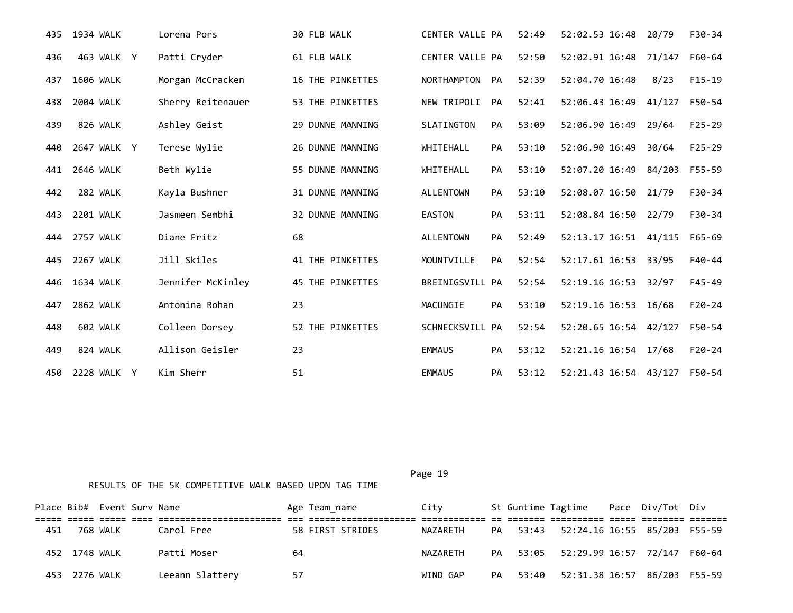| 435 | 1934 WALK        | Lorena Pors       | 30 FLB WALK             | CENTER VALLE PA    |           | 52:49 | 52:02.53 16:48        | 20/79  | F30-34     |
|-----|------------------|-------------------|-------------------------|--------------------|-----------|-------|-----------------------|--------|------------|
| 436 | 463 WALK Y       | Patti Cryder      | 61 FLB WALK             | CENTER VALLE PA    |           | 52:50 | 52:02.91 16:48        | 71/147 | F60-64     |
| 437 | 1606 WALK        | Morgan McCracken  | 16 THE PINKETTES        | <b>NORTHAMPTON</b> | PA        | 52:39 | 52:04.70 16:48        | 8/23   | $F15-19$   |
| 438 | 2004 WALK        | Sherry Reitenauer | 53 THE PINKETTES        | NEW TRIPOLI        | PA        | 52:41 | 52:06.43 16:49 41/127 |        | F50-54     |
| 439 | 826 WALK         | Ashley Geist      | 29 DUNNE MANNING        | SLATINGTON         | PA        | 53:09 | 52:06.90 16:49        | 29/64  | $F25 - 29$ |
| 440 | 2647 WALK Y      | Terese Wylie      | 26 DUNNE MANNING        | <b>WHITEHALL</b>   | <b>PA</b> | 53:10 | 52:06.90 16:49        | 30/64  | $F25 - 29$ |
| 441 | 2646 WALK        | Beth Wylie        | 55 DUNNE MANNING        | WHITEHALL          | PA        | 53:10 | 52:07.20 16:49        | 84/203 | F55-59     |
| 442 | 282 WALK         | Kayla Bushner     | 31 DUNNE MANNING        | <b>ALLENTOWN</b>   | PA        | 53:10 | 52:08.07 16:50        | 21/79  | F30-34     |
| 443 | 2201 WALK        | Jasmeen Sembhi    | 32 DUNNE MANNING        | <b>EASTON</b>      | PA        | 53:11 | 52:08.84 16:50        | 22/79  | $F30-34$   |
| 444 | <b>2757 WALK</b> | Diane Fritz       | 68                      | <b>ALLENTOWN</b>   | PA        | 52:49 | 52:13.17 16:51 41/115 |        | F65-69     |
| 445 | <b>2267 WALK</b> | Jill Skiles       | 41 THE PINKETTES        | MOUNTVILLE         | <b>PA</b> | 52:54 | 52:17.61 16:53 33/95  |        | F40-44     |
| 446 | 1634 WALK        | Jennifer McKinley | <b>45 THE PINKETTES</b> | BREINIGSVILL PA    |           | 52:54 | 52:19.16 16:53        | 32/97  | $F45 - 49$ |
| 447 | 2862 WALK        | Antonina Rohan    | 23                      | MACUNGIE           | <b>PA</b> | 53:10 | 52:19.16 16:53 16/68  |        | $F20-24$   |
| 448 | 602 WALK         | Colleen Dorsey    | 52 THE PINKETTES        | SCHNECKSVILL PA    |           | 52:54 | 52:20.65 16:54 42/127 |        | F50-54     |
| 449 | 824 WALK         | Allison Geisler   | 23                      | <b>EMMAUS</b>      | PA        | 53:12 | 52:21.16 16:54 17/68  |        | $F20-24$   |
| 450 | 2228 WALK Y      | Kim Sherr         | 51                      | <b>EMMAUS</b>      | PA        | 53:12 | 52:21.43 16:54 43/127 |        | F50-54     |

|     |               | Place Bib# Event Surv Name |                 |    | Age Team name    | Citv     |    |       | St Guntime Tagtime Pace Div/Tot Div   |  |  |
|-----|---------------|----------------------------|-----------------|----|------------------|----------|----|-------|---------------------------------------|--|--|
|     |               |                            |                 |    |                  |          |    |       |                                       |  |  |
| 451 |               | 768 WALK                   | Carol Free      |    | 58 FIRST STRIDES | NAZARETH |    |       | PA 53:43 52:24.16 16:55 85/203 F55-59 |  |  |
|     | 452 1748 WALK |                            | Patti Moser     | 64 |                  | NAZARETH |    |       | PA 53:05 52:29.99 16:57 72/147 F60-64 |  |  |
|     | 453 2276 WALK |                            | Leeann Slattery | 57 |                  | WIND GAP | PA | 53:40 | 52:31.38 16:57 86/203 F55-59          |  |  |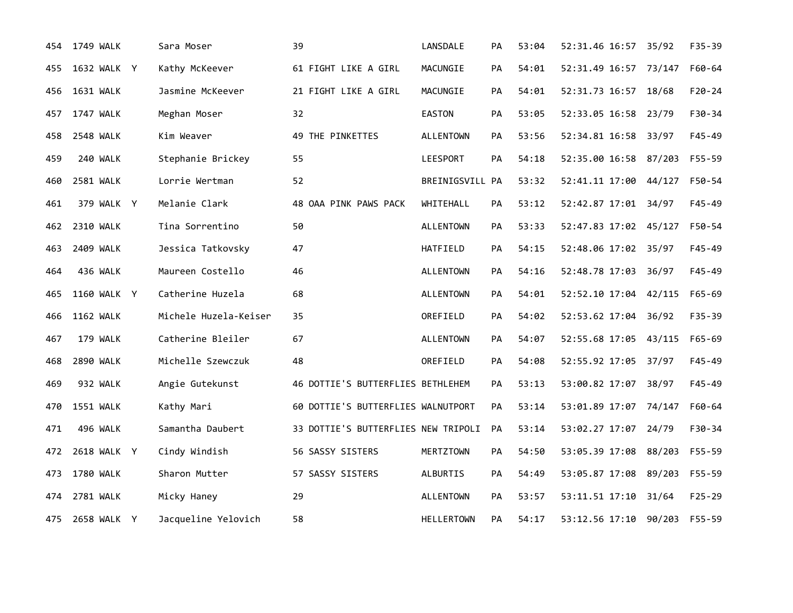| 454 | 1749 WALK        | Sara Moser            | 39                                  | LANSDALE          | <b>PA</b> | 53:04 | 52:31.46 16:57        | 35/92  | $F35 - 39$ |
|-----|------------------|-----------------------|-------------------------------------|-------------------|-----------|-------|-----------------------|--------|------------|
| 455 | 1632 WALK Y      | Kathy McKeever        | 61 FIGHT LIKE A GIRL                | MACUNGIE          | PA        | 54:01 | 52:31.49 16:57        | 73/147 | F60-64     |
| 456 | 1631 WALK        | Jasmine McKeever      | 21 FIGHT LIKE A GIRL                | MACUNGIE          | PA        | 54:01 | 52:31.73 16:57        | 18/68  | $F20-24$   |
| 457 | 1747 WALK        | Meghan Moser          | 32                                  | EASTON            | PA        | 53:05 | 52:33.05 16:58 23/79  |        | F30-34     |
| 458 | <b>2548 WALK</b> | Kim Weaver            | 49 THE PINKETTES                    | ALLENTOWN         | <b>PA</b> | 53:56 | 52:34.81 16:58        | 33/97  | $F45 - 49$ |
| 459 | 240 WALK         | Stephanie Brickey     | 55                                  | LEESPORT          | PA        | 54:18 | 52:35.00 16:58 87/203 |        | F55-59     |
| 460 | 2581 WALK        | Lorrie Wertman        | 52                                  | BREINIGSVILL PA   |           | 53:32 | 52:41.11 17:00 44/127 |        | F50-54     |
| 461 | 379 WALK Y       | Melanie Clark         | 48 OAA PINK PAWS PACK               | WHITEHALL         | PA        | 53:12 | 52:42.87 17:01 34/97  |        | $F45 - 49$ |
| 462 | 2310 WALK        | Tina Sorrentino       | 50                                  | <b>ALLENTOWN</b>  | PA        | 53:33 | 52:47.83 17:02 45/127 |        | F50-54     |
| 463 | 2409 WALK        | Jessica Tatkovsky     | 47                                  | HATFIELD          | <b>PA</b> | 54:15 | 52:48.06 17:02 35/97  |        | $F45 - 49$ |
| 464 | 436 WALK         | Maureen Costello      | 46                                  | <b>ALLENTOWN</b>  | PA        | 54:16 | 52:48.78 17:03 36/97  |        | $F45 - 49$ |
| 465 | 1160 WALK Y      | Catherine Huzela      | 68                                  | <b>ALLENTOWN</b>  | PA        | 54:01 | 52:52.10 17:04 42/115 |        | $F65 - 69$ |
| 466 | <b>1162 WALK</b> | Michele Huzela-Keiser | 35                                  | OREFIELD          | PA        | 54:02 | 52:53.62 17:04        | 36/92  | F35-39     |
| 467 | 179 WALK         | Catherine Bleiler     | 67                                  | <b>ALLENTOWN</b>  | PA        | 54:07 | 52:55.68 17:05        | 43/115 | $F65 - 69$ |
| 468 | 2890 WALK        | Michelle Szewczuk     | 48                                  | OREFIELD          | <b>PA</b> | 54:08 | 52:55.92 17:05 37/97  |        | $F45 - 49$ |
| 469 | 932 WALK         | Angie Gutekunst       | 46 DOTTIE'S BUTTERFLIES BETHLEHEM   |                   | PA        | 53:13 | 53:00.82 17:07        | 38/97  | $F45 - 49$ |
| 470 | 1551 WALK        | Kathy Mari            | 60 DOTTIE'S BUTTERFLIES WALNUTPORT  |                   | PA        | 53:14 | 53:01.89 17:07 74/147 |        | F60-64     |
| 471 | 496 WALK         | Samantha Daubert      | 33 DOTTIE'S BUTTERFLIES NEW TRIPOLI |                   | <b>PA</b> | 53:14 | 53:02.27 17:07        | 24/79  | F30-34     |
| 472 | 2618 WALK Y      | Cindy Windish         | 56 SASSY SISTERS                    | <b>MERTZTOWN</b>  | PA        | 54:50 | 53:05.39 17:08 88/203 |        | F55-59     |
| 473 | 1780 WALK        | Sharon Mutter         | 57 SASSY SISTERS                    | ALBURTIS          | PA        | 54:49 | 53:05.87 17:08 89/203 |        | F55-59     |
| 474 | 2781 WALK        | Micky Haney           | 29                                  | <b>ALLENTOWN</b>  | PA        | 53:57 | 53:11.51 17:10        | 31/64  | $F25 - 29$ |
| 475 | 2658 WALK Y      | Jacqueline Yelovich   | 58                                  | <b>HELLERTOWN</b> | <b>PA</b> | 54:17 | 53:12.56 17:10 90/203 |        | F55-59     |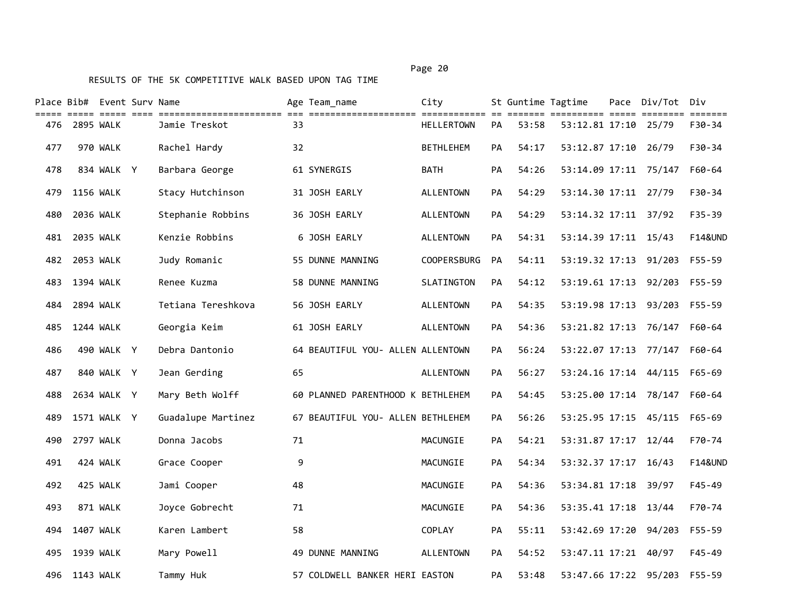|     | Place Bib# Event Surv Name | ===== ===== ==== |                    |    | Age Team name                     | City              |    | St Guntime Tagtime | ======= =========== ===== ======== | Pace Div/Tot | Div<br>=======     |
|-----|----------------------------|------------------|--------------------|----|-----------------------------------|-------------------|----|--------------------|------------------------------------|--------------|--------------------|
| 476 | 2895 WALK                  |                  | Jamie Treskot      | 33 |                                   | <b>HELLERTOWN</b> | PA | 53:58              | 53:12.81 17:10 25/79               |              | F30-34             |
| 477 |                            | 970 WALK         | Rachel Hardy       | 32 |                                   | <b>BETHLEHEM</b>  | PA | 54:17              | 53:12.87 17:10 26/79               |              | F30-34             |
| 478 |                            | 834 WALK Y       | Barbara George     |    | 61 SYNERGIS                       | <b>BATH</b>       | PA | 54:26              | 53:14.09 17:11 75/147              |              | $F60 - 64$         |
| 479 | <b>1156 WALK</b>           |                  | Stacy Hutchinson   |    | 31 JOSH EARLY                     | <b>ALLENTOWN</b>  | PA | 54:29              | 53:14.30 17:11 27/79               |              | F30-34             |
| 480 | 2036 WALK                  |                  | Stephanie Robbins  |    | 36 JOSH EARLY                     | <b>ALLENTOWN</b>  | PA | 54:29              | 53:14.32 17:11                     | 37/92        | F35-39             |
| 481 | 2035 WALK                  |                  | Kenzie Robbins     |    | 6 JOSH EARLY                      | <b>ALLENTOWN</b>  | PA | 54:31              | 53:14.39 17:11 15/43               |              | <b>F14&amp;UND</b> |
| 482 | 2053 WALK                  |                  | Judy Romanic       |    | 55 DUNNE MANNING                  | COOPERSBURG       | PA | 54:11              | 53:19.32 17:13 91/203              |              | F55-59             |
| 483 | 1394 WALK                  |                  | Renee Kuzma        |    | 58 DUNNE MANNING                  | SLATINGTON        | PA | 54:12              | 53:19.61 17:13                     | 92/203       | $F55 - 59$         |
| 484 | 2894 WALK                  |                  | Tetiana Tereshkova |    | 56 JOSH EARLY                     | <b>ALLENTOWN</b>  | PA | 54:35              | 53:19.98 17:13                     | 93/203       | $F55 - 59$         |
| 485 | 1244 WALK                  |                  | Georgia Keim       |    | 61 JOSH EARLY                     | <b>ALLENTOWN</b>  | PA | 54:36              | 53:21.82 17:13 76/147              |              | F60-64             |
| 486 |                            | 490 WALK Y       | Debra Dantonio     |    | 64 BEAUTIFUL YOU- ALLEN ALLENTOWN |                   | PA | 56:24              | 53:22.07 17:13 77/147              |              | F60-64             |
| 487 |                            | 840 WALK Y       | Jean Gerding       | 65 |                                   | <b>ALLENTOWN</b>  | PA | 56:27              | 53:24.16 17:14 44/115              |              | $F65 - 69$         |
| 488 |                            | 2634 WALK Y      | Mary Beth Wolff    |    | 60 PLANNED PARENTHOOD K BETHLEHEM |                   | PA | 54:45              | 53:25.00 17:14 78/147              |              | F60-64             |
| 489 |                            | 1571 WALK Y      | Guadalupe Martinez |    | 67 BEAUTIFUL YOU- ALLEN BETHLEHEM |                   | PA | 56:26              | 53:25.95 17:15 45/115              |              | $F65 - 69$         |
| 490 | 2797 WALK                  |                  | Donna Jacobs       | 71 |                                   | MACUNGIE          | PA | 54:21              | 53:31.87 17:17 12/44               |              | F70-74             |
| 491 |                            | 424 WALK         | Grace Cooper       | 9  |                                   | MACUNGIE          | PA | 54:34              | 53:32.37 17:17                     | 16/43        | <b>F14&amp;UND</b> |
| 492 |                            | 425 WALK         | Jami Cooper        | 48 |                                   | MACUNGIE          | PA | 54:36              | 53:34.81 17:18                     | 39/97        | F45-49             |
| 493 |                            | 871 WALK         | Joyce Gobrecht     | 71 |                                   | MACUNGIE          | PA | 54:36              | 53:35.41 17:18 13/44               |              | F70-74             |
| 494 | 1407 WALK                  |                  | Karen Lambert      | 58 |                                   | <b>COPLAY</b>     | PA | 55:11              | 53:42.69 17:20                     | 94/203       | $F55 - 59$         |
| 495 | 1939 WALK                  |                  | Mary Powell        |    | 49 DUNNE MANNING                  | ALLENTOWN         | PA | 54:52              | 53:47.11 17:21                     | 40/97        | F45-49             |
| 496 | 1143 WALK                  |                  | Tammy Huk          |    | 57 COLDWELL BANKER HERI EASTON    |                   | PA | 53:48              | 53:47.66 17:22                     | 95/203       | $F55 - 59$         |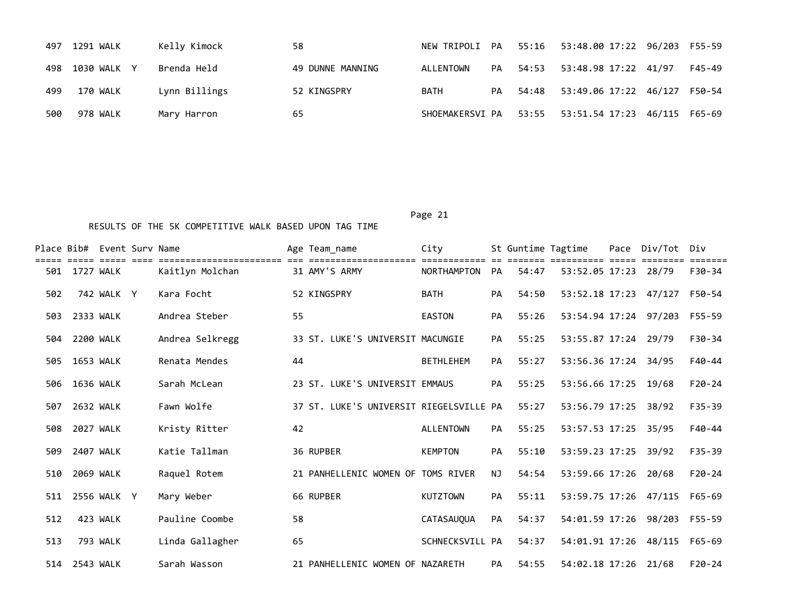| 497 | 1291 WALK   | Kelly Kimock  | 58               |                 |    |          | NEW TRIPOLI PA 55:16 53:48.00 17:22 96/203 F55-59 |               |        |
|-----|-------------|---------------|------------------|-----------------|----|----------|---------------------------------------------------|---------------|--------|
| 498 | 1030 WALK Y | Brenda Held   | 49 DUNNE MANNING | ALLENTOWN       | PA | 54:53    | 53:48.98 17:22 41/97                              |               | F45-49 |
| 499 | 170 WALK    | Lynn Billings | 52 KINGSPRY      | BATH            |    | PA 54:48 | 53:49.06 17:22 46/127 F50-54                      |               |        |
| 500 | 978 WALK    | Mary Harron   | 65               | SHOEMAKERSVI PA |    |          |                                                   | 46/115 F65-69 |        |

|     |           | Place Bib# Event Surv Name |                 |    | Age Team name                           | City             |           | St Guntime Tagtime |                              | Pace | Div/Tot Div |            |  |
|-----|-----------|----------------------------|-----------------|----|-----------------------------------------|------------------|-----------|--------------------|------------------------------|------|-------------|------------|--|
| 501 | 1727 WALK |                            | Kaitlyn Molchan |    | 31 AMY'S ARMY                           | NORTHAMPTON      | <b>PA</b> | 54:47              | 53:52.05 17:23 28/79         |      |             | F30-34     |  |
| 502 |           | 742 WALK Y                 | Kara Focht      |    | 52 KINGSPRY                             | <b>BATH</b>      | PA        | 54:50              | 53:52.18 17:23 47/127 F50-54 |      |             |            |  |
| 503 | 2333 WALK |                            | Andrea Steber   | 55 |                                         | <b>EASTON</b>    | <b>PA</b> | 55:26              | 53:54.94 17:24 97/203        |      |             | F55-59     |  |
| 504 | 2200 WALK |                            | Andrea Selkregg |    | 33 ST. LUKE'S UNIVERSIT MACUNGIE        |                  | <b>PA</b> | 55:25              | 53:55.87 17:24 29/79         |      |             | F30-34     |  |
| 505 | 1653 WALK |                            | Renata Mendes   | 44 |                                         | <b>BETHLEHEM</b> | <b>PA</b> | 55:27              | 53:56.36 17:24 34/95         |      |             | F40-44     |  |
| 506 | 1636 WALK |                            | Sarah McLean    |    | 23 ST. LUKE'S UNIVERSIT EMMAUS          |                  | <b>PA</b> | 55:25              | 53:56.66 17:25               |      | 19/68       | $F20-24$   |  |
| 507 | 2632 WALK |                            | Fawn Wolfe      |    | 37 ST. LUKE'S UNIVERSIT RIEGELSVILLE PA |                  |           | 55:27              | 53:56.79 17:25               |      | 38/92       | $F35 - 39$ |  |
| 508 | 2027 WALK |                            | Kristy Ritter   | 42 |                                         | <b>ALLENTOWN</b> | PA        | 55:25              | 53:57.53 17:25 35/95         |      |             | $F40-44$   |  |
| 509 | 2407 WALK |                            | Katie Tallman   |    | 36 RUPBER                               | <b>KEMPTON</b>   | PA        | 55:10              | 53:59.23 17:25 39/92         |      |             | $F35 - 39$ |  |
| 510 | 2069 WALK |                            | Raquel Rotem    |    | 21 PANHELLENIC WOMEN OF TOMS RIVER      |                  | NJ.       | 54:54              | 53:59.66 17:26               |      | 20/68       | $F20-24$   |  |
| 511 |           | 2556 WALK Y                | Mary Weber      |    | 66 RUPBER                               | <b>KUTZTOWN</b>  | PA        | 55:11              | 53:59.75 17:26 47/115        |      |             | F65-69     |  |
| 512 |           | 423 WALK                   | Pauline Coombe  | 58 |                                         | CATASAUQUA       | PA        | 54:37              | 54:01.59 17:26 98/203 F55-59 |      |             |            |  |
| 513 |           | 793 WALK                   | Linda Gallagher | 65 |                                         | SCHNECKSVILL PA  |           | 54:37              | 54:01.91 17:26 48/115        |      |             | F65-69     |  |
| 514 | 2543 WALK |                            | Sarah Wasson    |    | 21 PANHELLENIC WOMEN OF NAZARETH        |                  | <b>PA</b> | 54:55              | 54:02.18 17:26 21/68         |      |             | $F20-24$   |  |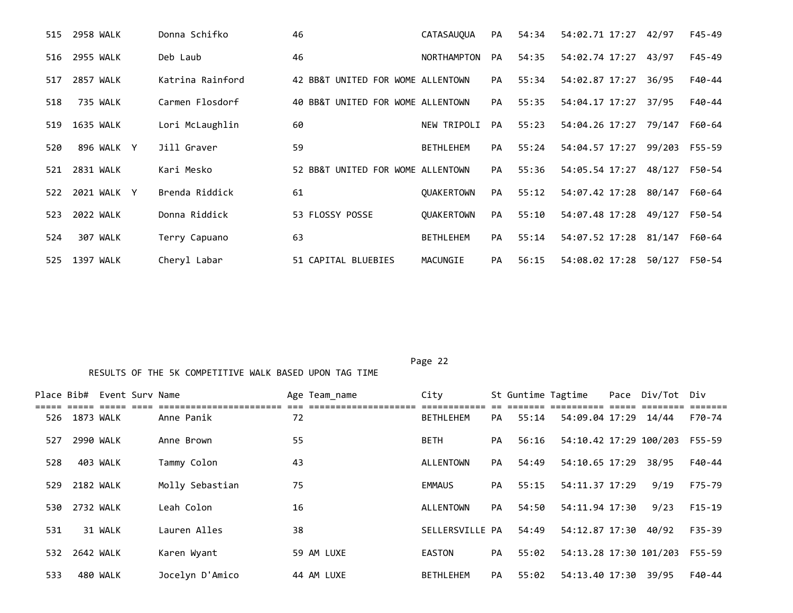| 2958 WALK<br>515   | Donna Schifko    | 46                                | <b>CATASAUOUA</b>  | PA        | 54:34 | 54:02.71 17:27        | 42/97  | $F45 - 49$ |
|--------------------|------------------|-----------------------------------|--------------------|-----------|-------|-----------------------|--------|------------|
| 2955 WALK<br>516   | Deb Laub         | 46                                | <b>NORTHAMPTON</b> | PA        | 54:35 | 54:02.74 17:27        | 43/97  | $F45 - 49$ |
| 2857 WALK<br>517   | Katrina Rainford | 42 BB&T UNITED FOR WOME ALLENTOWN |                    | <b>PA</b> | 55:34 | 54:02.87 17:27        | 36/95  | F40-44     |
| 735 WALK<br>518    | Carmen Flosdorf  | 40 BB&T UNITED FOR WOME ALLENTOWN |                    | PA        | 55:35 | 54:04.17 17:27        | 37/95  | F40-44     |
| 1635 WALK<br>519   | Lori McLaughlin  | 60                                | NEW TRIPOLI        | PA        | 55:23 | 54:04.26 17:27 79/147 |        | F60-64     |
| 896 WALK Y<br>520  | Jill Graver      | 59                                | <b>BETHLEHEM</b>   | PA        | 55:24 | 54:04.57 17:27        | 99/203 | F55-59     |
| 2831 WALK<br>521   | Kari Mesko       | 52 BB&T UNITED FOR WOME ALLENTOWN |                    | PA        | 55:36 | 54:05.54 17:27        | 48/127 | F50-54     |
| 2021 WALK Y<br>522 | Brenda Riddick   | 61                                | <b>OUAKERTOWN</b>  | PA        | 55:12 | 54:07.42 17:28 80/147 |        | F60-64     |
| 2022 WALK<br>523   | Donna Riddick    | 53 FLOSSY POSSE                   | <b>OUAKERTOWN</b>  | <b>PA</b> | 55:10 | 54:07.48 17:28        | 49/127 | F50-54     |
| 307 WALK<br>524    | Terry Capuano    | 63                                | <b>BETHLEHEM</b>   | PA        | 55:14 | 54:07.52 17:28 81/147 |        | F60-64     |
| 1397 WALK<br>525   | Cheryl Labar     | 51 CAPITAL BLUEBIES               | MACUNGIE           | PA        | 56:15 | 54:08.02 17:28        | 50/127 | F50-54     |

|     |           | Place Bib# Event Surv Name |                 | Age Team name | City             |           |       | St Guntime Tagtime     | Pace Div/Tot Div |          |
|-----|-----------|----------------------------|-----------------|---------------|------------------|-----------|-------|------------------------|------------------|----------|
| 526 | 1873 WALK |                            | Anne Panik      | 72            | <b>BETHLEHEM</b> | PA        | 55:14 | 54:09.04 17:29 14/44   |                  | F70-74   |
| 527 | 2990 WALK |                            | Anne Brown      | 55            | <b>BETH</b>      | PA        | 56:16 | 54:10.42 17:29 100/203 |                  | F55-59   |
| 528 |           | 403 WALK                   | Tammy Colon     | 43            | ALLENTOWN        | PA        | 54:49 | 54:10.65 17:29         | 38/95            | F40-44   |
| 529 | 2182 WALK |                            | Molly Sebastian | 75            | <b>EMMAUS</b>    | PA        | 55:15 | 54:11.37 17:29         | 9/19             | F75-79   |
| 530 | 2732 WALK |                            | Leah Colon      | 16            | ALLENTOWN        | <b>PA</b> | 54:50 | 54:11.94 17:30         | 9/23             | $F15-19$ |
| 531 |           | 31 WALK                    | Lauren Alles    | 38            | SELLERSVILLE PA  |           | 54:49 | 54:12.87 17:30         | 40/92            | F35-39   |
| 532 | 2642 WALK |                            | Karen Wyant     | 59 AM LUXE    | EASTON           | PA        | 55:02 | 54:13.28 17:30 101/203 |                  | F55-59   |
| 533 |           | 480 WALK                   | Jocelyn D'Amico | 44 AM LUXE    | <b>BETHLEHEM</b> | <b>PA</b> | 55:02 | 54:13.40 17:30         | 39/95            | F40-44   |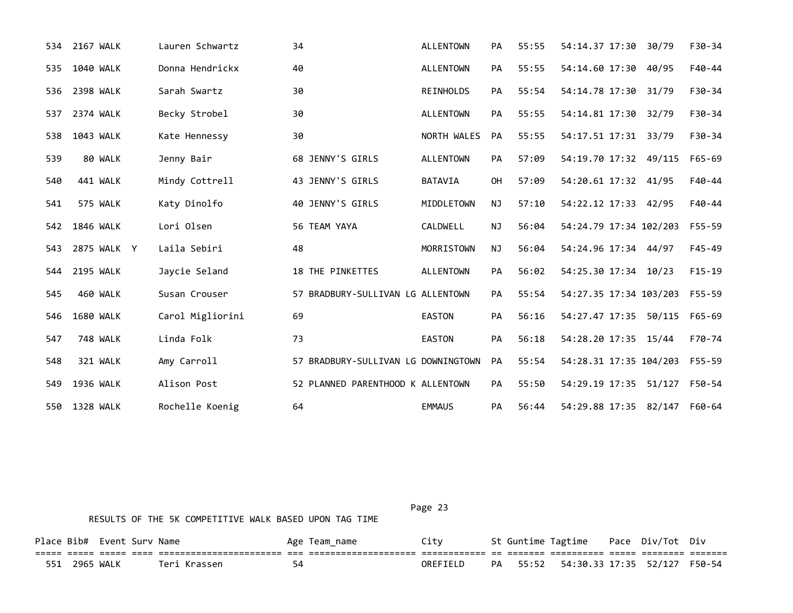|     | 534 2167 WALK    | Lauren Schwartz  | 34                                  | <b>ALLENTOWN</b> | PA        | 55:55 | 54:14.37 17:30         | 30/79 | $F30-34$   |
|-----|------------------|------------------|-------------------------------------|------------------|-----------|-------|------------------------|-------|------------|
| 535 | 1040 WALK        | Donna Hendrickx  | 40                                  | <b>ALLENTOWN</b> | <b>PA</b> | 55:55 | 54:14.60 17:30 40/95   |       | $F40 - 44$ |
| 536 | 2398 WALK        | Sarah Swartz     | 30                                  | REINHOLDS        | PA        | 55:54 | 54:14.78 17:30         | 31/79 | $F30-34$   |
| 537 | 2374 WALK        | Becky Strobel    | 30                                  | <b>ALLENTOWN</b> | PA        | 55:55 | 54:14.81 17:30         | 32/79 | F30-34     |
| 538 | 1043 WALK        | Kate Hennessy    | 30                                  | NORTH WALES      | PA        | 55:55 | 54:17.51 17:31 33/79   |       | $F30-34$   |
| 539 | 80 WALK          | Jenny Bair       | 68 JENNY'S GIRLS                    | <b>ALLENTOWN</b> | <b>PA</b> | 57:09 | 54:19.70 17:32 49/115  |       | F65-69     |
| 540 | 441 WALK         | Mindy Cottrell   | 43 JENNY'S GIRLS                    | <b>BATAVIA</b>   | <b>OH</b> | 57:09 | 54:20.61 17:32 41/95   |       | $F40-44$   |
| 541 | 575 WALK         | Katy Dinolfo     | 40 JENNY'S GIRLS                    | MIDDLETOWN       | <b>NJ</b> | 57:10 | 54:22.12 17:33 42/95   |       | $F40 - 44$ |
| 542 | 1846 WALK        | Lori Olsen       | 56 TEAM YAYA                        | CALDWELL         | <b>NJ</b> | 56:04 | 54:24.79 17:34 102/203 |       | $F55 - 59$ |
| 543 | 2875 WALK Y      | Laila Sebiri     | 48                                  | MORRISTOWN       | NJ        | 56:04 | 54:24.96 17:34 44/97   |       | $F45 - 49$ |
| 544 | <b>2195 WALK</b> | Jaycie Seland    | 18 THE PINKETTES                    | <b>ALLENTOWN</b> | PA        | 56:02 | 54:25.30 17:34 10/23   |       | $F15-19$   |
| 545 | 460 WALK         | Susan Crouser    | 57 BRADBURY-SULLIVAN LG ALLENTOWN   |                  | PA        | 55:54 | 54:27.35 17:34 103/203 |       | F55-59     |
| 546 | <b>1680 WALK</b> | Carol Migliorini | 69                                  | <b>EASTON</b>    | PA        | 56:16 | 54:27.47 17:35 50/115  |       | F65-69     |
| 547 | 748 WALK         | Linda Folk       | 73                                  | <b>EASTON</b>    | PA        | 56:18 | 54:28.20 17:35 15/44   |       | F70-74     |
| 548 | 321 WALK         | Amy Carroll      | 57 BRADBURY-SULLIVAN LG DOWNINGTOWN |                  | PA        | 55:54 | 54:28.31 17:35 104/203 |       | F55-59     |
| 549 | 1936 WALK        | Alison Post      | 52 PLANNED PARENTHOOD K ALLENTOWN   |                  | <b>PA</b> | 55:50 | 54:29.19 17:35 51/127  |       | F50-54     |
| 550 | 1328 WALK        | Rochelle Koenig  | 64                                  | <b>EMMAUS</b>    | PA        | 56:44 | 54:29.88 17:35 82/147  |       | F60-64     |

|               | Place Bib# Event Surv Name |              |    | Age Team name | Citv     |    | St Guntime Tagtime                             | Pace Div/Tot Div |  |
|---------------|----------------------------|--------------|----|---------------|----------|----|------------------------------------------------|------------------|--|
|               |                            |              |    |               |          |    |                                                |                  |  |
| 551 2965 WALK |                            | Teri Krassen | 54 |               | OREFIELD | PA | 55:52    54:30.33    17:35    52/127    F50-54 |                  |  |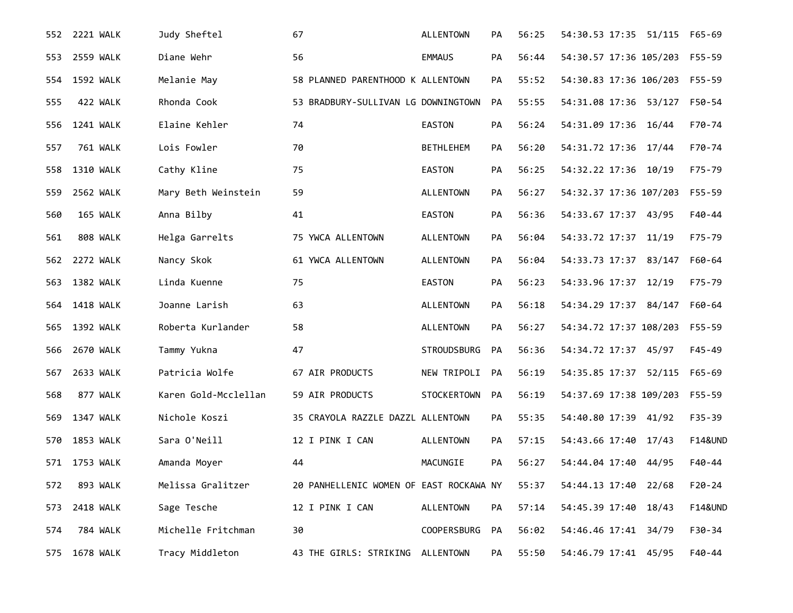| 552 - | 2221 WALK        | Judy Sheftel         | 67                                      | <b>ALLENTOWN</b>   | PA        | 56:25 | 54:30.53 17:35 51/115  | F65-69             |
|-------|------------------|----------------------|-----------------------------------------|--------------------|-----------|-------|------------------------|--------------------|
| 553   | <b>2559 WALK</b> | Diane Wehr           | 56                                      | <b>EMMAUS</b>      | PA        | 56:44 | 54:30.57 17:36 105/203 | F55-59             |
| 554   | 1592 WALK        | Melanie May          | 58 PLANNED PARENTHOOD K ALLENTOWN       |                    | PA        | 55:52 | 54:30.83 17:36 106/203 | F55-59             |
| 555   | 422 WALK         | Rhonda Cook          | 53 BRADBURY-SULLIVAN LG DOWNINGTOWN     |                    | PA        | 55:55 | 54:31.08 17:36 53/127  | F50-54             |
| 556   | <b>1241 WALK</b> | Elaine Kehler        | 74                                      | <b>EASTON</b>      | PA        | 56:24 | 54:31.09 17:36 16/44   | F70-74             |
| 557   | 761 WALK         | Lois Fowler          | 70                                      | <b>BETHLEHEM</b>   | PA        | 56:20 | 54:31.72 17:36 17/44   | F70-74             |
| 558   | 1310 WALK        | Cathy Kline          | 75                                      | <b>EASTON</b>      | PA        | 56:25 | 54:32.22 17:36 10/19   | F75-79             |
| 559   | 2562 WALK        | Mary Beth Weinstein  | 59                                      | <b>ALLENTOWN</b>   | <b>PA</b> | 56:27 | 54:32.37 17:36 107/203 | F55-59             |
| 560   | 165 WALK         | Anna Bilby           | 41                                      | <b>EASTON</b>      | <b>PA</b> | 56:36 | 54:33.67 17:37 43/95   | F40-44             |
| 561   | 808 WALK         | Helga Garrelts       | 75 YWCA ALLENTOWN                       | ALLENTOWN          | РA        | 56:04 | 54:33.72 17:37 11/19   | F75-79             |
| 562   | 2272 WALK        | Nancy Skok           | 61 YWCA ALLENTOWN                       | <b>ALLENTOWN</b>   | PA        | 56:04 | 54:33.73 17:37 83/147  | F60-64             |
| 563   | <b>1382 WALK</b> | Linda Kuenne         | 75                                      | <b>EASTON</b>      | PA        | 56:23 | 54:33.96 17:37 12/19   | F75-79             |
| 564   | <b>1418 WALK</b> | Joanne Larish        | 63                                      | <b>ALLENTOWN</b>   | <b>PA</b> | 56:18 | 54:34.29 17:37 84/147  | F60-64             |
| 565   | 1392 WALK        | Roberta Kurlander    | 58                                      | ALLENTOWN          | PA        | 56:27 | 54:34.72 17:37 108/203 | F55-59             |
| 566   | 2670 WALK        | Tammy Yukna          | 47                                      | <b>STROUDSBURG</b> | <b>PA</b> | 56:36 | 54:34.72 17:37 45/97   | $F45 - 49$         |
| 567   | 2633 WALK        | Patricia Wolfe       | 67 AIR PRODUCTS                         | NEW TRIPOLI        | PA        | 56:19 | 54:35.85 17:37 52/115  | F65-69             |
| 568   | 877 WALK         | Karen Gold-Mcclellan | 59 AIR PRODUCTS                         | STOCKERTOWN        | <b>PA</b> | 56:19 | 54:37.69 17:38 109/203 | F55-59             |
| 569   | 1347 WALK        | Nichole Koszi        | 35 CRAYOLA RAZZLE DAZZL ALLENTOWN       |                    | РA        | 55:35 | 54:40.80 17:39 41/92   | $F35 - 39$         |
| 570   | 1853 WALK        | Sara O'Neill         | 12 I PINK I CAN                         | ALLENTOWN          | <b>PA</b> | 57:15 | 54:43.66 17:40 17/43   | <b>F14&amp;UND</b> |
|       | 571 1753 WALK    | Amanda Moyer         | 44                                      | MACUNGIE           | PA        | 56:27 | 54:44.04 17:40 44/95   | F40-44             |
| 572   | 893 WALK         | Melissa Gralitzer    | 20 PANHELLENIC WOMEN OF EAST ROCKAWA NY |                    |           | 55:37 | 54:44.13 17:40 22/68   | $F20 - 24$         |
| 573   | 2418 WALK        | Sage Tesche          | 12 I PINK I CAN                         | ALLENTOWN          | PA        | 57:14 | 54:45.39 17:40 18/43   | <b>F14&amp;UND</b> |
| 574   | <b>784 WALK</b>  | Michelle Fritchman   | 30                                      | <b>COOPERSBURG</b> | PA        | 56:02 | 54:46.46 17:41 34/79   | F30-34             |
| 575   | 1678 WALK        | Tracy Middleton      | 43 THE GIRLS: STRIKING ALLENTOWN        |                    | PA        | 55:50 | 54:46.79 17:41 45/95   | F40-44             |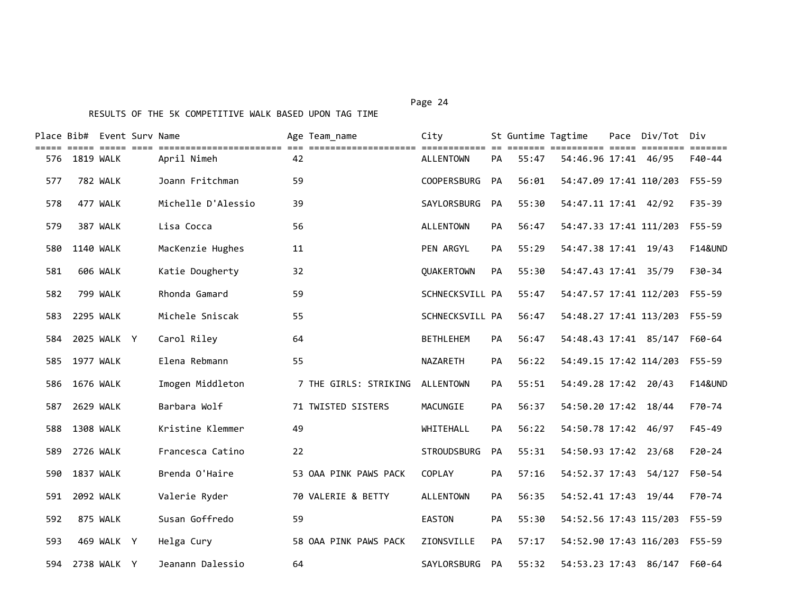|     |                  | Place Bib# Event Surv Name |                    |    | Age Team name         | City               |           | St Guntime Tagtime |                        | Pace Div/Tot Div              |                    |
|-----|------------------|----------------------------|--------------------|----|-----------------------|--------------------|-----------|--------------------|------------------------|-------------------------------|--------------------|
| 576 | 1819 WALK        |                            | April Nimeh        | 42 |                       | <b>ALLENTOWN</b>   | PA        | 55:47              | 54:46.96 17:41 46/95   |                               | F40-44             |
| 577 |                  | 782 WALK                   | Joann Fritchman    | 59 |                       | <b>COOPERSBURG</b> | <b>PA</b> | 56:01              | 54:47.09 17:41 110/203 |                               | F55-59             |
| 578 |                  | 477 WALK                   | Michelle D'Alessio | 39 |                       | SAYLORSBURG        | PA        | 55:30              | 54:47.11 17:41 42/92   |                               | $F35 - 39$         |
| 579 |                  | 387 WALK                   | Lisa Cocca         | 56 |                       | <b>ALLENTOWN</b>   | PA        | 56:47              | 54:47.33 17:41 111/203 |                               | F55-59             |
| 580 | 1140 WALK        |                            | MacKenzie Hughes   | 11 |                       | PEN ARGYL          | PA        | 55:29              | 54:47.38 17:41 19/43   |                               | <b>F14&amp;UND</b> |
| 581 |                  | 606 WALK                   | Katie Dougherty    | 32 |                       | QUAKERTOWN         | PA        | 55:30              | 54:47.43 17:41 35/79   |                               | $F30-34$           |
| 582 |                  | <b>799 WALK</b>            | Rhonda Gamard      | 59 |                       | SCHNECKSVILL PA    |           | 55:47              | 54:47.57 17:41 112/203 |                               | F55-59             |
| 583 | 2295 WALK        |                            | Michele Sniscak    | 55 |                       | SCHNECKSVILL PA    |           | 56:47              | 54:48.27 17:41 113/203 |                               | F55-59             |
| 584 |                  | 2025 WALK Y                | Carol Riley        | 64 |                       | <b>BETHLEHEM</b>   | <b>PA</b> | 56:47              |                        | 54:48.43 17:41 85/147         | F60-64             |
| 585 | 1977 WALK        |                            | Elena Rebmann      | 55 |                       | <b>NAZARETH</b>    | PA        | 56:22              |                        | 54:49.15 17:42 114/203 F55-59 |                    |
| 586 | <b>1676 WALK</b> |                            | Imogen Middleton   |    | 7 THE GIRLS: STRIKING | ALLENTOWN          | PA        | 55:51              | 54:49.28 17:42 20/43   |                               | <b>F14&amp;UND</b> |
| 587 | 2629 WALK        |                            | Barbara Wolf       |    | 71 TWISTED SISTERS    | MACUNGIE           | <b>PA</b> | 56:37              | 54:50.20 17:42 18/44   |                               | F70-74             |
| 588 | <b>1308 WALK</b> |                            | Kristine Klemmer   | 49 |                       | WHITEHALL          | <b>PA</b> | 56:22              | 54:50.78 17:42 46/97   |                               | $F45 - 49$         |
| 589 | 2726 WALK        |                            | Francesca Catino   | 22 |                       | <b>STROUDSBURG</b> | PA        | 55:31              | 54:50.93 17:42 23/68   |                               | $F20-24$           |
| 590 | <b>1837 WALK</b> |                            | Brenda O'Haire     |    | 53 OAA PINK PAWS PACK | COPLAY             | PA        | 57:16              | 54:52.37 17:43 54/127  |                               | F50-54             |
| 591 | 2092 WALK        |                            | Valerie Ryder      |    | 70 VALERIE & BETTY    | <b>ALLENTOWN</b>   | PA        | 56:35              | 54:52.41 17:43 19/44   |                               | F70-74             |
| 592 |                  | 875 WALK                   | Susan Goffredo     | 59 |                       | <b>EASTON</b>      | PA        | 55:30              | 54:52.56 17:43 115/203 |                               | F55-59             |
| 593 |                  | 469 WALK Y                 | Helga Cury         |    | 58 OAA PINK PAWS PACK | ZIONSVILLE         | PA        | 57:17              | 54:52.90 17:43 116/203 |                               | F55-59             |
| 594 |                  | 2738 WALK Y                | Jeanann Dalessio   | 64 |                       | SAYLORSBURG        | <b>PA</b> | 55:32              |                        | 54:53.23 17:43 86/147 F60-64  |                    |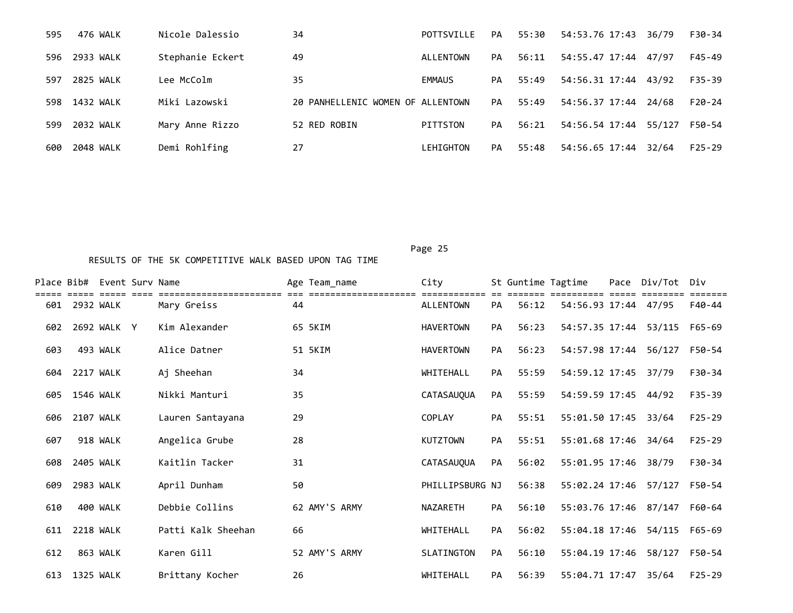| 595  | 476 WALK  | Nicole Dalessio  | 34                                | POTTSVILLE | PA | 55:30 | 54:53.76 17:43 36/79 |        | F30-34     |
|------|-----------|------------------|-----------------------------------|------------|----|-------|----------------------|--------|------------|
| 596  | 2933 WALK | Stephanie Eckert | 49                                | ALLENTOWN  | PA | 56:11 | 54:55.47 17:44       | 47/97  | F45-49     |
| 597  | 2825 WALK | Lee McColm       | 35                                | EMMAUS     | PA | 55:49 | 54:56.31 17:44       | 43/92  | F35-39     |
| 598. | 1432 WALK | Miki Lazowski    | 20 PANHELLENIC WOMEN OF ALLENTOWN |            | PA | 55:49 | 54:56.37 17:44       | 24/68  | F20-24     |
| 599  | 2032 WALK | Mary Anne Rizzo  | 52 RED ROBIN                      | PITTSTON   | PA | 56:21 | 54:56.54 17:44       | 55/127 | F50-54     |
| 600  | 2048 WALK | Demi Rohlfing    | 27                                | LEHIGHTON  | PA | 55:48 | 54:56.65 17:44       | 32/64  | $F25 - 29$ |

|     | Place Bib# Event Sury Name |             |                                    |    | Age Team_name | City              |           |       | St Guntime Tagtime    | Pace Div/Tot | Div        |
|-----|----------------------------|-------------|------------------------------------|----|---------------|-------------------|-----------|-------|-----------------------|--------------|------------|
| 601 | 2932 WALK                  |             | -------------------<br>Mary Greiss | 44 |               | <b>ALLENTOWN</b>  | <b>PA</b> | 56:12 | 54:56.93 17:44 47/95  |              | F40-44     |
| 602 |                            | 2692 WALK Y | Kim Alexander                      |    | 65 5KIM       | <b>HAVERTOWN</b>  | PA        | 56:23 | 54:57.35 17:44        | 53/115       | F65-69     |
| 603 |                            | 493 WALK    | Alice Datner                       |    | 51 5KIM       | <b>HAVERTOWN</b>  | <b>PA</b> | 56:23 | 54:57.98 17:44        | 56/127       | F50-54     |
| 604 | 2217 WALK                  |             | Aj Sheehan                         | 34 |               | WHITEHALL         | PA        | 55:59 | 54:59.12 17:45 37/79  |              | F30-34     |
| 605 | 1546 WALK                  |             | Nikki Manturi                      | 35 |               | <b>CATASAUOUA</b> | <b>PA</b> | 55:59 | 54:59.59 17:45        | 44/92        | $F35 - 39$ |
| 606 |                            | 2107 WALK   | Lauren Santayana                   | 29 |               | <b>COPLAY</b>     | <b>PA</b> | 55:51 | 55:01.50 17:45        | 33/64        | $F25 - 29$ |
| 607 |                            | 918 WALK    | Angelica Grube                     | 28 |               | <b>KUTZTOWN</b>   | PA        | 55:51 | 55:01.68 17:46        | 34/64        | $F25 - 29$ |
| 608 |                            | 2405 WALK   | Kaitlin Tacker                     | 31 |               | CATASAUQUA        | <b>PA</b> | 56:02 | 55:01.95 17:46        | 38/79        | F30-34     |
| 609 |                            | 2983 WALK   | April Dunham                       | 50 |               | PHILLIPSBURG NJ   |           | 56:38 | 55:02.24 17:46        | 57/127       | F50-54     |
| 610 |                            | 400 WALK    | Debbie Collins                     |    | 62 AMY'S ARMY | <b>NAZARETH</b>   | PA        | 56:10 | 55:03.76 17:46 87/147 |              | F60-64     |
| 611 | <b>2218 WALK</b>           |             | Patti Kalk Sheehan                 | 66 |               | WHITEHALL         | <b>PA</b> | 56:02 | 55:04.18 17:46        | 54/115       | F65-69     |
| 612 |                            | 863 WALK    | Karen Gill                         |    | 52 AMY'S ARMY | SLATINGTON        | <b>PA</b> | 56:10 | 55:04.19 17:46        | 58/127       | F50-54     |
| 613 | 1325 WALK                  |             | Brittany Kocher                    | 26 |               | WHITEHALL         | PA        | 56:39 | 55:04.71 17:47        | 35/64        | $F25 - 29$ |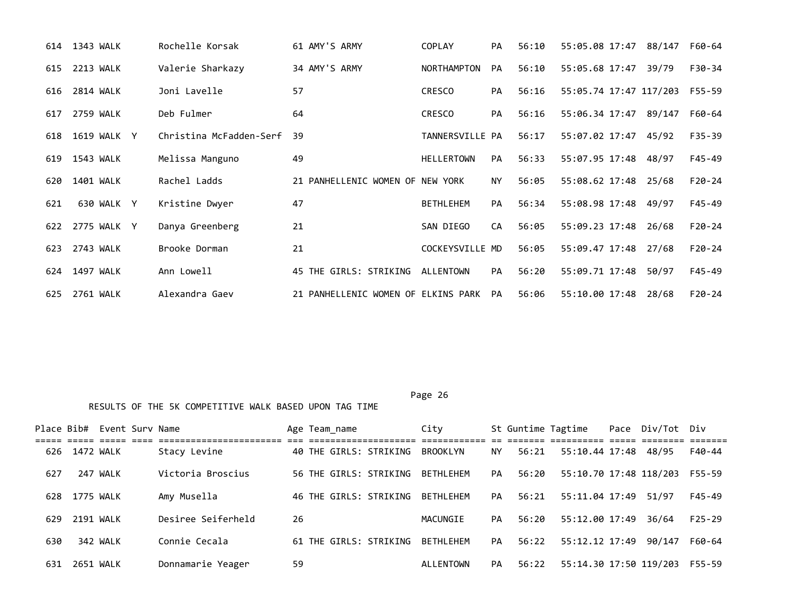|     | 614 1343 WALK | Rochelle Korsak         | 61 AMY'S ARMY                       | <b>COPLAY</b>      | <b>PA</b> | 56:10 | 55:05.08 17:47 88/147  |        | F60-64   |
|-----|---------------|-------------------------|-------------------------------------|--------------------|-----------|-------|------------------------|--------|----------|
| 615 | 2213 WALK     | Valerie Sharkazy        | 34 AMY'S ARMY                       | <b>NORTHAMPTON</b> | <b>PA</b> | 56:10 | 55:05.68 17:47         | 39/79  | F30-34   |
| 616 | 2814 WALK     | Joni Lavelle            | 57                                  | <b>CRESCO</b>      | <b>PA</b> | 56:16 | 55:05.74 17:47 117/203 |        | F55-59   |
| 617 | 2759 WALK     | Deb Fulmer              | 64                                  | <b>CRESCO</b>      | <b>PA</b> | 56:16 | 55:06.34 17:47         | 89/147 | F60-64   |
| 618 | 1619 WALK Y   | Christina McFadden-Serf | 39                                  | TANNERSVILLE PA    |           | 56:17 | 55:07.02 17:47 45/92   |        | F35-39   |
| 619 | 1543 WALK     | Melissa Manguno         | 49                                  | <b>HELLERTOWN</b>  | PA        | 56:33 | 55:07.95 17:48         | 48/97  | F45-49   |
| 620 | 1401 WALK     | Rachel Ladds            | 21 PANHELLENIC WOMEN OF NEW YORK    |                    | <b>NY</b> | 56:05 | 55:08.62 17:48         | 25/68  | $F20-24$ |
| 621 | 630 WALK Y    | Kristine Dwyer          | 47                                  | <b>BETHLEHEM</b>   | PA        | 56:34 | 55:08.98 17:48         | 49/97  | F45-49   |
| 622 | 2775 WALK Y   | Danya Greenberg         | 21                                  | SAN DIEGO          | CA        | 56:05 | 55:09.23 17:48         | 26/68  | $F20-24$ |
| 623 | 2743 WALK     | Brooke Dorman           | 21                                  | COCKEYSVILLE MD    |           | 56:05 | 55:09.47 17:48         | 27/68  | $F20-24$ |
| 624 | 1497 WALK     | Ann Lowell              | 45 THE GIRLS: STRIKING              | ALLENTOWN          | <b>PA</b> | 56:20 | 55:09.71 17:48         | 50/97  | F45-49   |
| 625 | 2761 WALK     | Alexandra Gaev          | 21 PANHELLENIC WOMEN OF ELKINS PARK |                    | PA        | 56:06 | 55:10.00 17:48         | 28/68  | $F20-24$ |

Page 26 and the state of the state of the state of the state of the state of the state of the state of the state of the state of the state of the state of the state of the state of the state of the state of the state of th RESULTS OF THE 5K COMPETITIVE WALK BASED UPON TAG TIME

Place Bib# Event Surv Name Age Team\_name City St Guntime Tagtime Pace Div/Tot Div ===== ===== ===== ==== ======================= === ==================== ============ == ======= ========== ===== ======== ======= 626 1472 WALK Stacy Levine 40 THE GIRLS: STRIKING BROOKLYN NY 56:21 55:10.44 17:48 48/95 F40-44 627 247 WALK Victoria Broscius 56 THE GIRLS: STRIKING BETHLEHEM PA 56:20 55:10.70 17:48 118/203 F55-59 628 1775 WALK Amy Musella 46 THE GIRLS: STRIKING BETHLEHEM PA 56:21 55:11.04 17:49 51/97 F45-49 629 2191 WALK Desiree Seiferheld 26 MACUNGIE PA 56:20 55:12.00 17:49 36/64 F25-29 630 342 WALK Connie Cecala 61 THE GIRLS: STRIKING BETHLEHEM PA 56:22 55:12.12 17:49 90/147 F60-64 631 2651 WALK Donnamarie Yeager 59 ALLENTOWN PA 56:22 55:14.30 17:50 119/203 F55-59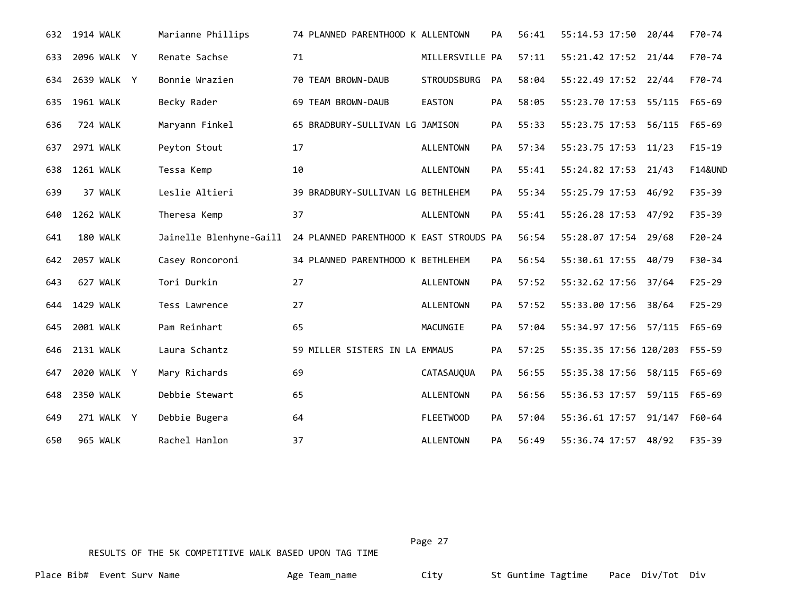|     | 632 1914 WALK | Marianne Phillips       | 74 PLANNED PARENTHOOD K ALLENTOWN       |                    | PА        | 56:41 | 55:14.53 17:50 20/44          |               | F70-74             |
|-----|---------------|-------------------------|-----------------------------------------|--------------------|-----------|-------|-------------------------------|---------------|--------------------|
| 633 | 2096 WALK Y   | Renate Sachse           | 71                                      | MILLERSVILLE PA    |           | 57:11 | 55:21.42 17:52 21/44          |               | F70-74             |
| 634 | 2639 WALK Y   | Bonnie Wrazien          | 70 TEAM BROWN-DAUB                      | <b>STROUDSBURG</b> | <b>PA</b> | 58:04 | 55:22.49 17:52 22/44          |               | F70-74             |
| 635 | 1961 WALK     | Becky Rader             | 69 TEAM BROWN-DAUB                      | <b>EASTON</b>      | <b>PA</b> | 58:05 | 55:23.70 17:53 55/115 F65-69  |               |                    |
| 636 | 724 WALK      | Maryann Finkel          | 65 BRADBURY-SULLIVAN LG JAMISON         |                    | PA        | 55:33 | 55:23.75 17:53                | 56/115        | F65-69             |
| 637 | 2971 WALK     | Peyton Stout            | 17                                      | <b>ALLENTOWN</b>   | PA        | 57:34 | 55:23.75 17:53 11/23          |               | $F15-19$           |
| 638 | 1261 WALK     | Tessa Kemp              | 10                                      | <b>ALLENTOWN</b>   | PA        | 55:41 | 55:24.82 17:53 21/43          |               | <b>F14&amp;UND</b> |
| 639 | 37 WALK       | Leslie Altieri          | 39 BRADBURY-SULLIVAN LG BETHLEHEM       |                    | <b>PA</b> | 55:34 | 55:25.79 17:53 46/92          |               | $F35 - 39$         |
| 640 | 1262 WALK     | Theresa Kemp            | 37                                      | <b>ALLENTOWN</b>   | <b>PA</b> | 55:41 | 55:26.28 17:53 47/92          |               | $F35 - 39$         |
| 641 | 180 WALK      | Jainelle Blenhyne-Gaill | 24 PLANNED PARENTHOOD K EAST STROUDS PA |                    |           | 56:54 | 55:28.07 17:54 29/68          |               | $F20-24$           |
| 642 | 2057 WALK     | Casey Roncoroni         | 34 PLANNED PARENTHOOD K BETHLEHEM       |                    | PA        | 56:54 | 55:30.61 17:55 40/79          |               | $F30-34$           |
| 643 | 627 WALK      | Tori Durkin             | 27                                      | <b>ALLENTOWN</b>   | PA        | 57:52 | 55:32.62 17:56 37/64          |               | $F25 - 29$         |
| 644 | 1429 WALK     | Tess Lawrence           | 27                                      | <b>ALLENTOWN</b>   | <b>PA</b> | 57:52 | 55:33.00 17:56 38/64          |               | $F25 - 29$         |
| 645 | 2001 WALK     | Pam Reinhart            | 65                                      | MACUNGIE           | PA        | 57:04 | 55:34.97 17:56 57/115         |               | F65-69             |
| 646 | 2131 WALK     | Laura Schantz           | 59 MILLER SISTERS IN LA EMMAUS          |                    | <b>PA</b> | 57:25 | 55:35.35 17:56 120/203 F55-59 |               |                    |
| 647 | 2020 WALK Y   | Mary Richards           | 69                                      | CATASAUQUA         | <b>PA</b> | 56:55 | 55:35.38 17:56                | 58/115 F65-69 |                    |
| 648 | 2350 WALK     | Debbie Stewart          | 65                                      | <b>ALLENTOWN</b>   | PA        | 56:56 | 55:36.53 17:57                | 59/115 F65-69 |                    |
| 649 | 271 WALK Y    | Debbie Bugera           | 64                                      | <b>FLEETWOOD</b>   | PA        | 57:04 | 55:36.61 17:57                | 91/147        | F60-64             |
| 650 | 965 WALK      | Rachel Hanlon           | 37                                      | <b>ALLENTOWN</b>   | <b>PA</b> | 56:49 | 55:36.74 17:57 48/92          |               | F35-39             |

Page 27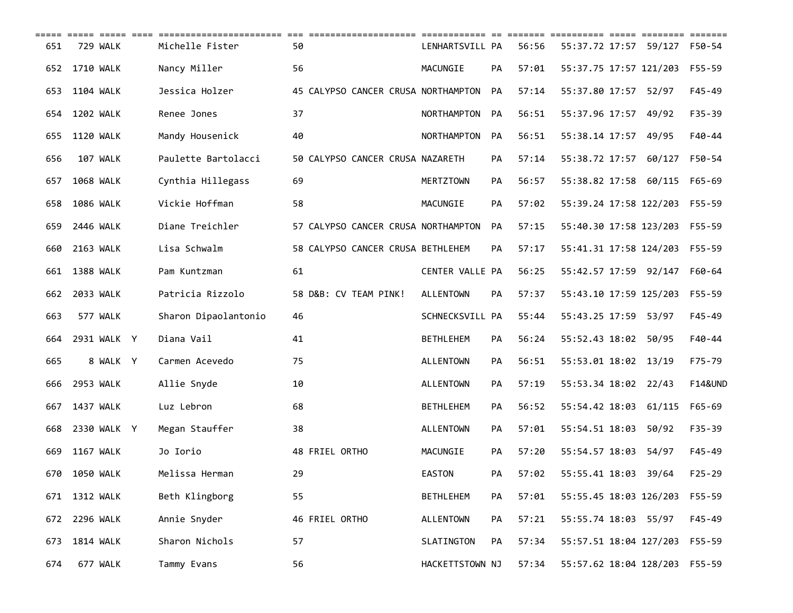| 651 | 729 WALK         | Michelle Fister      | 50                                  | LENHARTSVILL PA  |           | 56:56 | 55:37.72 17:57 59/127  |       | F50-54             |
|-----|------------------|----------------------|-------------------------------------|------------------|-----------|-------|------------------------|-------|--------------------|
| 652 | 1710 WALK        | Nancy Miller         | 56                                  | MACUNGIE         | PA        | 57:01 | 55:37.75 17:57 121/203 |       | F55-59             |
| 653 | 1104 WALK        | Jessica Holzer       | 45 CALYPSO CANCER CRUSA NORTHAMPTON |                  | PA        | 57:14 | 55:37.80 17:57 52/97   |       | $F45 - 49$         |
| 654 | 1202 WALK        | Renee Jones          | 37                                  | NORTHAMPTON      | PA        | 56:51 | 55:37.96 17:57 49/92   |       | $F35 - 39$         |
| 655 | <b>1120 WALK</b> | Mandy Housenick      | 40                                  | NORTHAMPTON      | <b>PA</b> | 56:51 | 55:38.14 17:57 49/95   |       | F40-44             |
| 656 | 107 WALK         | Paulette Bartolacci  | 50 CALYPSO CANCER CRUSA NAZARETH    |                  | PA        | 57:14 | 55:38.72 17:57 60/127  |       | F50-54             |
| 657 | 1068 WALK        | Cynthia Hillegass    | 69                                  | <b>MERTZTOWN</b> | PA        | 56:57 | 55:38.82 17:58 60/115  |       | F65-69             |
| 658 | 1086 WALK        | Vickie Hoffman       | 58                                  | MACUNGIE         | PA        | 57:02 | 55:39.24 17:58 122/203 |       | F55-59             |
| 659 | 2446 WALK        | Diane Treichler      | 57 CALYPSO CANCER CRUSA NORTHAMPTON |                  | <b>PA</b> | 57:15 | 55:40.30 17:58 123/203 |       | F55-59             |
| 660 | 2163 WALK        | Lisa Schwalm         | 58 CALYPSO CANCER CRUSA BETHLEHEM   |                  | PA        | 57:17 | 55:41.31 17:58 124/203 |       | F55-59             |
| 661 | <b>1388 WALK</b> | Pam Kuntzman         | 61                                  | CENTER VALLE PA  |           | 56:25 | 55:42.57 17:59 92/147  |       | F60-64             |
| 662 | 2033 WALK        | Patricia Rizzolo     | 58 D&B: CV TEAM PINK!               | <b>ALLENTOWN</b> | PA        | 57:37 | 55:43.10 17:59 125/203 |       | F55-59             |
| 663 | 577 WALK         | Sharon Dipaolantonio | 46                                  | SCHNECKSVILL PA  |           | 55:44 | 55:43.25 17:59         | 53/97 | $F45 - 49$         |
| 664 | 2931 WALK Y      | Diana Vail           | 41                                  | <b>BETHLEHEM</b> | PA        | 56:24 | 55:52.43 18:02 50/95   |       | F40-44             |
| 665 | 8 WALK Y         | Carmen Acevedo       | 75                                  | <b>ALLENTOWN</b> | PA        | 56:51 | 55:53.01 18:02 13/19   |       | F75-79             |
| 666 | 2953 WALK        | Allie Snyde          | 10                                  | <b>ALLENTOWN</b> | PA        | 57:19 | 55:53.34 18:02 22/43   |       | <b>F14&amp;UND</b> |
| 667 | 1437 WALK        | Luz Lebron           | 68                                  | <b>BETHLEHEM</b> | PA        | 56:52 | 55:54.42 18:03 61/115  |       | F65-69             |
| 668 | 2330 WALK Y      | Megan Stauffer       | 38                                  | <b>ALLENTOWN</b> | PA        | 57:01 | 55:54.51 18:03         | 50/92 | $F35 - 39$         |
| 669 | <b>1167 WALK</b> | Jo Iorio             | 48 FRIEL ORTHO                      | MACUNGIE         | PA        | 57:20 | 55:54.57 18:03         | 54/97 | $F45 - 49$         |
| 670 | 1050 WALK        | Melissa Herman       | 29                                  | <b>EASTON</b>    | PA        | 57:02 | 55:55.41 18:03         | 39/64 | $F25 - 29$         |
| 671 | 1312 WALK        | Beth Klingborg       | 55                                  | <b>BETHLEHEM</b> | PA        | 57:01 | 55:55.45 18:03 126/203 |       | $F55 - 59$         |
|     | 672 2296 WALK    | Annie Snyder         | 46 FRIEL ORTHO                      | <b>ALLENTOWN</b> | PA        | 57:21 | 55:55.74 18:03 55/97   |       | $F45 - 49$         |
| 673 | 1814 WALK        | Sharon Nichols       | 57                                  | SLATINGTON       | PA        | 57:34 | 55:57.51 18:04 127/203 |       | F55-59             |
| 674 | 677 WALK         | Tammy Evans          | 56                                  | HACKETTSTOWN NJ  |           | 57:34 | 55:57.62 18:04 128/203 |       | F55-59             |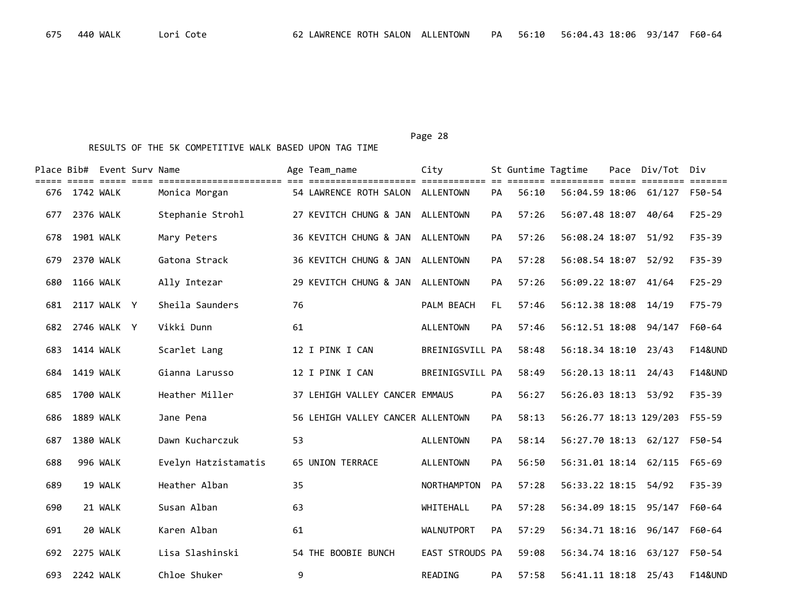|     |                  | Place Bib# Event Surv Name |                                                 |    | Age Team_name                     | City              |           | St Guntime Tagtime |                                | Pace | Div/Tot Div |                    |
|-----|------------------|----------------------------|-------------------------------------------------|----|-----------------------------------|-------------------|-----------|--------------------|--------------------------------|------|-------------|--------------------|
| 676 | 1742 WALK        |                            | ==============================<br>Monica Morgan |    | 54 LAWRENCE ROTH SALON ALLENTOWN  | ============      | <b>PA</b> | 56:10              | =====<br>56:04.59 18:06 61/127 |      |             | F50-54             |
| 677 | 2376 WALK        |                            | Stephanie Strohl                                |    | 27 KEVITCH CHUNG & JAN ALLENTOWN  |                   | PA        | 57:26              | 56:07.48 18:07                 |      | 40/64       | $F25 - 29$         |
| 678 | 1901 WALK        |                            | Mary Peters                                     |    | 36 KEVITCH CHUNG & JAN ALLENTOWN  |                   | PA        | 57:26              | 56:08.24 18:07                 |      | 51/92       | $F35 - 39$         |
| 679 | 2370 WALK        |                            | Gatona Strack                                   |    | 36 KEVITCH CHUNG & JAN ALLENTOWN  |                   | PA        | 57:28              | 56:08.54 18:07                 |      | 52/92       | F35-39             |
| 680 | <b>1166 WALK</b> |                            | Ally Intezar                                    |    | 29 KEVITCH CHUNG & JAN            | ALLENTOWN         | PA        | 57:26              | 56:09.22 18:07                 |      | 41/64       | $F25 - 29$         |
| 681 |                  | 2117 WALK Y                | Sheila Saunders                                 | 76 |                                   | PALM BEACH        | FL.       | 57:46              | 56:12.38 18:08 14/19           |      |             | $F75 - 79$         |
| 682 |                  | 2746 WALK Y                | Vikki Dunn                                      | 61 |                                   | <b>ALLENTOWN</b>  | PA        | 57:46              | 56:12.51 18:08                 |      | 94/147      | F60-64             |
| 683 | 1414 WALK        |                            | Scarlet Lang                                    |    | 12 I PINK I CAN                   | BREINIGSVILL PA   |           | 58:48              | 56:18.34 18:10 23/43           |      |             | <b>F14&amp;UND</b> |
| 684 | 1419 WALK        |                            | Gianna Larusso                                  |    | 12 I PINK I CAN                   | BREINIGSVILL PA   |           | 58:49              | 56:20.13 18:11 24/43           |      |             | <b>F14&amp;UND</b> |
| 685 | 1700 WALK        |                            | Heather Miller                                  |    | 37 LEHIGH VALLEY CANCER EMMAUS    |                   | PA        | 56:27              | 56:26.03 18:13 53/92           |      |             | $F35 - 39$         |
| 686 | <b>1889 WALK</b> |                            | Jane Pena                                       |    | 56 LEHIGH VALLEY CANCER ALLENTOWN |                   | PA        | 58:13              | 56:26.77 18:13 129/203         |      |             | F55-59             |
| 687 | 1380 WALK        |                            | Dawn Kucharczuk                                 | 53 |                                   | <b>ALLENTOWN</b>  | PA        | 58:14              | 56:27.70 18:13 62/127          |      |             | F50-54             |
| 688 |                  | 996 WALK                   | Evelyn Hatzistamatis                            |    | 65 UNION TERRACE                  | <b>ALLENTOWN</b>  | PA        | 56:50              | 56:31.01 18:14 62/115          |      |             | $F65 - 69$         |
| 689 |                  | 19 WALK                    | Heather Alban                                   | 35 |                                   | NORTHAMPTON       | PA        | 57:28              | 56:33.22 18:15                 |      | 54/92       | $F35 - 39$         |
| 690 |                  | 21 WALK                    | Susan Alban                                     | 63 |                                   | WHITEHALL         | PA        | 57:28              | 56:34.09 18:15 95/147          |      |             | F60-64             |
| 691 |                  | 20 WALK                    | Karen Alban                                     | 61 |                                   | <b>WALNUTPORT</b> | PA        | 57:29              | 56:34.71 18:16                 |      | 96/147      | F60-64             |
|     | 692 2275 WALK    |                            | Lisa Slashinski                                 |    | 54 THE BOOBIE BUNCH               | EAST STROUDS PA   |           | 59:08              | 56:34.74 18:16 63/127          |      |             | F50-54             |
|     | 693 2242 WALK    |                            | Chloe Shuker                                    | 9  |                                   | READING           | <b>PA</b> | 57:58              | 56:41.11 18:18 25/43           |      |             | <b>F14&amp;UND</b> |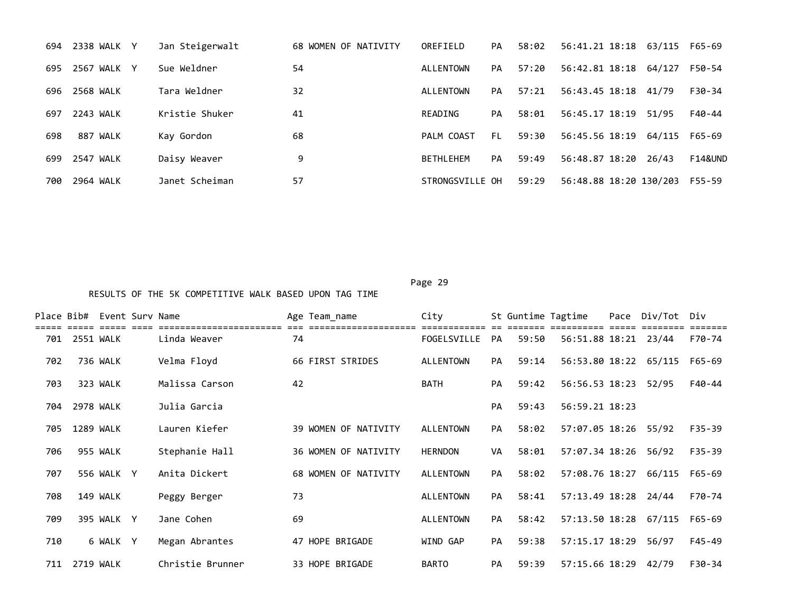|     | 2338 WALK Y<br>694    | Jan Steigerwalt | 68 WOMEN OF NATIVITY | OREFIELD          | PA  | 58:02 | 56:41.21 18:18 63/115 F65-69 |        |                    |
|-----|-----------------------|-----------------|----------------------|-------------------|-----|-------|------------------------------|--------|--------------------|
|     | WALK Y<br>2567<br>695 | Sue Weldner     | 54                   | ALLENTOWN         | PA  | 57:20 | 56:42.81 18:18               | 64/127 | F50-54             |
|     | 2568 WALK<br>696      | Tara Weldner    | 32                   | ALLENTOWN         | PA  | 57:21 | 56:43.45 18:18 41/79         |        | F30-34             |
| 697 | 2243 WALK             | Kristie Shuker  | 41                   | READING           | PA  | 58:01 | 56:45.17 18:19               | 51/95  | F40-44             |
|     | 698<br>887 WALK       | Kay Gordon      | 68                   | PALM COAST        | FL. | 59:30 | 56:45.56 18:19               | 64/115 | F65-69             |
|     | 2547 WALK<br>699      | Daisy Weaver    | 9                    | <b>BFTHI FHFM</b> | PA  | 59:49 | 56:48.87 18:20               | 26/43  | <b>F14&amp;UND</b> |
|     | 2964 WALK<br>700      | Janet Scheiman  | 57                   | STRONGSVILLE OH   |     | 59:29 | 56:48.88 18:20 130/203       |        | F55-59             |

| Place Bib# |           | Event Surv Name |                  |    | Age Team name        | City             |           |       | St Guntime Tagtime    | Pace | Div/Tot | Div        |
|------------|-----------|-----------------|------------------|----|----------------------|------------------|-----------|-------|-----------------------|------|---------|------------|
| 701        | 2551 WALK |                 | Linda Weaver     | 74 |                      | FOGELSVILLE      | <b>PA</b> | 59:50 | 56:51.88 18:21 23/44  |      |         | F70-74     |
| 702        |           | 736 WALK        | Velma Floyd      |    | 66 FIRST STRIDES     | <b>ALLENTOWN</b> | PA        | 59:14 | 56:53.80 18:22 65/115 |      |         | F65-69     |
| 703        |           | 323 WALK        | Malissa Carson   | 42 |                      | <b>BATH</b>      | <b>PA</b> | 59:42 | 56:56.53 18:23        |      | 52/95   | F40-44     |
| 704        |           | 2978 WALK       | Julia Garcia     |    |                      |                  | <b>PA</b> | 59:43 | 56:59.21 18:23        |      |         |            |
| 705        |           | 1289 WALK       | Lauren Kiefer    |    | 39 WOMEN OF NATIVITY | <b>ALLENTOWN</b> | <b>PA</b> | 58:02 | 57:07.05 18:26        |      | 55/92   | $F35 - 39$ |
| 706        |           | 955 WALK        | Stephanie Hall   |    | 36 WOMEN OF NATIVITY | <b>HERNDON</b>   | VA        | 58:01 | 57:07.34 18:26        |      | 56/92   | $F35 - 39$ |
| 707        |           | 556 WALK Y      | Anita Dickert    |    | 68 WOMEN OF NATIVITY | <b>ALLENTOWN</b> | <b>PA</b> | 58:02 | 57:08.76 18:27        |      | 66/115  | F65-69     |
| 708        |           | 149 WALK        | Peggy Berger     | 73 |                      | <b>ALLENTOWN</b> | PA        | 58:41 | 57:13.49 18:28        |      | 24/44   | F70-74     |
| 709        |           | 395 WALK Y      | Jane Cohen       | 69 |                      | <b>ALLENTOWN</b> | PA        | 58:42 | 57:13.50 18:28        |      | 67/115  | F65-69     |
| 710        |           | 6 WALK Y        | Megan Abrantes   |    | 47 HOPE BRIGADE      | WIND GAP         | <b>PA</b> | 59:38 | 57:15.17 18:29        |      | 56/97   | $F45 - 49$ |
| 711        | 2719 WALK |                 | Christie Brunner |    | 33 HOPE BRIGADE      | <b>BARTO</b>     | <b>PA</b> | 59:39 | 57:15.66 18:29        |      | 42/79   | F30-34     |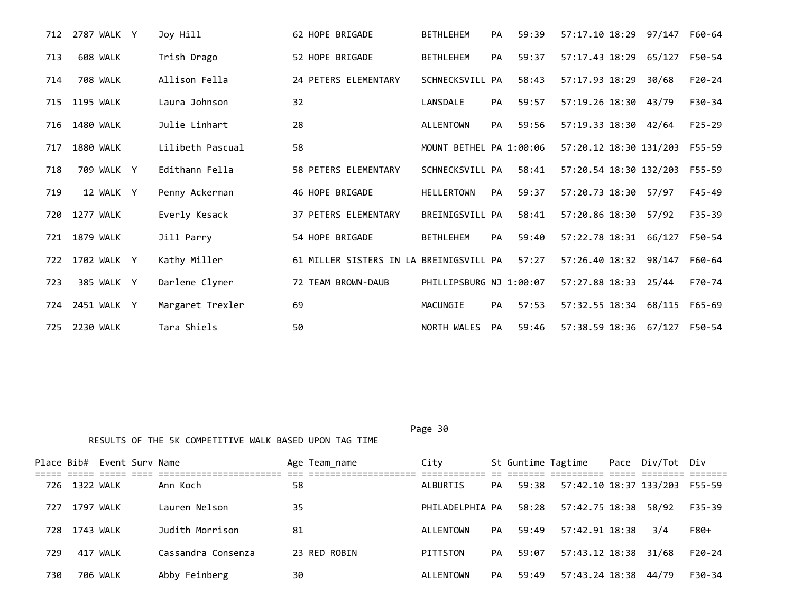| 712 | 2787 WALK Y     | Joy Hill         | 62 HOPE BRIGADE                         | <b>BETHLEHEM</b>        | PA        | 59:39 | 57:17.10 18:29 97/147        |        | F60-64     |
|-----|-----------------|------------------|-----------------------------------------|-------------------------|-----------|-------|------------------------------|--------|------------|
| 713 | 608 WALK        | Trish Drago      | 52 HOPE BRIGADE                         | <b>BETHLEHEM</b>        | <b>PA</b> | 59:37 | 57:17.43 18:29               | 65/127 | F50-54     |
| 714 | <b>708 WALK</b> | Allison Fella    | 24 PETERS ELEMENTARY                    | SCHNECKSVILL PA         |           | 58:43 | 57:17.93 18:29               | 30/68  | $F20-24$   |
| 715 | 1195 WALK       | Laura Johnson    | 32                                      | LANSDALE                | <b>PA</b> | 59:57 | 57:19.26 18:30               | 43/79  | F30-34     |
| 716 | 1480 WALK       | Julie Linhart    | 28                                      | <b>ALLENTOWN</b>        | <b>PA</b> | 59:56 | 57:19.33 18:30 42/64         |        | $F25 - 29$ |
| 717 | 1880 WALK       | Lilibeth Pascual | 58                                      | MOUNT BETHEL PA 1:00:06 |           |       | 57:20.12 18:30 131/203       |        | F55-59     |
| 718 | 709 WALK Y      | Edithann Fella   | 58 PETERS ELEMENTARY                    | SCHNECKSVILL PA         |           | 58:41 | 57:20.54 18:30 132/203       |        | F55-59     |
| 719 | 12 WALK Y       | Penny Ackerman   | 46 HOPE BRIGADE                         | <b>HELLERTOWN</b>       | PA        | 59:37 | 57:20.73 18:30               | 57/97  | $F45 - 49$ |
| 720 | 1277 WALK       | Everly Kesack    | 37 PETERS ELEMENTARY                    | BREINIGSVILL PA         |           | 58:41 | 57:20.86 18:30 57/92         |        | $F35 - 39$ |
|     | 721 1879 WALK   | Jill Parry       | 54 HOPE BRIGADE                         | <b>BETHLEHEM</b>        | <b>PA</b> | 59:40 | 57:22.78 18:31 66/127        |        | F50-54     |
| 722 | 1702 WALK Y     | Kathy Miller     | 61 MILLER SISTERS IN LA BREINIGSVILL PA |                         |           | 57:27 | 57:26.40 18:32 98/147        |        | F60-64     |
| 723 | 385 WALK Y      | Darlene Clymer   | 72 TEAM BROWN-DAUB                      | PHILLIPSBURG NJ 1:00:07 |           |       | 57:27.88 18:33               | 25/44  | F70-74     |
| 724 | 2451 WALK Y     | Margaret Trexler | 69                                      | MACUNGIE                | <b>PA</b> | 57:53 | 57:32.55 18:34 68/115        |        | F65-69     |
| 725 | 2230 WALK       | Tara Shiels      | 50                                      | NORTH WALES             | PA        | 59:46 | 57:38.59 18:36 67/127 F50-54 |        |            |

Page 30

|      |               | Place Bib# Event Surv Name |                    | Age Team name | City            |           |       | St Guntime Tagtime     | Pace Div/Tot Div |          |
|------|---------------|----------------------------|--------------------|---------------|-----------------|-----------|-------|------------------------|------------------|----------|
|      | 726 1322 WALK |                            | Ann Koch           | 58            | ALBURTIS        | PA        | 59:38 | 57:42.10 18:37 133/203 |                  | F55-59   |
| 727  | 1797 WALK     |                            | Lauren Nelson      | 35            | PHILADELPHIA PA |           | 58:28 | 57:42.75 18:38 58/92   |                  | F35-39   |
| 728. | 1743 WALK     |                            | Judith Morrison    | 81            | ALLENTOWN       | PA        | 59:49 | 57:42.91 18:38         | 3/4              | F80+     |
| 729  |               | 417 WALK                   | Cassandra Consenza | 23 RED ROBIN  | PITTSTON        | PA        | 59:07 | 57:43.12 18:38 31/68   |                  | $F20-24$ |
| 730  |               | 706 WALK                   | Abby Feinberg      | 30            | ALLENTOWN       | <b>PA</b> | 59:49 | 57:43.24 18:38 44/79   |                  | F30-34   |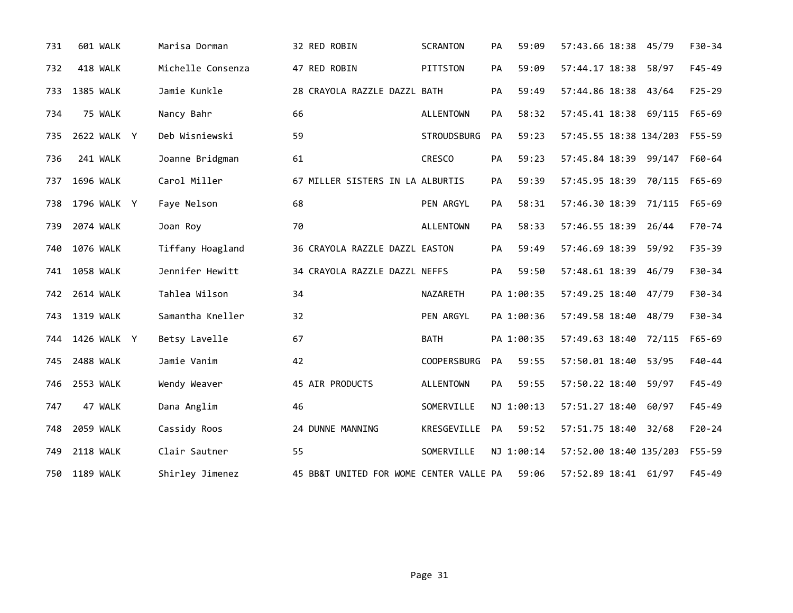| 731 | 601 WALK         | Marisa Dorman     | 32 RED ROBIN                            | <b>SCRANTON</b>    | PA        | 59:09      | 57:43.66 18:38 45/79   |        | F30-34     |
|-----|------------------|-------------------|-----------------------------------------|--------------------|-----------|------------|------------------------|--------|------------|
| 732 | 418 WALK         | Michelle Consenza | 47 RED ROBIN                            | PITTSTON           | PA        | 59:09      | 57:44.17 18:38         | 58/97  | $F45 - 49$ |
| 733 | <b>1385 WALK</b> | Jamie Kunkle      | 28 CRAYOLA RAZZLE DAZZL BATH            |                    | PA        | 59:49      | 57:44.86 18:38         | 43/64  | $F25 - 29$ |
| 734 | 75 WALK          | Nancy Bahr        | 66                                      | <b>ALLENTOWN</b>   | PA        | 58:32      | 57:45.41 18:38         | 69/115 | $F65 - 69$ |
| 735 | 2622 WALK Y      | Deb Wisniewski    | 59                                      | <b>STROUDSBURG</b> | PA        | 59:23      | 57:45.55 18:38 134/203 |        | F55-59     |
| 736 | 241 WALK         | Joanne Bridgman   | 61                                      | <b>CRESCO</b>      | PA        | 59:23      | 57:45.84 18:39 99/147  |        | F60-64     |
| 737 | 1696 WALK        | Carol Miller      | 67 MILLER SISTERS IN LA ALBURTIS        |                    | PA        | 59:39      | 57:45.95 18:39 70/115  |        | F65-69     |
| 738 | 1796 WALK Y      | Faye Nelson       | 68                                      | PEN ARGYL          | PA        | 58:31      | 57:46.30 18:39 71/115  |        | F65-69     |
| 739 | 2074 WALK        | Joan Roy          | 70                                      | <b>ALLENTOWN</b>   | <b>PA</b> | 58:33      | 57:46.55 18:39         | 26/44  | F70-74     |
| 740 | 1076 WALK        | Tiffany Hoagland  | 36 CRAYOLA RAZZLE DAZZL EASTON          |                    | <b>PA</b> | 59:49      | 57:46.69 18:39         | 59/92  | $F35 - 39$ |
|     | 741 1058 WALK    | Jennifer Hewitt   | 34 CRAYOLA RAZZLE DAZZL NEFFS           |                    | PA        | 59:50      | 57:48.61 18:39 46/79   |        | $F30-34$   |
|     | 742 2614 WALK    | Tahlea Wilson     | 34                                      | NAZARETH           |           | PA 1:00:35 | 57:49.25 18:40 47/79   |        | F30-34     |
| 743 | 1319 WALK        | Samantha Kneller  | 32                                      | PEN ARGYL          |           | PA 1:00:36 | 57:49.58 18:40         | 48/79  | F30-34     |
| 744 | 1426 WALK Y      | Betsy Lavelle     | 67                                      | <b>BATH</b>        |           | PA 1:00:35 | 57:49.63 18:40 72/115  |        | $F65 - 69$ |
| 745 | 2488 WALK        | Jamie Vanim       | 42                                      | <b>COOPERSBURG</b> | PA        | 59:55      | 57:50.01 18:40         | 53/95  | F40-44     |
| 746 | <b>2553 WALK</b> | Wendy Weaver      | 45 AIR PRODUCTS                         | <b>ALLENTOWN</b>   | PA        | 59:55      | 57:50.22 18:40         | 59/97  | $F45 - 49$ |
| 747 | 47 WALK          | Dana Anglim       | 46                                      | SOMERVILLE         |           | NJ 1:00:13 | 57:51.27 18:40         | 60/97  | $F45 - 49$ |
| 748 | 2059 WALK        | Cassidy Roos      | 24 DUNNE MANNING                        | KRESGEVILLE        | PA        | 59:52      | 57:51.75 18:40         | 32/68  | $F20-24$   |
| 749 | <b>2118 WALK</b> | Clair Sautner     | 55                                      | SOMERVILLE         |           | NJ 1:00:14 | 57:52.00 18:40 135/203 |        | F55-59     |
| 750 | 1189 WALK        | Shirley Jimenez   | 45 BB&T UNITED FOR WOME CENTER VALLE PA |                    |           | 59:06      | 57:52.89 18:41 61/97   |        | $F45 - 49$ |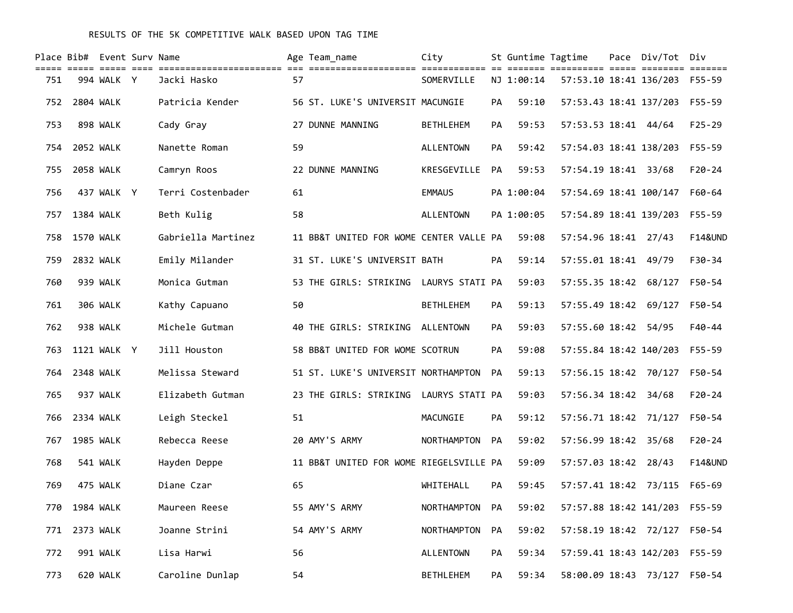|     | Place Bib# Event Surv Name |             |                    |    | Age Team name                           | City               |           | St Guntime Tagtime |                                           | Pace Div/Tot Div              |                         |
|-----|----------------------------|-------------|--------------------|----|-----------------------------------------|--------------------|-----------|--------------------|-------------------------------------------|-------------------------------|-------------------------|
| 751 |                            | 994 WALK Y  | Jacki Hasko        | 57 |                                         | SOMERVILLE         |           | NJ 1:00:14         | <u> ------- ---------- ----- --------</u> | 57:53.10 18:41 136/203 F55-59 | $=$ $=$ $=$ $=$ $=$ $=$ |
| 752 | 2804 WALK                  |             | Patricia Kender    |    | 56 ST. LUKE'S UNIVERSIT MACUNGIE        |                    | PA        | 59:10              | 57:53.43 18:41 137/203                    |                               | $F55 - 59$              |
| 753 |                            | 898 WALK    | Cady Gray          |    | 27 DUNNE MANNING                        | <b>BETHLEHEM</b>   | PA        | 59:53              | 57:53.53 18:41 44/64                      |                               | $F25 - 29$              |
| 754 | <b>2052 WALK</b>           |             | Nanette Roman      | 59 |                                         | <b>ALLENTOWN</b>   | PA        | 59:42              | 57:54.03 18:41 138/203                    |                               | $F55 - 59$              |
| 755 | <b>2058 WALK</b>           |             | Camryn Roos        |    | 22 DUNNE MANNING                        | KRESGEVILLE        | PA.       | 59:53              | 57:54.19 18:41 33/68                      |                               | $F20 - 24$              |
| 756 |                            | 437 WALK Y  | Terri Costenbader  | 61 |                                         | <b>EMMAUS</b>      |           | PA 1:00:04         | 57:54.69 18:41 100/147                    |                               | F60-64                  |
| 757 | 1384 WALK                  |             | Beth Kulig         | 58 |                                         | <b>ALLENTOWN</b>   |           | PA 1:00:05         | 57:54.89 18:41 139/203                    |                               | F55-59                  |
| 758 | 1570 WALK                  |             | Gabriella Martinez |    | 11 BB&T UNITED FOR WOME CENTER VALLE PA |                    |           | 59:08              | 57:54.96 18:41 27/43                      |                               | <b>F14&amp;UND</b>      |
| 759 | 2832 WALK                  |             | Emily Milander     |    | 31 ST. LUKE'S UNIVERSIT BATH            |                    | PA        | 59:14              | 57:55.01 18:41 49/79                      |                               | F30-34                  |
| 760 |                            | 939 WALK    | Monica Gutman      |    | 53 THE GIRLS: STRIKING                  | LAURYS STATI PA    |           | 59:03              | 57:55.35 18:42 68/127                     |                               | F50-54                  |
| 761 |                            | 306 WALK    | Kathy Capuano      | 50 |                                         | <b>BETHLEHEM</b>   | PA        | 59:13              | 57:55.49 18:42                            | 69/127                        | F50-54                  |
| 762 |                            | 938 WALK    | Michele Gutman     |    | 40 THE GIRLS: STRIKING                  | ALLENTOWN          | PA        | 59:03              | 57:55.60 18:42                            | 54/95                         | $F40 - 44$              |
| 763 |                            | 1121 WALK Y | Jill Houston       |    | 58 BB&T UNITED FOR WOME SCOTRUN         |                    | PA        | 59:08              | 57:55.84 18:42 140/203                    |                               | $F55 - 59$              |
| 764 | 2348 WALK                  |             | Melissa Steward    |    | 51 ST. LUKE'S UNIVERSIT NORTHAMPTON     |                    | <b>PA</b> | 59:13              | 57:56.15 18:42 70/127                     |                               | F50-54                  |
| 765 |                            | 937 WALK    | Elizabeth Gutman   |    | 23 THE GIRLS: STRIKING LAURYS STATI PA  |                    |           | 59:03              | 57:56.34 18:42 34/68                      |                               | $F20 - 24$              |
| 766 | 2334 WALK                  |             | Leigh Steckel      | 51 |                                         | MACUNGIE           | PA        | 59:12              | 57:56.71 18:42 71/127                     |                               | F50-54                  |
| 767 | <b>1985 WALK</b>           |             | Rebecca Reese      |    | 20 AMY'S ARMY                           | <b>NORTHAMPTON</b> | PA.       | 59:02              | 57:56.99 18:42 35/68                      |                               | $F20 - 24$              |
| 768 |                            | 541 WALK    | Hayden Deppe       |    | 11 BB&T UNITED FOR WOME RIEGELSVILLE PA |                    |           | 59:09              | 57:57.03 18:42 28/43                      |                               | <b>F14&amp;UND</b>      |
| 769 |                            | 475 WALK    | Diane Czar         | 65 |                                         | WHITEHALL          | РA        | 59:45              | 57:57.41 18:42 73/115                     |                               | F65-69                  |
| 770 | 1984 WALK                  |             | Maureen Reese      |    | 55 AMY'S ARMY                           | NORTHAMPTON        | PA        | 59:02              | 57:57.88 18:42 141/203                    |                               | F55-59                  |
| 771 |                            | 2373 WALK   | Joanne Strini      |    | 54 AMY'S ARMY                           | NORTHAMPTON        | PA        | 59:02              | 57:58.19 18:42 72/127                     |                               | F50-54                  |
| 772 |                            | 991 WALK    | Lisa Harwi         | 56 |                                         | ALLENTOWN          | PA        | 59:34              | 57:59.41 18:43 142/203                    |                               | F55-59                  |
| 773 |                            | 620 WALK    | Caroline Dunlap    | 54 |                                         | <b>BETHLEHEM</b>   | PA        | 59:34              | 58:00.09 18:43 73/127                     |                               | F50-54                  |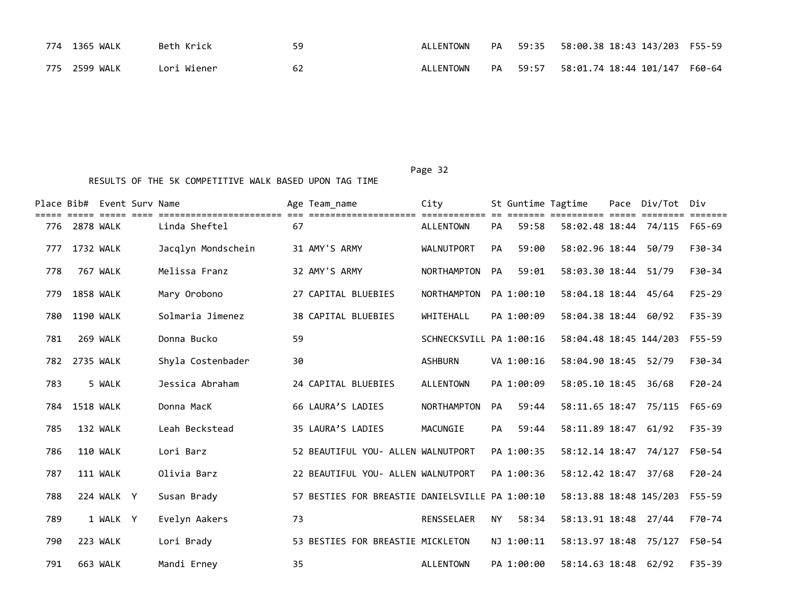| 774 1365 WALK | Beth Krick  | 59 | ALLENTOWN |          | PA 59:35 58:00.38 18:43 143/203 F55-59 |  |
|---------------|-------------|----|-----------|----------|----------------------------------------|--|
| 775 2599 WALK | Lori Wiener | 62 | ALLENTOWN | PA 59:57 | 58:01.74 18:44 101/147 F60-64          |  |

|     |                  | Place Bib# Event Surv Name |                                        |    | Age Team name                                   | City                             |           | St Guntime Tagtime |                        | Pace Div/Tot                 | Div        |
|-----|------------------|----------------------------|----------------------------------------|----|-------------------------------------------------|----------------------------------|-----------|--------------------|------------------------|------------------------------|------------|
| 776 | 2878 WALK        |                            | =====================<br>Linda Sheftel | 67 | -------------------                             | seesseessees<br><b>ALLENTOWN</b> | PA        | 59:58              | =====                  | 58:02.48 18:44 74/115 F65-69 |            |
| 777 | 1732 WALK        |                            | Jacqlyn Mondschein                     |    | 31 AMY'S ARMY                                   | <b>WALNUTPORT</b>                | PA        | 59:00              | 58:02.96 18:44         | 50/79                        | $F30-34$   |
| 778 |                  | 767 WALK                   | Melissa Franz                          |    | 32 AMY'S ARMY                                   | <b>NORTHAMPTON</b>               | <b>PA</b> | 59:01              | 58:03.30 18:44         | 51/79                        | $F30-34$   |
| 779 | 1858 WALK        |                            | Mary Orobono                           |    | 27 CAPITAL BLUEBIES                             | <b>NORTHAMPTON</b>               |           | PA 1:00:10         | 58:04.18 18:44 45/64   |                              | $F25 - 29$ |
| 780 | 1190 WALK        |                            | Solmaria Jimenez                       |    | <b>38 CAPITAL BLUEBIES</b>                      | WHITEHALL                        |           | PA 1:00:09         | 58:04.38 18:44 60/92   |                              | $F35 - 39$ |
| 781 |                  | 269 WALK                   | Donna Bucko                            | 59 |                                                 | SCHNECKSVILL PA 1:00:16          |           |                    | 58:04.48 18:45 144/203 |                              | $F55 - 59$ |
| 782 | 2735 WALK        |                            | Shyla Costenbader                      | 30 |                                                 | <b>ASHBURN</b>                   |           | VA 1:00:16         | 58:04.90 18:45         | 52/79                        | $F30-34$   |
| 783 |                  | 5 WALK                     | Jessica Abraham                        |    | 24 CAPITAL BLUEBIES                             | <b>ALLENTOWN</b>                 |           | PA 1:00:09         | 58:05.10 18:45         | 36/68                        | $F20 - 24$ |
| 784 | <b>1518 WALK</b> |                            | Donna MacK                             |    | 66 LAURA'S LADIES                               | <b>NORTHAMPTON</b>               | PA        | 59:44              | 58:11.65 18:47 75/115  |                              | F65-69     |
| 785 |                  | 132 WALK                   | Leah Beckstead                         |    | 35 LAURA'S LADIES                               | MACUNGIE                         | PA        | 59:44              | 58:11.89 18:47         | 61/92                        | $F35 - 39$ |
| 786 |                  | 110 WALK                   | Lori Barz                              |    | 52 BEAUTIFUL YOU- ALLEN WALNUTPORT              |                                  |           | PA 1:00:35         | 58:12.14 18:47 74/127  |                              | F50-54     |
| 787 |                  | 111 WALK                   | Olivia Barz                            |    | 22 BEAUTIFUL YOU- ALLEN WALNUTPORT              |                                  |           | PA 1:00:36         | 58:12.42 18:47 37/68   |                              | $F20-24$   |
| 788 |                  | 224 WALK Y                 | Susan Brady                            |    | 57 BESTIES FOR BREASTIE DANIELSVILLE PA 1:00:10 |                                  |           |                    | 58:13.88 18:48 145/203 |                              | F55-59     |
| 789 |                  | 1 WALK Y                   | Evelyn Aakers                          | 73 |                                                 | <b>RENSSELAER</b>                | <b>NY</b> | 58:34              | 58:13.91 18:48 27/44   |                              | F70-74     |
| 790 |                  | 223 WALK                   | Lori Brady                             |    | 53 BESTIES FOR BREASTIE MICKLETON               |                                  |           | NJ 1:00:11         | 58:13.97 18:48         | 75/127                       | F50-54     |
| 791 |                  | 663 WALK                   | Mandi Erney                            | 35 |                                                 | ALLENTOWN                        |           | PA 1:00:00         | 58:14.63 18:48         | 62/92                        | $F35 - 39$ |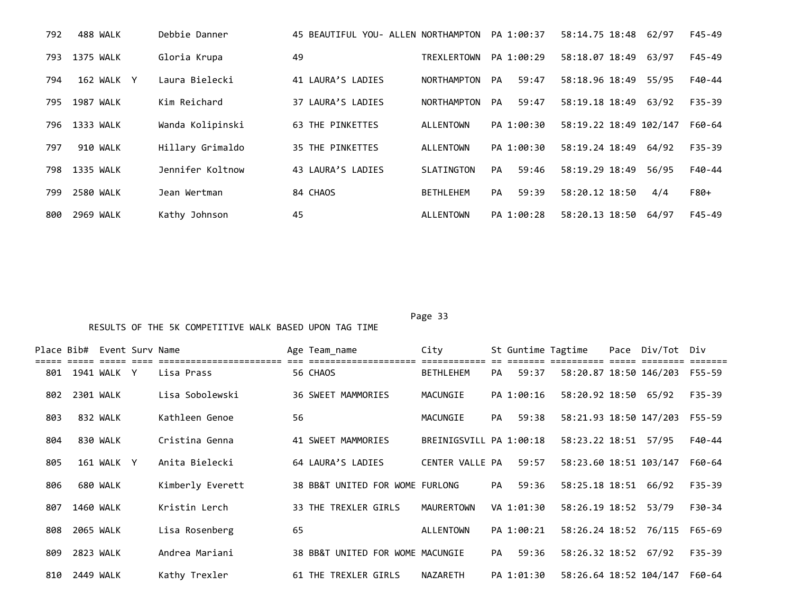| 792 | 488 WALK         | Debbie Danner    | 45 BEAUTIFUL YOU- ALLEN NORTHAMPTON |                    | PA 1:00:37         | 58:14.75 18:48         | 62/97 | $F45 - 49$ |
|-----|------------------|------------------|-------------------------------------|--------------------|--------------------|------------------------|-------|------------|
| 793 | <b>1375 WALK</b> | Gloria Krupa     | 49                                  | <b>TREXLERTOWN</b> | PA 1:00:29         | 58:18.07 18:49         | 63/97 | F45-49     |
| 794 | 162 WALK Y       | Laura Bielecki   | 41 LAURA'S LADIES                   | NORTHAMPTON        | 59:47<br>PA        | 58:18.96 18:49         | 55/95 | F40-44     |
| 795 | 1987 WALK        | Kim Reichard     | 37 LAURA'S LADIES                   | <b>NORTHAMPTON</b> | 59:47<br><b>PA</b> | 58:19.18 18:49         | 63/92 | $F35 - 39$ |
| 796 | 1333 WALK        | Wanda Kolipinski | 63 THE PINKETTES                    | ALLENTOWN          | PA 1:00:30         | 58:19.22 18:49 102/147 |       | F60-64     |
| 797 | 910 WALK         | Hillary Grimaldo | <b>35 THE PINKETTES</b>             | ALLENTOWN          | PA 1:00:30         | 58:19.24 18:49         | 64/92 | $F35 - 39$ |
| 798 | 1335 WALK        | Jennifer Koltnow | 43 LAURA'S LADIES                   | SLATINGTON         | 59:46<br>PA        | 58:19.29 18:49         | 56/95 | F40-44     |
| 799 | 2580 WALK        | Jean Wertman     | 84 CHAOS                            | <b>BETHLEHEM</b>   | 59:39<br>PA        | 58:20.12 18:50         | 4/4   | F80+       |
| 800 | 2969 WALK        | Kathy Johnson    | 45                                  | ALLENTOWN          | PA 1:00:28         | 58:20.13 18:50         | 64/97 | $F45 - 49$ |

|     |           | Place Bib# Event Surv Name |                  |    | Age Team_name                    | City                    |           | St Guntime Tagtime |                        | Pace Div/Tot Div |            |
|-----|-----------|----------------------------|------------------|----|----------------------------------|-------------------------|-----------|--------------------|------------------------|------------------|------------|
|     |           |                            |                  |    |                                  |                         |           |                    |                        |                  |            |
| 801 |           | 1941 WALK Y                | Lisa Prass       |    | 56 CHAOS                         | <b>BETHLEHEM</b>        | PA        | 59:37              | 58:20.87 18:50 146/203 |                  | F55-59     |
| 802 | 2301 WALK |                            | Lisa Sobolewski  |    | 36 SWEET MAMMORIES               | MACUNGIE                |           | PA 1:00:16         | 58:20.92 18:50 65/92   |                  | $F35 - 39$ |
| 803 |           | 832 WALK                   | Kathleen Genoe   | 56 |                                  | MACUNGIE                | PA        | 59:38              | 58:21.93 18:50 147/203 |                  | F55-59     |
| 804 |           | 830 WALK                   | Cristina Genna   |    | 41 SWEET MAMMORIES               | BREINIGSVILL PA 1:00:18 |           |                    | 58:23.22 18:51         | 57/95            | F40-44     |
| 805 |           | 161 WALK Y                 | Anita Bielecki   |    | 64 LAURA'S LADIES                | CENTER VALLE PA         |           | 59:57              | 58:23.60 18:51 103/147 |                  | F60-64     |
| 806 |           | 680 WALK                   | Kimberly Everett |    | 38 BB&T UNITED FOR WOME FURLONG  |                         | <b>PA</b> | 59:36              | 58:25.18 18:51 66/92   |                  | F35-39     |
| 807 | 1460 WALK |                            | Kristin Lerch    |    | 33 THE TREXLER GIRLS             | MAURERTOWN              |           | VA 1:01:30         | 58:26.19 18:52         | 53/79            | F30-34     |
| 808 | 2065 WALK |                            | Lisa Rosenberg   | 65 |                                  | ALLENTOWN               |           | PA 1:00:21         | 58:26.24 18:52 76/115  |                  | F65-69     |
| 809 | 2823 WALK |                            | Andrea Mariani   |    | 38 BB&T UNITED FOR WOME MACUNGIE |                         | PA        | 59:36              | 58:26.32 18:52 67/92   |                  | $F35 - 39$ |
| 810 | 2449 WALK |                            | Kathy Trexler    |    | 61 THE TREXLER GIRLS             | NAZARETH                |           | PA 1:01:30         | 58:26.64 18:52 104/147 |                  | F60-64     |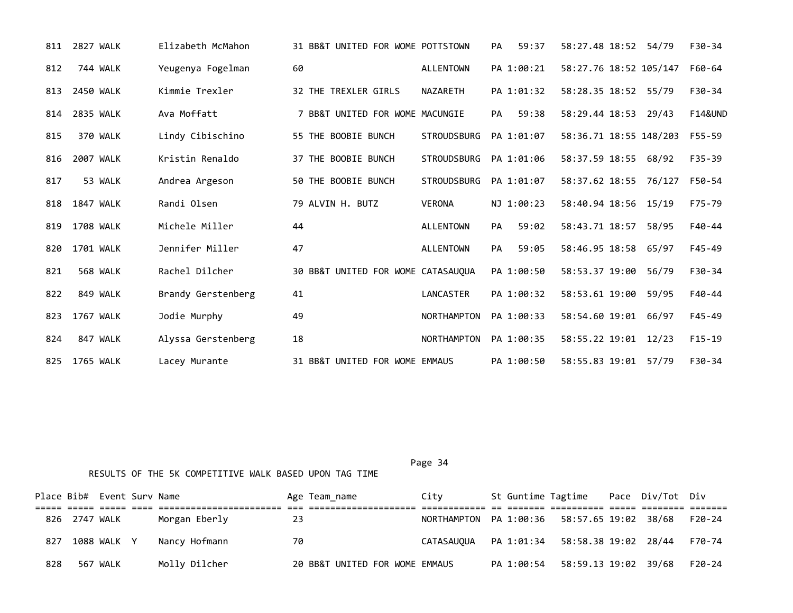| 811 | 2827 WALK        | Elizabeth McMahon  | 31 BB&T UNITED FOR WOME POTTSTOWN  |                    | 59:37<br><b>PA</b> | 58:27.48 18:52 54/79   |       | $F30-34$           |
|-----|------------------|--------------------|------------------------------------|--------------------|--------------------|------------------------|-------|--------------------|
| 812 | 744 WALK         | Yeugenya Fogelman  | 60                                 | ALLENTOWN          | PA 1:00:21         | 58:27.76 18:52 105/147 |       | F60-64             |
| 813 | 2450 WALK        | Kimmie Trexler     | 32 THE TREXLER GIRLS               | NAZARETH           | PA 1:01:32         | 58:28.35 18:52 55/79   |       | F30-34             |
| 814 | <b>2835 WALK</b> | Ava Moffatt        | 7 BB&T UNITED FOR WOME MACUNGIE    |                    | 59:38<br><b>PA</b> | 58:29.44 18:53         | 29/43 | <b>F14&amp;UND</b> |
| 815 | 370 WALK         | Lindy Cibischino   | 55 THE BOOBIE BUNCH                | <b>STROUDSBURG</b> | PA 1:01:07         | 58:36.71 18:55 148/203 |       | F55-59             |
| 816 | 2007 WALK        | Kristin Renaldo    | 37 THE BOOBIE BUNCH                | <b>STROUDSBURG</b> | PA 1:01:06         | 58:37.59 18:55         | 68/92 | F35-39             |
| 817 | 53 WALK          | Andrea Argeson     | 50 THE BOOBIE BUNCH                | <b>STROUDSBURG</b> | PA 1:01:07         | 58:37.62 18:55 76/127  |       | F50-54             |
| 818 | 1847 WALK        | Randi Olsen        | 79 ALVIN H. BUTZ                   | <b>VERONA</b>      | NJ 1:00:23         | 58:40.94 18:56 15/19   |       | F75-79             |
| 819 | 1708 WALK        | Michele Miller     | 44                                 | <b>ALLENTOWN</b>   | 59:02<br>PA        | 58:43.71 18:57         | 58/95 | F40-44             |
| 820 | 1701 WALK        | Jennifer Miller    | 47                                 | <b>ALLENTOWN</b>   | <b>PA</b><br>59:05 | 58:46.95 18:58 65/97   |       | F45-49             |
| 821 | <b>568 WALK</b>  | Rachel Dilcher     | 30 BB&T UNITED FOR WOME CATASAUQUA |                    | PA 1:00:50         | 58:53.37 19:00         | 56/79 | $F30-34$           |
| 822 | 849 WALK         | Brandy Gerstenberg | 41                                 | LANCASTER          | PA 1:00:32         | 58:53.61 19:00         | 59/95 | F40-44             |
| 823 | 1767 WALK        | Jodie Murphy       | 49                                 | <b>NORTHAMPTON</b> | PA 1:00:33         | 58:54.60 19:01 66/97   |       | $F45 - 49$         |
| 824 | 847 WALK         | Alyssa Gerstenberg | 18                                 | <b>NORTHAMPTON</b> | PA 1:00:35         | 58:55.22 19:01         | 12/23 | $F15-19$           |
| 825 | 1765 WALK        | Lacey Murante      | 31 BB&T UNITED FOR WOME EMMAUS     |                    | PA 1:00:50         | 58:55.83 19:01         | 57/79 | F30-34             |

|     |               | Place Bib# Event Surv Name |               |     | Age Team name                  | City                                           |            | St Guntime Tagtime Pace Div/Tot Div |  |        |
|-----|---------------|----------------------------|---------------|-----|--------------------------------|------------------------------------------------|------------|-------------------------------------|--|--------|
|     |               |                            |               |     |                                |                                                |            |                                     |  |        |
|     | 826 2747 WALK |                            | Morgan Eberly | -23 |                                | NORTHAMPTON PA 1:00:36  58:57.65  19:02  38/68 |            |                                     |  | F20-24 |
| 827 |               | 1088 WALK Y                | Nancv Hofmann | 70  |                                |                                                |            |                                     |  |        |
| 828 |               | 567 WALK                   | Molly Dilcher |     | 20 BB&T UNITED FOR WOME EMMAUS |                                                | PA 1:00:54 | 58:59.13 19:02 39/68                |  | F20-24 |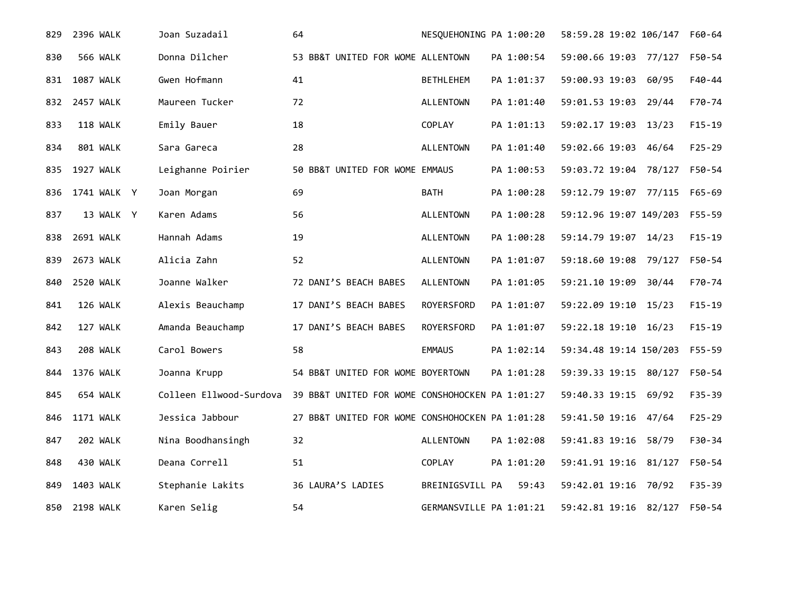| 829 | 2396 WALK        | Joan Suzadail           | 64                                              | NESQUEHONING PA 1:00:20 |            | 58:59.28 19:02 106/147 |       | F60-64     |
|-----|------------------|-------------------------|-------------------------------------------------|-------------------------|------------|------------------------|-------|------------|
| 830 | <b>566 WALK</b>  | Donna Dilcher           | 53 BB&T UNITED FOR WOME ALLENTOWN               |                         | PA 1:00:54 | 59:00.66 19:03 77/127  |       | F50-54     |
| 831 | 1087 WALK        | Gwen Hofmann            | 41                                              | <b>BETHLEHEM</b>        | PA 1:01:37 | 59:00.93 19:03         | 60/95 | $F40 - 44$ |
| 832 | 2457 WALK        | Maureen Tucker          | 72                                              | <b>ALLENTOWN</b>        | PA 1:01:40 | 59:01.53 19:03 29/44   |       | F70-74     |
| 833 | 118 WALK         | Emily Bauer             | 18                                              | COPLAY                  | PA 1:01:13 | 59:02.17 19:03 13/23   |       | $F15 - 19$ |
| 834 | 801 WALK         | Sara Gareca             | 28                                              | <b>ALLENTOWN</b>        | PA 1:01:40 | 59:02.66 19:03         | 46/64 | $F25 - 29$ |
| 835 | 1927 WALK        | Leighanne Poirier       | 50 BB&T UNITED FOR WOME EMMAUS                  |                         | PA 1:00:53 | 59:03.72 19:04 78/127  |       | F50-54     |
| 836 | 1741 WALK Y      | Joan Morgan             | 69                                              | BATH                    | PA 1:00:28 | 59:12.79 19:07 77/115  |       | F65-69     |
| 837 | 13 WALK Y        | Karen Adams             | 56                                              | <b>ALLENTOWN</b>        | PA 1:00:28 | 59:12.96 19:07 149/203 |       | F55-59     |
| 838 | 2691 WALK        | Hannah Adams            | 19                                              | <b>ALLENTOWN</b>        | PA 1:00:28 | 59:14.79 19:07 14/23   |       | $F15 - 19$ |
| 839 | 2673 WALK        | Alicia Zahn             | 52                                              | <b>ALLENTOWN</b>        | PA 1:01:07 | 59:18.60 19:08 79/127  |       | F50-54     |
| 840 | 2520 WALK        | Joanne Walker           | 72 DANI'S BEACH BABES                           | <b>ALLENTOWN</b>        | PA 1:01:05 | 59:21.10 19:09 30/44   |       | F70-74     |
| 841 | 126 WALK         | Alexis Beauchamp        | 17 DANI'S BEACH BABES                           | ROYERSFORD              | PA 1:01:07 | 59:22.09 19:10         | 15/23 | $F15 - 19$ |
| 842 | 127 WALK         | Amanda Beauchamp        | 17 DANI'S BEACH BABES                           | ROYERSFORD              | PA 1:01:07 | 59:22.18 19:10         | 16/23 | $F15 - 19$ |
| 843 | 208 WALK         | Carol Bowers            | 58                                              | <b>EMMAUS</b>           | PA 1:02:14 | 59:34.48 19:14 150/203 |       | F55-59     |
| 844 | 1376 WALK        | Joanna Krupp            | 54 BB&T UNITED FOR WOME BOYERTOWN               |                         | PA 1:01:28 | 59:39.33 19:15 80/127  |       | F50-54     |
| 845 | 654 WALK         | Colleen Ellwood-Surdova | 39 BB&T UNITED FOR WOME CONSHOHOCKEN PA 1:01:27 |                         |            | 59:40.33 19:15         | 69/92 | $F35 - 39$ |
| 846 | <b>1171 WALK</b> | Jessica Jabbour         | 27 BB&T UNITED FOR WOME CONSHOHOCKEN PA 1:01:28 |                         |            | 59:41.50 19:16 47/64   |       | $F25 - 29$ |
| 847 | 202 WALK         | Nina Boodhansingh       | 32                                              | <b>ALLENTOWN</b>        | PA 1:02:08 | 59:41.83 19:16 58/79   |       | F30-34     |
| 848 | 430 WALK         | Deana Correll           | 51                                              | COPLAY                  | PA 1:01:20 | 59:41.91 19:16 81/127  |       | F50-54     |
| 849 | 1403 WALK        | Stephanie Lakits        | 36 LAURA'S LADIES                               | BREINIGSVILL PA         | 59:43      | 59:42.01 19:16 70/92   |       | $F35 - 39$ |
| 850 | <b>2198 WALK</b> | Karen Selig             | 54                                              | GERMANSVILLE PA 1:01:21 |            | 59:42.81 19:16 82/127  |       | F50-54     |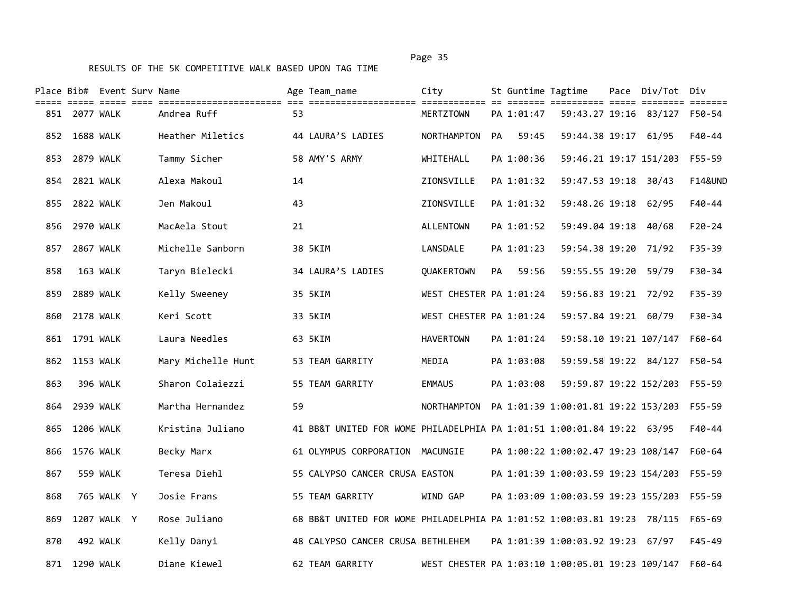|     | Place Bib# Event Surv Name |             |                                                                                                                               |    | Age Team name                                                           | City                                             |           |            | St Guntime Tagtime                         | Pace Div/Tot Div             |                    |
|-----|----------------------------|-------------|-------------------------------------------------------------------------------------------------------------------------------|----|-------------------------------------------------------------------------|--------------------------------------------------|-----------|------------|--------------------------------------------|------------------------------|--------------------|
|     | 851 2077 WALK              |             | title eine die sichtischeidentische die einentischeidentische dielentische er einem antitier dien schaufe diel<br>Andrea Ruff | 53 |                                                                         | MERTZTOWN                                        |           | PA 1:01:47 |                                            | 59:43.27 19:16 83/127 F50-54 |                    |
|     | 852 1688 WALK              |             | Heather Miletics                                                                                                              |    | 44 LAURA'S LADIES                                                       | NORTHAMPTON                                      | PA.       | 59:45      | 59:44.38 19:17 61/95                       |                              | F40-44             |
|     | 853 2879 WALK              |             | Tammy Sicher                                                                                                                  |    | 58 AMY'S ARMY                                                           | WHITEHALL                                        |           | PA 1:00:36 | 59:46.21 19:17 151/203                     |                              | F55-59             |
| 854 | 2821 WALK                  |             | Alexa Makoul                                                                                                                  | 14 |                                                                         | ZIONSVILLE                                       |           | PA 1:01:32 | 59:47.53 19:18 30/43                       |                              | <b>F14&amp;UND</b> |
|     | 855 2822 WALK              |             | Jen Makoul                                                                                                                    | 43 |                                                                         | ZIONSVILLE                                       |           | PA 1:01:32 | 59:48.26 19:18 62/95                       |                              | F40-44             |
|     | 856 2970 WALK              |             | MacAela Stout                                                                                                                 | 21 |                                                                         | ALLENTOWN                                        |           | PA 1:01:52 | 59:49.04 19:18 40/68                       |                              | $F20 - 24$         |
|     | 857 2867 WALK              |             | Michelle Sanborn                                                                                                              |    | 38 5KIM                                                                 | LANSDALE                                         |           | PA 1:01:23 | 59:54.38 19:20 71/92                       |                              | $F35 - 39$         |
| 858 |                            | 163 WALK    | Taryn Bielecki                                                                                                                |    | 34 LAURA'S LADIES                                                       | <b>OUAKERTOWN</b>                                | <b>PA</b> | 59:56      | 59:55.55 19:20 59/79                       |                              | F30-34             |
| 859 | <b>2889 WALK</b>           |             | Kelly Sweeney                                                                                                                 |    | 35 5KIM                                                                 | WEST CHESTER PA 1:01:24                          |           |            | 59:56.83 19:21 72/92                       |                              | $F35 - 39$         |
| 860 | <b>2178 WALK</b>           |             | Keri Scott                                                                                                                    |    | 33 5KIM                                                                 | WEST CHESTER PA 1:01:24                          |           |            | 59:57.84 19:21 60/79                       |                              | F30-34             |
|     | 861 1791 WALK              |             | Laura Needles                                                                                                                 |    | 63 5KIM                                                                 | <b>HAVERTOWN</b>                                 |           | PA 1:01:24 | 59:58.10 19:21 107/147                     |                              | $F60 - 64$         |
|     | 862 1153 WALK              |             | Mary Michelle Hunt                                                                                                            |    | 53 TEAM GARRITY                                                         | MEDIA                                            |           | PA 1:03:08 | 59:59.58 19:22 84/127                      |                              | F50-54             |
| 863 |                            | 396 WALK    | Sharon Colaiezzi                                                                                                              |    | 55 TEAM GARRITY                                                         | <b>EMMAUS</b>                                    |           | PA 1:03:08 | 59:59.87 19:22 152/203                     |                              | $F55 - 59$         |
|     | 864 2939 WALK              |             | Martha Hernandez                                                                                                              | 59 |                                                                         | NORTHAMPTON                                      |           |            | PA 1:01:39 1:00:01.81 19:22 153/203        |                              | F55-59             |
| 865 | 1206 WALK                  |             | Kristina Juliano                                                                                                              |    | 41 BB&T UNITED FOR WOME PHILADELPHIA PA 1:01:51 1:00:01.84 19:22 63/95  |                                                  |           |            |                                            |                              | F40-44             |
| 866 | 1576 WALK                  |             | Becky Marx                                                                                                                    |    | 61 OLYMPUS CORPORATION MACUNGIE                                         |                                                  |           |            | PA 1:00:22 1:00:02.47 19:23 108/147        |                              | $F60 - 64$         |
| 867 |                            | 559 WALK    | Teresa Diehl                                                                                                                  |    | 55 CALYPSO CANCER CRUSA EASTON                                          |                                                  |           |            | PA 1:01:39 1:00:03.59 19:23 154/203        |                              | $F55 - 59$         |
| 868 |                            | 765 WALK Y  | Josie Frans                                                                                                                   |    | 55 TEAM GARRITY                                                         | WIND GAP                                         |           |            | PA 1:03:09 1:00:03.59 19:23 155/203 F55-59 |                              |                    |
| 869 |                            | 1207 WALK Y | Rose Juliano                                                                                                                  |    | 68 BB&T UNITED FOR WOME PHILADELPHIA PA 1:01:52 1:00:03.81 19:23 78/115 |                                                  |           |            |                                            |                              | $F65 - 69$         |
| 870 |                            | 492 WALK    | Kelly Danyi                                                                                                                   |    | 48 CALYPSO CANCER CRUSA BETHLEHEM                                       |                                                  |           |            | PA 1:01:39 1:00:03.92 19:23 67/97          |                              | $F45 - 49$         |
|     | 871 1290 WALK              |             | Diane Kiewel                                                                                                                  |    | 62 TEAM GARRITY                                                         | WEST CHESTER PA 1:03:10 1:00:05.01 19:23 109/147 |           |            |                                            |                              | F60-64             |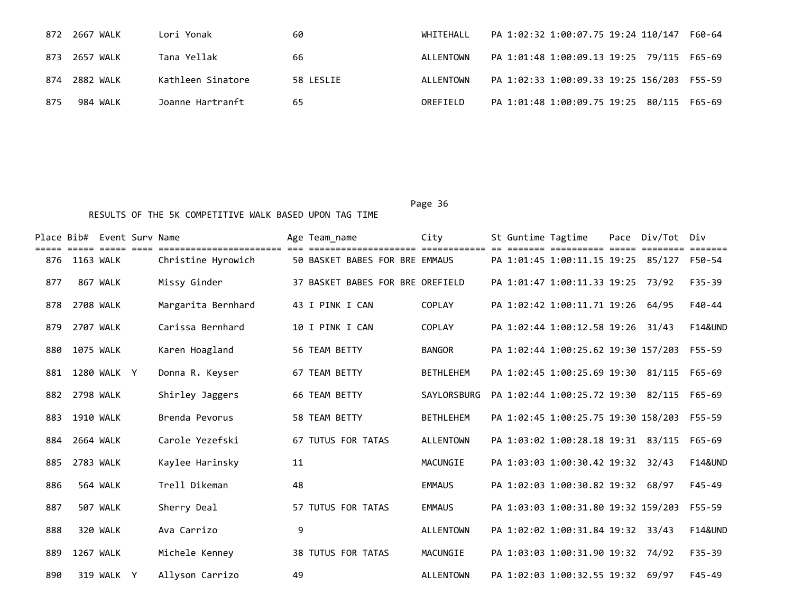| 872 | 2667 WALK     | Lori Yonak        | 60        | WHITEHALL | PA 1:02:32 1:00:07.75 19:24 110/147<br>F60-64 |
|-----|---------------|-------------------|-----------|-----------|-----------------------------------------------|
|     | 873 2657 WALK | Tana Yellak       | 66        | ALLENTOWN | PA 1:01:48 1:00:09.13 19:25 79/115 F65-69     |
| 874 | 2882 WALK     | Kathleen Sinatore | 58 LESLIE | ALLENTOWN | PA 1:02:33 1:00:09.33 19:25 156/203 F55-59    |
| 875 | 984 WALK      | Joanne Hartranft  | 65        | OREFIELD  | PA 1:01:48 1:00:09.75 19:25 80/115 F65-69     |

|     |                  | Place Bib# Event Sury Name |                    |    | Age Team name                    | City             | St Guntime Tagtime |                                     | Pace Div/Tot | Div                |
|-----|------------------|----------------------------|--------------------|----|----------------------------------|------------------|--------------------|-------------------------------------|--------------|--------------------|
| 876 | 1163 WALK        |                            | Christine Hyrowich |    | 50 BASKET BABES FOR BRE EMMAUS   |                  |                    | PA 1:01:45 1:00:11.15 19:25 85/127  |              | F50-54             |
| 877 |                  | 867 WALK                   | Missy Ginder       |    | 37 BASKET BABES FOR BRE OREFIELD |                  |                    | PA 1:01:47 1:00:11.33 19:25 73/92   |              | $F35 - 39$         |
| 878 | 2708 WALK        |                            | Margarita Bernhard |    | 43 I PINK I CAN                  | <b>COPLAY</b>    |                    | PA 1:02:42 1:00:11.71 19:26         | 64/95        | $F40 - 44$         |
| 879 | 2707 WALK        |                            | Carissa Bernhard   |    | 10 I PINK I CAN                  | COPLAY           |                    | PA 1:02:44 1:00:12.58 19:26         | 31/43        | <b>F14&amp;UND</b> |
| 880 | 1075 WALK        |                            | Karen Hoagland     |    | 56 TEAM BETTY                    | <b>BANGOR</b>    |                    | PA 1:02:44 1:00:25.62 19:30 157/203 |              | F55-59             |
| 881 |                  | 1280 WALK Y                | Donna R. Keyser    |    | 67 TEAM BETTY                    | <b>BETHLEHEM</b> |                    | PA 1:02:45 1:00:25.69 19:30 81/115  |              | F65-69             |
| 882 | 2798 WALK        |                            | Shirley Jaggers    |    | 66 TEAM BETTY                    | SAYLORSBURG      |                    | PA 1:02:44 1:00:25.72 19:30         | 82/115       | F65-69             |
| 883 | 1910 WALK        |                            | Brenda Pevorus     |    | 58 TEAM BETTY                    | <b>BETHLEHEM</b> |                    | PA 1:02:45 1:00:25.75 19:30 158/203 |              | F55-59             |
| 884 | 2664 WALK        |                            | Carole Yezefski    |    | <b>67 TUTUS FOR TATAS</b>        | <b>ALLENTOWN</b> |                    | PA 1:03:02 1:00:28.18 19:31 83/115  |              | $F65 - 69$         |
| 885 | 2783 WALK        |                            | Kaylee Harinsky    | 11 |                                  | MACUNGIE         |                    | PA 1:03:03 1:00:30.42 19:32 32/43   |              | <b>F14&amp;UND</b> |
| 886 |                  | 564 WALK                   | Trell Dikeman      | 48 |                                  | <b>EMMAUS</b>    |                    | PA 1:02:03 1:00:30.82 19:32         | 68/97        | $F45 - 49$         |
| 887 |                  | 507 WALK                   | Sherry Deal        |    | 57 TUTUS FOR TATAS               | <b>EMMAUS</b>    |                    | PA 1:03:03 1:00:31.80 19:32 159/203 |              | $F55 - 59$         |
| 888 |                  | 320 WALK                   | Ava Carrizo        | 9  |                                  | <b>ALLENTOWN</b> |                    | PA 1:02:02 1:00:31.84 19:32         | 33/43        | <b>F14&amp;UND</b> |
| 889 | <b>1267 WALK</b> |                            | Michele Kenney     |    | <b>38 TUTUS FOR TATAS</b>        | MACUNGIE         |                    | PA 1:03:03 1:00:31.90 19:32 74/92   |              | $F35 - 39$         |
| 890 |                  | 319 WALK Y                 | Allyson Carrizo    | 49 |                                  | <b>ALLENTOWN</b> |                    | PA 1:02:03 1:00:32.55 19:32         | 69/97        | $F45 - 49$         |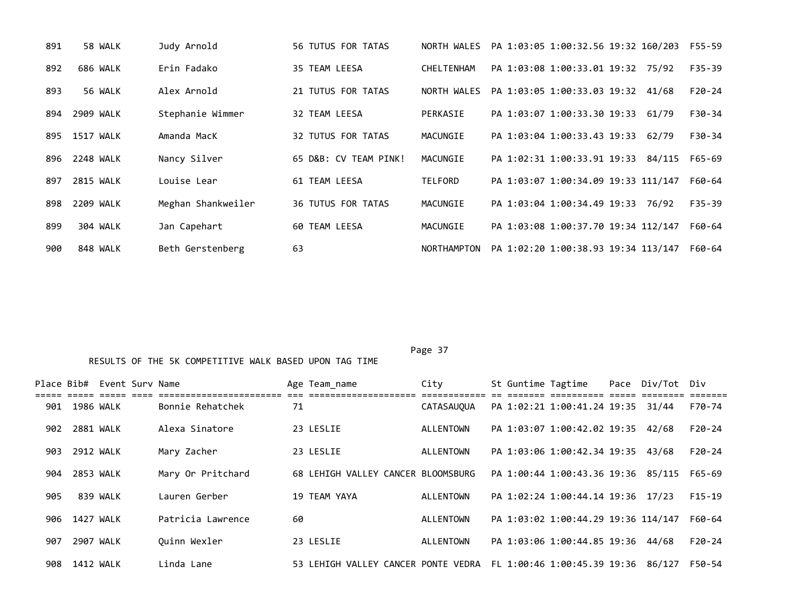| 891 | 58 WALK   | Judy Arnold        | <b>56 TUTUS FOR TATAS</b> | NORTH WALES        | PA 1:03:05 1:00:32.56 19:32 160/203<br>F55-59      |  |
|-----|-----------|--------------------|---------------------------|--------------------|----------------------------------------------------|--|
| 892 | 686 WALK  | Erin Fadako        | 35 TEAM LEESA             | CHELTENHAM         | $F35 - 39$<br>PA 1:03:08 1:00:33.01 19:32 75/92    |  |
| 893 | 56 WALK   | Alex Arnold        | 21 TUTUS FOR TATAS        | NORTH WALES        | $F20-24$<br>PA 1:03:05 1:00:33.03 19:32<br>41/68   |  |
| 894 | 2909 WALK | Stephanie Wimmer   | 32 TEAM LEESA             | PERKASIE           | PA 1:03:07 1:00:33.30 19:33<br>$F30-34$<br>61/79   |  |
| 895 | 1517 WALK | Amanda MacK        | <b>32 TUTUS FOR TATAS</b> | MACUNGIE           | PA 1:03:04 1:00:33.43 19:33<br>F30-34<br>62/79     |  |
| 896 | 2248 WALK | Nancy Silver       | 65 D&B: CV TEAM PINK!     | MACUNGIE           | PA 1:02:31 1:00:33.91 19:33<br>84/115<br>F65-69    |  |
| 897 | 2815 WALK | Louise Lear        | 61 TEAM LEESA             | <b>TELFORD</b>     | PA 1:03:07 1:00:34.09 19:33 111/147<br>F60-64      |  |
| 898 | 2209 WALK | Meghan Shankweiler | <b>36 TUTUS FOR TATAS</b> | MACUNGIE           | PA 1:03:04 1:00:34.49 19:33<br>$F35 - 39$<br>76/92 |  |
| 899 | 304 WALK  | Jan Capehart       | 60 TEAM LEESA             | MACUNGIE           | PA 1:03:08 1:00:37.70 19:34 112/147<br>F60-64      |  |
| 900 | 848 WALK  | Beth Gerstenberg   | 63                        | <b>NORTHAMPTON</b> | PA 1:02:20 1:00:38.93 19:34 113/147<br>F60-64      |  |

|     |           | Place Bib# Event Surv Name |                                               |    | Age Team name                      | City               |  | St Guntime Tagtime                  | Pace Div/Tot Div |          |
|-----|-----------|----------------------------|-----------------------------------------------|----|------------------------------------|--------------------|--|-------------------------------------|------------------|----------|
| 901 | 1986 WALK |                            | _________________________<br>Bonnie Rehatchek | 71 |                                    | CATASAUQUA         |  | PA 1:02:21 1:00:41.24 19:35 31/44   |                  | F70-74   |
| 902 | 2881 WALK |                            | Alexa Sinatore                                |    | 23 LESLIE                          | ALLENTOWN          |  | PA 1:03:07 1:00:42.02 19:35 42/68   |                  | $F20-24$ |
| 903 | 2912 WALK |                            | Mary Zacher                                   |    | 23 LESLIE                          | ALLENTOWN          |  | PA 1:03:06 1:00:42.34 19:35 43/68   |                  | $F20-24$ |
| 904 | 2853 WALK |                            | Mary Or Pritchard                             |    | 68 LEHIGH VALLEY CANCER BLOOMSBURG |                    |  | PA 1:00:44 1:00:43.36 19:36 85/115  |                  | F65-69   |
| 905 |           | 839 WALK                   | Lauren Gerber                                 |    | 19 TEAM YAYA                       | ALLENTOWN          |  | PA 1:02:24 1:00:44.14 19:36 17/23   |                  | $F15-19$ |
| 906 | 1427 WALK |                            | Patricia Lawrence                             | 60 |                                    | ALLENTOWN          |  | PA 1:03:02 1:00:44.29 19:36 114/147 |                  | F60-64   |
| 907 | 2907 WALK |                            | Ouinn Wexler                                  |    | 23 LESLIE                          | ALLENTOWN          |  | PA 1:03:06 1:00:44.85 19:36 44/68   |                  | $F20-24$ |
| 908 | 1412 WALK |                            | Linda Lane                                    |    | 53 LEHIGH VALLEY                   | CANCER PONTE VEDRA |  | FL 1:00:46 1:00:45.39 19:36 86/127  |                  | F50-54   |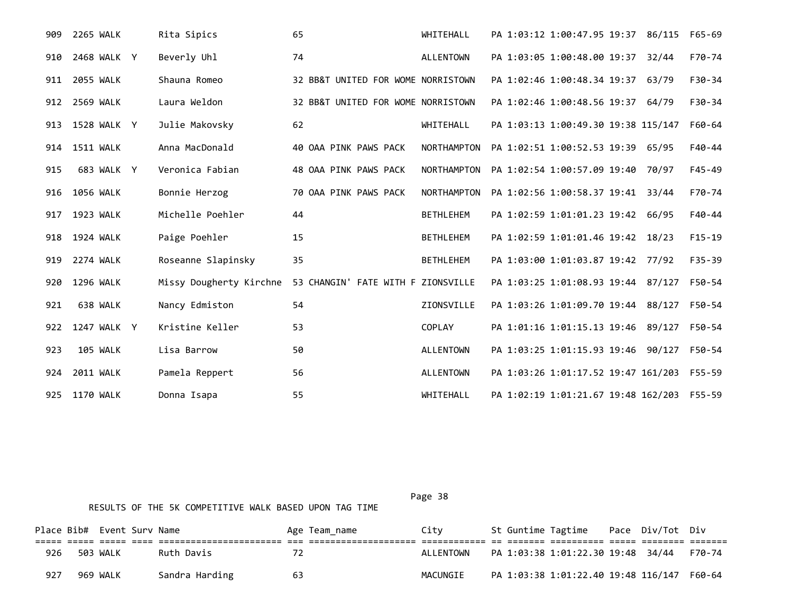| 909 | <b>2265 WALK</b> | Rita Sipics             | 65                                 | WHITEHALL          | PA 1:03:12 1:00:47.95 19:37 86/115  | F65-69     |
|-----|------------------|-------------------------|------------------------------------|--------------------|-------------------------------------|------------|
| 910 | 2468 WALK Y      | Beverly Uhl             | 74                                 | <b>ALLENTOWN</b>   | PA 1:03:05 1:00:48.00 19:37 32/44   | F70-74     |
| 911 | 2055 WALK        | Shauna Romeo            | 32 BB&T UNITED FOR WOME NORRISTOWN |                    | PA 1:02:46 1:00:48.34 19:37 63/79   | $F30-34$   |
| 912 | <b>2569 WALK</b> | Laura Weldon            | 32 BB&T UNITED FOR WOME NORRISTOWN |                    | PA 1:02:46 1:00:48.56 19:37 64/79   | $F30-34$   |
|     | 913 1528 WALK Y  | Julie Makovsky          | 62                                 | WHITEHALL          | PA 1:03:13 1:00:49.30 19:38 115/147 | F60-64     |
|     | 914 1511 WALK    | Anna MacDonald          | 40 OAA PINK PAWS PACK              | <b>NORTHAMPTON</b> | PA 1:02:51 1:00:52.53 19:39 65/95   | $F40-44$   |
| 915 | 683 WALK Y       | Veronica Fabian         | 48 OAA PINK PAWS PACK              | <b>NORTHAMPTON</b> | PA 1:02:54 1:00:57.09 19:40 70/97   | $F45 - 49$ |
| 916 | 1056 WALK        | Bonnie Herzog           | 70 OAA PINK PAWS PACK              | <b>NORTHAMPTON</b> | PA 1:02:56 1:00:58.37 19:41 33/44   | F70-74     |
| 917 | 1923 WALK        | Michelle Poehler        | 44                                 | <b>BETHLEHEM</b>   | PA 1:02:59 1:01:01.23 19:42 66/95   | $F40-44$   |
| 918 | 1924 WALK        | Paige Poehler           | 15                                 | <b>BETHLEHEM</b>   | PA 1:02:59 1:01:01.46 19:42 18/23   | $F15-19$   |
| 919 | 2274 WALK        | Roseanne Slapinsky      | 35                                 | <b>BETHLEHEM</b>   | PA 1:03:00 1:01:03.87 19:42 77/92   | $F35 - 39$ |
| 920 | 1296 WALK        | Missy Dougherty Kirchne | 53 CHANGIN' FATE WITH F ZIONSVILLE |                    | PA 1:03:25 1:01:08.93 19:44 87/127  | F50-54     |
| 921 | 638 WALK         | Nancy Edmiston          | 54                                 | ZIONSVILLE         | PA 1:03:26 1:01:09.70 19:44 88/127  | F50-54     |
| 922 | 1247 WALK Y      | Kristine Keller         | 53                                 | COPLAY             | PA 1:01:16 1:01:15.13 19:46 89/127  | F50-54     |
| 923 | 105 WALK         | Lisa Barrow             | 50                                 | <b>ALLENTOWN</b>   | PA 1:03:25 1:01:15.93 19:46 90/127  | F50-54     |
| 924 | <b>2011 WALK</b> | Pamela Reppert          | 56                                 | <b>ALLENTOWN</b>   | PA 1:03:26 1:01:17.52 19:47 161/203 | F55-59     |
| 925 | 1170 WALK        | Donna Isapa             | 55                                 | WHITEHALL          | PA 1:02:19 1:01:21.67 19:48 162/203 | F55-59     |

|     | Place Bib# Event Surv Name |                |     | Age Team name | City      |  | St Guntime Tagtime Pace Div/Tot Div        |  |        |
|-----|----------------------------|----------------|-----|---------------|-----------|--|--------------------------------------------|--|--------|
|     |                            |                |     |               |           |  |                                            |  |        |
| 926 | 503 WALK                   | Ruth Davis     | 72  |               | ALLENTOWN |  | PA 1:03:38 1:01:22.30 19:48 34/44          |  | F70-74 |
| 927 | 969 WALK                   | Sandra Harding | -63 |               | MACUNGIE  |  | PA 1:03:38 1:01:22.40 19:48 116/147 F60-64 |  |        |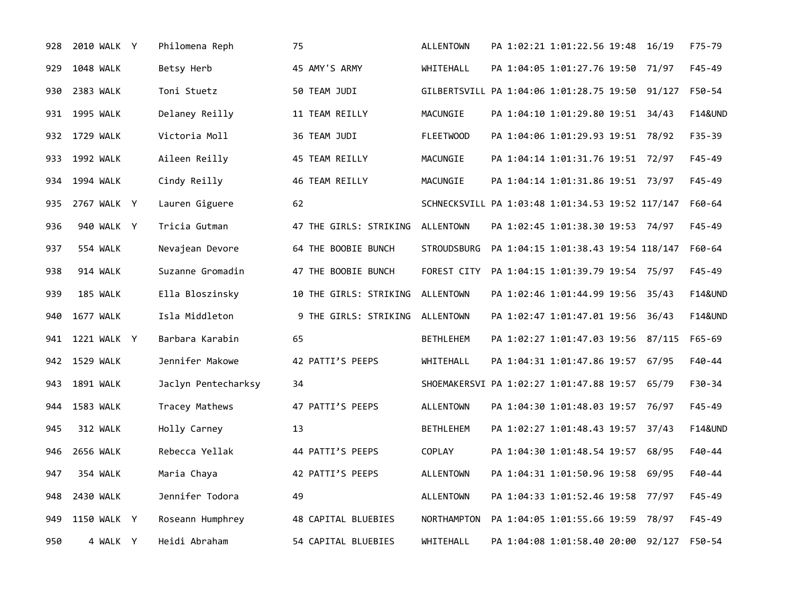| 928 | 2010 WALK Y   | Philomena Reph      | 75                               | <b>ALLENTOWN</b> | PA 1:02:21 1:01:22.56 19:48<br>16/19             | F75-79             |
|-----|---------------|---------------------|----------------------------------|------------------|--------------------------------------------------|--------------------|
| 929 | 1048 WALK     | Betsy Herb          | 45 AMY'S ARMY                    | WHITEHALL        | PA 1:04:05 1:01:27.76 19:50 71/97                | F45-49             |
| 930 | 2383 WALK     | Toni Stuetz         | 50 TEAM JUDI                     |                  | GILBERTSVILL PA 1:04:06 1:01:28.75 19:50 91/127  | F50-54             |
| 931 | 1995 WALK     | Delaney Reilly      | 11 TEAM REILLY                   | MACUNGIE         | PA 1:04:10 1:01:29.80 19:51 34/43                | <b>F14&amp;UND</b> |
|     | 932 1729 WALK | Victoria Moll       | 36 TEAM JUDI                     | <b>FLEETWOOD</b> | PA 1:04:06 1:01:29.93 19:51 78/92                | F35-39             |
| 933 | 1992 WALK     | Aileen Reilly       | 45 TEAM REILLY                   | MACUNGIE         | PA 1:04:14 1:01:31.76 19:51 72/97                | F45-49             |
| 934 | 1994 WALK     | Cindy Reilly        | 46 TEAM REILLY                   | MACUNGIE         | PA 1:04:14 1:01:31.86 19:51 73/97                | F45-49             |
| 935 | 2767 WALK Y   | Lauren Giguere      | 62                               |                  | SCHNECKSVILL PA 1:03:48 1:01:34.53 19:52 117/147 | F60-64             |
| 936 | 940 WALK Y    | Tricia Gutman       | 47 THE GIRLS: STRIKING ALLENTOWN |                  | PA 1:02:45 1:01:38.30 19:53 74/97                | F45-49             |
| 937 | 554 WALK      | Nevajean Devore     | 64 THE BOOBIE BUNCH              | STROUDSBURG      | PA 1:04:15 1:01:38.43 19:54 118/147              | F60-64             |
| 938 | 914 WALK      | Suzanne Gromadin    | 47 THE BOOBIE BUNCH              | FOREST CITY      | PA 1:04:15 1:01:39.79 19:54 75/97                | F45-49             |
| 939 | 185 WALK      | Ella Bloszinsky     | 10 THE GIRLS: STRIKING ALLENTOWN |                  | PA 1:02:46 1:01:44.99 19:56 35/43                | <b>F14&amp;UND</b> |
| 940 | 1677 WALK     | Isla Middleton      | 9 THE GIRLS: STRIKING ALLENTOWN  |                  | PA 1:02:47 1:01:47.01 19:56 36/43                | <b>F14&amp;UND</b> |
| 941 | 1221 WALK Y   | Barbara Karabin     | 65                               | <b>BETHLEHEM</b> | PA 1:02:27 1:01:47.03 19:56 87/115               | $F65 - 69$         |
|     | 942 1529 WALK | Jennifer Makowe     | 42 PATTI'S PEEPS                 | WHITEHALL        | PA 1:04:31 1:01:47.86 19:57 67/95                | F40-44             |
| 943 | 1891 WALK     | Jaclyn Pentecharksy | 34                               |                  | SHOEMAKERSVI PA 1:02:27 1:01:47.88 19:57 65/79   | F30-34             |
| 944 | 1583 WALK     | Tracey Mathews      | 47 PATTI'S PEEPS                 | <b>ALLENTOWN</b> | PA 1:04:30 1:01:48.03 19:57 76/97                | $F45 - 49$         |
| 945 | 312 WALK      | Holly Carney        | 13                               | <b>BETHLEHEM</b> | PA 1:02:27 1:01:48.43 19:57 37/43                | <b>F14&amp;UND</b> |
| 946 | 2656 WALK     | Rebecca Yellak      | 44 PATTI'S PEEPS                 | <b>COPLAY</b>    | PA 1:04:30 1:01:48.54 19:57<br>68/95             | F40-44             |
| 947 | 354 WALK      | Maria Chaya         | 42 PATTI'S PEEPS                 | <b>ALLENTOWN</b> | PA 1:04:31 1:01:50.96 19:58<br>69/95             | F40-44             |
| 948 | 2430 WALK     | Jennifer Todora     | 49                               | <b>ALLENTOWN</b> | PA 1:04:33 1:01:52.46 19:58 77/97                | $F45 - 49$         |
| 949 | 1150 WALK Y   | Roseann Humphrey    | 48 CAPITAL BLUEBIES              | NORTHAMPTON      | PA 1:04:05 1:01:55.66 19:59<br>78/97             | $F45 - 49$         |
| 950 | 4 WALK Y      | Heidi Abraham       | 54 CAPITAL BLUEBIES              | WHITEHALL        | PA 1:04:08 1:01:58.40 20:00<br>92/127            | F50-54             |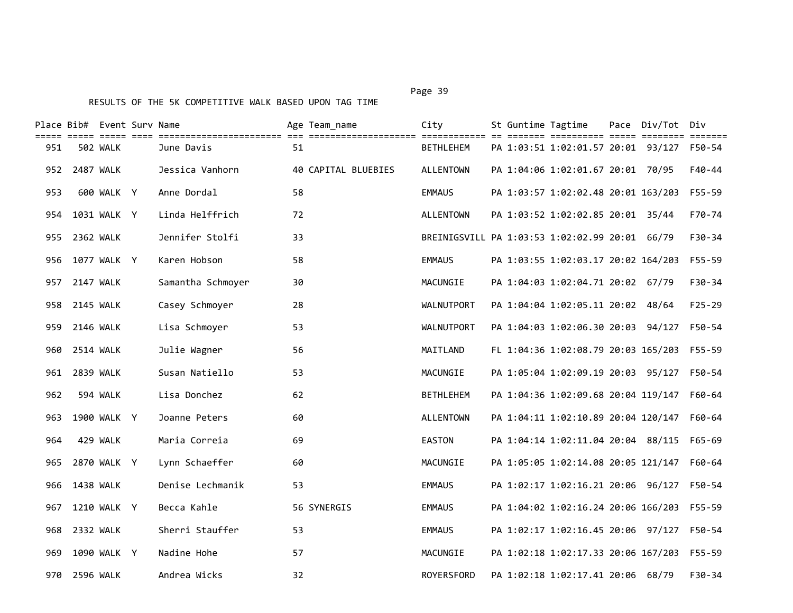|      | Place Bib# Event Surv Name |             |                   |    | Age Team_name       | City                                           | St Guntime Tagtime |                                            | Pace Div/Tot Div |            |
|------|----------------------------|-------------|-------------------|----|---------------------|------------------------------------------------|--------------------|--------------------------------------------|------------------|------------|
| 951  |                            | 502 WALK    | June Davis        | 51 |                     | <b>BETHLEHEM</b>                               |                    | PA 1:03:51 1:02:01.57 20:01 93/127 F50-54  |                  |            |
|      | 952 2487 WALK              |             | Jessica Vanhorn   |    | 40 CAPITAL BLUEBIES | <b>ALLENTOWN</b>                               |                    | PA 1:04:06 1:02:01.67 20:01 70/95          |                  | F40-44     |
| 953  |                            | 600 WALK Y  | Anne Dordal       | 58 |                     | <b>EMMAUS</b>                                  |                    | PA 1:03:57 1:02:02.48 20:01 163/203        |                  | F55-59     |
|      | 954 1031 WALK Y            |             | Linda Helffrich   | 72 |                     | <b>ALLENTOWN</b>                               |                    | PA 1:03:52 1:02:02.85 20:01 35/44          |                  | F70-74     |
|      | 955 2362 WALK              |             | Jennifer Stolfi   | 33 |                     | BREINIGSVILL PA 1:03:53 1:02:02.99 20:01 66/79 |                    |                                            |                  | F30-34     |
| 956  |                            | 1077 WALK Y | Karen Hobson      | 58 |                     | <b>EMMAUS</b>                                  |                    | PA 1:03:55 1:02:03.17 20:02 164/203        |                  | $F55 - 59$ |
| 957  | <b>2147 WALK</b>           |             | Samantha Schmoyer | 30 |                     | MACUNGIE                                       |                    | PA 1:04:03 1:02:04.71 20:02 67/79          |                  | $F30-34$   |
| 958  | <b>2145 WALK</b>           |             | Casey Schmoyer    | 28 |                     | WALNUTPORT                                     |                    | PA 1:04:04 1:02:05.11 20:02 48/64          |                  | $F25 - 29$ |
| 959  | 2146 WALK                  |             | Lisa Schmoyer     | 53 |                     | WALNUTPORT                                     |                    | PA 1:04:03 1:02:06.30 20:03 94/127         |                  | F50-54     |
|      | 960 2514 WALK              |             | Julie Wagner      | 56 |                     | MAITLAND                                       |                    | FL 1:04:36 1:02:08.79 20:03 165/203 F55-59 |                  |            |
| 961  | 2839 WALK                  |             | Susan Natiello    | 53 |                     | MACUNGIE                                       |                    | PA 1:05:04 1:02:09.19 20:03 95/127         |                  | F50-54     |
| 962  |                            | 594 WALK    | Lisa Donchez      | 62 |                     | <b>BETHLEHEM</b>                               |                    | PA 1:04:36 1:02:09.68 20:04 119/147        |                  | F60-64     |
| 963  |                            | 1900 WALK Y | Joanne Peters     | 60 |                     | <b>ALLENTOWN</b>                               |                    | PA 1:04:11 1:02:10.89 20:04 120/147        |                  | F60-64     |
| 964  |                            | 429 WALK    | Maria Correia     | 69 |                     | <b>EASTON</b>                                  |                    | PA 1:04:14 1:02:11.04 20:04 88/115         |                  | F65-69     |
|      | 965 2870 WALK Y            |             | Lynn Schaeffer    | 60 |                     | MACUNGIE                                       |                    | PA 1:05:05 1:02:14.08 20:05 121/147        |                  | F60-64     |
|      | 966 1438 WALK              |             | Denise Lechmanik  | 53 |                     | <b>EMMAUS</b>                                  |                    | PA 1:02:17 1:02:16.21 20:06 96/127         |                  | F50-54     |
| 967  |                            | 1210 WALK Y | Becca Kahle       |    | 56 SYNERGIS         | <b>EMMAUS</b>                                  |                    | PA 1:04:02 1:02:16.24 20:06 166/203        |                  | F55-59     |
|      | 968 2332 WALK              |             | Sherri Stauffer   | 53 |                     | <b>EMMAUS</b>                                  |                    | PA 1:02:17 1:02:16.45 20:06 97/127         |                  | F50-54     |
| 969. |                            | 1090 WALK Y | Nadine Hohe       | 57 |                     | MACUNGIE                                       |                    | PA 1:02:18 1:02:17.33 20:06 167/203        |                  | F55-59     |
| 970  | 2596 WALK                  |             | Andrea Wicks      | 32 |                     | ROYERSFORD                                     |                    | PA 1:02:18 1:02:17.41 20:06 68/79          |                  | F30-34     |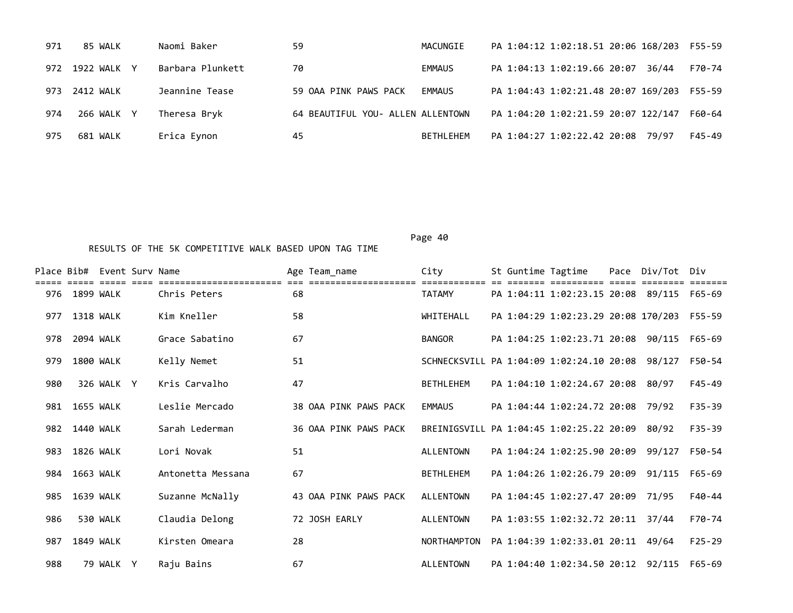| 971 | 85 WALK         | Naomi Baker      | 59                                | MACUNGIE  | PA 1:04:12 1:02:18.51 20:06 168/203 F55-59     |  |
|-----|-----------------|------------------|-----------------------------------|-----------|------------------------------------------------|--|
|     | 972 1922 WALK Y | Barbara Plunkett | 70                                | EMMAUS    | PA 1:04:13 1:02:19.66 20:07<br>36/44<br>F70-74 |  |
|     | 973 2412 WALK   | Jeannine Tease   | 59 OAA PINK PAWS PACK             | EMMAUS    | PA 1:04:43 1:02:21.48 20:07 169/203<br>F55-59  |  |
| 974 | 266 WALK Y      | Theresa Bryk     | 64 BEAUTIFUL YOU- ALLEN ALLENTOWN |           | PA 1:04:20 1:02:21.59 20:07 122/147<br>F60-64  |  |
| 975 | 681 WALK        | Erica Eynon      | 45                                | BETHLEHEM | PA 1:04:27 1:02:22.42 20:08 79/97<br>F45-49    |  |

|     |                  | Place Bib# Event Surv Name |                   |    | Age Team_name         | City                                     |  | St Guntime Tagtime                  | Pace Div/Tot Div |            |
|-----|------------------|----------------------------|-------------------|----|-----------------------|------------------------------------------|--|-------------------------------------|------------------|------------|
|     | 976 1899 WALK    |                            | Chris Peters      | 68 |                       | <b>TATAMY</b>                            |  | PA 1:04:11 1:02:23.15 20:08 89/115  |                  | F65-69     |
| 977 | <b>1318 WALK</b> |                            | Kim Kneller       | 58 |                       | WHITEHALL                                |  | PA 1:04:29 1:02:23.29 20:08 170/203 |                  | F55-59     |
| 978 | 2094 WALK        |                            | Grace Sabatino    | 67 |                       | <b>BANGOR</b>                            |  | PA 1:04:25 1:02:23.71 20:08         | 90/115           | F65-69     |
| 979 | 1800 WALK        |                            | Kelly Nemet       | 51 |                       | SCHNECKSVILL PA 1:04:09 1:02:24.10 20:08 |  |                                     | 98/127           | F50-54     |
| 980 |                  | 326 WALK Y                 | Kris Carvalho     | 47 |                       | <b>BETHLEHEM</b>                         |  | PA 1:04:10 1:02:24.67 20:08 80/97   |                  | $F45 - 49$ |
| 981 | <b>1655 WALK</b> |                            | Leslie Mercado    |    | 38 OAA PINK PAWS PACK | <b>EMMAUS</b>                            |  | PA 1:04:44 1:02:24.72 20:08         | 79/92            | $F35 - 39$ |
| 982 | 1440 WALK        |                            | Sarah Lederman    |    | 36 OAA PINK PAWS PACK | BREINIGSVILL PA 1:04:45 1:02:25.22 20:09 |  |                                     | 80/92            | $F35 - 39$ |
| 983 | <b>1826 WALK</b> |                            | Lori Novak        | 51 |                       | <b>ALLENTOWN</b>                         |  | PA 1:04:24 1:02:25.90 20:09         | 99/127           | F50-54     |
| 984 | 1663 WALK        |                            | Antonetta Messana | 67 |                       | <b>BETHLEHEM</b>                         |  | PA 1:04:26 1:02:26.79 20:09 91/115  |                  | F65-69     |
| 985 | 1639 WALK        |                            | Suzanne McNally   |    | 43 OAA PINK PAWS PACK | ALLENTOWN                                |  | PA 1:04:45 1:02:27.47 20:09         | 71/95            | $F40-44$   |
| 986 |                  | 530 WALK                   | Claudia Delong    |    | 72 JOSH EARLY         | <b>ALLENTOWN</b>                         |  | PA 1:03:55 1:02:32.72 20:11 37/44   |                  | F70-74     |
| 987 | <b>1849 WALK</b> |                            | Kirsten Omeara    | 28 |                       | <b>NORTHAMPTON</b>                       |  | PA 1:04:39 1:02:33.01 20:11         | 49/64            | $F25 - 29$ |
| 988 |                  | 79 WALK Y                  | Raju Bains        | 67 |                       | <b>ALLENTOWN</b>                         |  | PA 1:04:40 1:02:34.50 20:12 92/115  |                  | F65-69     |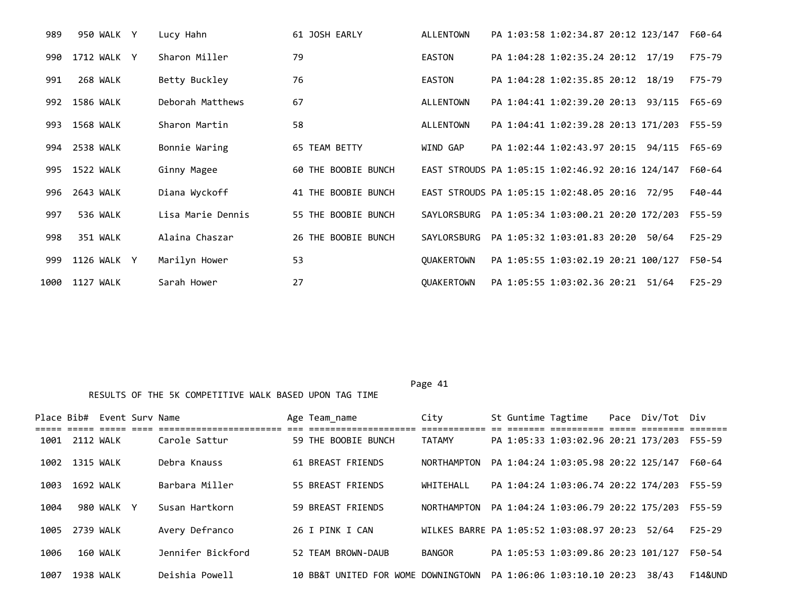| 989  | 950 WALK Y  | Lucy Hahn         | 61 JOSH EARLY       | <b>ALLENTOWN</b> | PA 1:03:58 1:02:34.87 20:12 123/147              |       | F60-64     |
|------|-------------|-------------------|---------------------|------------------|--------------------------------------------------|-------|------------|
| 990  | 1712 WALK Y | Sharon Miller     | 79                  | <b>EASTON</b>    | PA 1:04:28 1:02:35.24 20:12 17/19                |       | F75-79     |
| 991  | 268 WALK    | Betty Buckley     | 76                  | <b>EASTON</b>    | PA 1:04:28 1:02:35.85 20:12 18/19                |       | F75-79     |
| 992  | 1586 WALK   | Deborah Matthews  | 67                  | ALLENTOWN        | PA 1:04:41 1:02:39.20 20:13 93/115               |       | F65-69     |
| 993  | 1568 WALK   | Sharon Martin     | 58                  | ALLENTOWN        | PA 1:04:41 1:02:39.28 20:13 171/203              |       | F55-59     |
| 994  | 2538 WALK   | Bonnie Waring     | 65 TEAM BETTY       | WIND GAP         | PA 1:02:44 1:02:43.97 20:15 94/115               |       | F65-69     |
| 995  | 1522 WALK   | Ginny Magee       | 60 THE BOOBIE BUNCH |                  | EAST STROUDS PA 1:05:15 1:02:46.92 20:16 124/147 |       | F60-64     |
| 996  | 2643 WALK   | Diana Wyckoff     | 41 THE BOOBIE BUNCH |                  | EAST STROUDS PA 1:05:15 1:02:48.05 20:16 72/95   |       | F40-44     |
| 997  | 536 WALK    | Lisa Marie Dennis | 55 THE BOOBIE BUNCH | SAYLORSBURG      | PA 1:05:34 1:03:00.21 20:20 172/203              |       | F55-59     |
| 998  | 351 WALK    | Alaina Chaszar    | 26 THE BOOBIE BUNCH | SAYLORSBURG      | PA 1:05:32 1:03:01.83 20:20                      | 50/64 | $F25 - 29$ |
| 999  | 1126 WALK Y | Marilyn Hower     | 53                  | OUAKERTOWN       | PA 1:05:55 1:03:02.19 20:21 100/127              |       | F50-54     |
| 1000 | 1127 WALK   | Sarah Hower       | 27                  | OUAKERTOWN       | PA 1:05:55 1:03:02.36 20:21                      | 51/64 | $F25 - 29$ |

|      |                | Place Bib# Event Sury Name |                   | Age Team_name                       | City                                     |  | St Guntime Tagtime                  | Pace Div/Tot Div |                    |
|------|----------------|----------------------------|-------------------|-------------------------------------|------------------------------------------|--|-------------------------------------|------------------|--------------------|
|      |                |                            |                   |                                     |                                          |  |                                     |                  |                    |
|      | 1001 2112 WALK |                            | Carole Sattur     | 59 THE BOOBIE BUNCH                 | <b>TATAMY</b>                            |  | PA 1:05:33 1:03:02.96 20:21 173/203 |                  | F55-59             |
|      | 1002 1315 WALK |                            | Debra Knauss      | 61 BREAST FRIENDS                   | NORTHAMPTON                              |  | PA 1:04:24 1:03:05.98 20:22 125/147 |                  | F60-64             |
|      |                |                            |                   |                                     |                                          |  |                                     |                  |                    |
| 1003 | 1692 WALK      |                            | Barbara Miller    | 55 BREAST FRIENDS                   | WHITEHALL                                |  | PA 1:04:24 1:03:06.74 20:22 174/203 |                  | F55-59             |
| 1004 |                | 980 WALK Y                 | Susan Hartkorn    | 59 BREAST FRIENDS                   | NORTHAMPTON                              |  | PA 1:04:24 1:03:06.79 20:22 175/203 |                  | F55-59             |
|      |                |                            |                   |                                     |                                          |  |                                     |                  |                    |
| 1005 | 2739 WALK      |                            | Avery Defranco    | 26 I PINK I CAN                     | WILKES BARRE PA 1:05:52 1:03:08.97 20:23 |  |                                     | 52/64            | $F25-29$           |
| 1006 |                | 160 WALK                   | Jennifer Bickford | 52 TEAM BROWN-DAUB                  | <b>BANGOR</b>                            |  | PA 1:05:53 1:03:09.86 20:23 101/127 |                  | F50-54             |
|      |                |                            |                   |                                     |                                          |  |                                     |                  |                    |
| 1007 | 1938 WALK      |                            | Deishia Powell    | 10 BB&T UNITED FOR WOME DOWNINGTOWN |                                          |  | PA 1:06:06 1:03:10.10 20:23         | 38/43            | <b>F14&amp;UND</b> |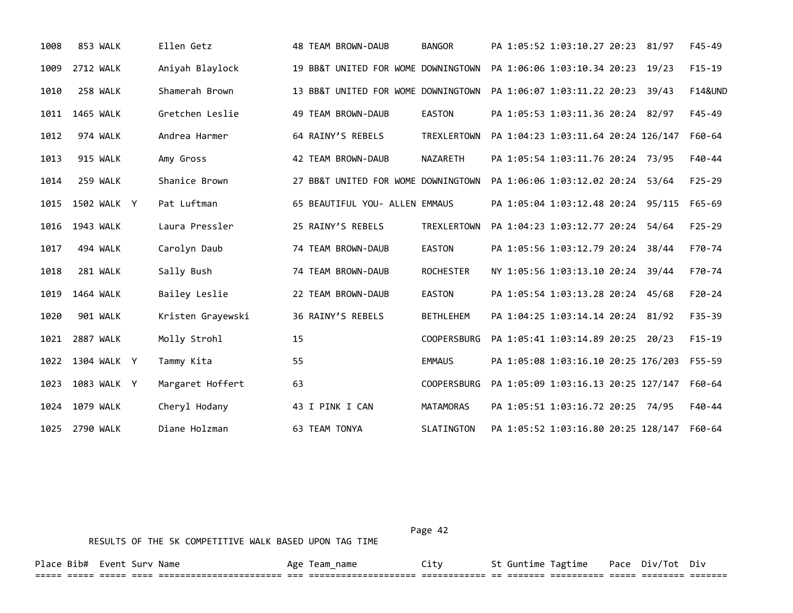| 1008 | 853 WALK         | Ellen Getz        | 48 TEAM BROWN-DAUB                  | <b>BANGOR</b>      | PA 1:05:52 1:03:10.27 20:23 81/97<br>$F45 - 49$         |  |
|------|------------------|-------------------|-------------------------------------|--------------------|---------------------------------------------------------|--|
| 1009 | <b>2712 WALK</b> | Aniyah Blaylock   | 19 BB&T UNITED FOR WOME DOWNINGTOWN |                    | PA 1:06:06 1:03:10.34 20:23 19/23<br>$F15-19$           |  |
| 1010 | 258 WALK         | Shamerah Brown    | 13 BB&T UNITED FOR WOME DOWNINGTOWN |                    | <b>F14&amp;UND</b><br>PA 1:06:07 1:03:11.22 20:23 39/43 |  |
| 1011 | <b>1465 WALK</b> | Gretchen Leslie   | 49 TEAM BROWN-DAUB                  | <b>EASTON</b>      | PA 1:05:53 1:03:11.36 20:24 82/97<br>F45-49             |  |
| 1012 | 974 WALK         | Andrea Harmer     | 64 RAINY'S REBELS                   | <b>TREXLERTOWN</b> | PA 1:04:23 1:03:11.64 20:24 126/147<br>F60-64           |  |
| 1013 | 915 WALK         | Amy Gross         | 42 TEAM BROWN-DAUB                  | NAZARETH           | PA 1:05:54 1:03:11.76 20:24 73/95<br>$F40 - 44$         |  |
| 1014 | 259 WALK         | Shanice Brown     | 27 BB&T UNITED FOR WOME DOWNINGTOWN |                    | PA 1:06:06 1:03:12.02 20:24<br>$F25 - 29$<br>53/64      |  |
| 1015 | 1502 WALK Y      | Pat Luftman       | 65 BEAUTIFUL YOU- ALLEN EMMAUS      |                    | PA 1:05:04 1:03:12.48 20:24 95/115<br>F65-69            |  |
| 1016 | 1943 WALK        | Laura Pressler    | 25 RAINY'S REBELS                   | TREXLERTOWN        | PA 1:04:23 1:03:12.77 20:24<br>$F25 - 29$<br>54/64      |  |
| 1017 | 494 WALK         | Carolyn Daub      | 74 TEAM BROWN-DAUB                  | <b>EASTON</b>      | PA 1:05:56 1:03:12.79 20:24<br>F70-74<br>38/44          |  |
| 1018 | 281 WALK         | Sally Bush        | 74 TEAM BROWN-DAUB                  | <b>ROCHESTER</b>   | NY 1:05:56 1:03:13.10 20:24<br>F70-74<br>39/44          |  |
| 1019 | 1464 WALK        | Bailey Leslie     | 22 TEAM BROWN-DAUB                  | <b>EASTON</b>      | PA 1:05:54 1:03:13.28 20:24 45/68<br>$F20 - 24$         |  |
| 1020 | 901 WALK         | Kristen Grayewski | 36 RAINY'S REBELS                   | <b>BETHLEHEM</b>   | PA 1:04:25 1:03:14.14 20:24 81/92<br>$F35 - 39$         |  |
| 1021 | <b>2887 WALK</b> | Molly Strohl      | 15                                  | <b>COOPERSBURG</b> | PA 1:05:41 1:03:14.89 20:25<br>$F15-19$<br>20/23        |  |
| 1022 | 1304 WALK Y      | Tammy Kita        | 55                                  | <b>EMMAUS</b>      | PA 1:05:08 1:03:16.10 20:25 176/203<br>$F55 - 59$       |  |
| 1023 | 1083 WALK Y      | Margaret Hoffert  | 63                                  | <b>COOPERSBURG</b> | PA 1:05:09 1:03:16.13 20:25 127/147<br>F60-64           |  |
| 1024 | 1079 WALK        | Cheryl Hodany     | 43 I PINK I CAN                     | MATAMORAS          | PA 1:05:51 1:03:16.72 20:25 74/95<br>F40-44             |  |
|      | 1025 2790 WALK   | Diane Holzman     | 63 TEAM TONYA                       | SLATINGTON         | PA 1:05:52 1:03:16.80 20:25 128/147<br>F60-64           |  |

Page 42

===== ===== ===== ==== ======================= === ==================== ============ == ======= ========== ===== ======== =======

Place Bib# Event Surv Name  $\overline{A}$  Age Team\_name  $\overline{C}$  City St Guntime Tagtime Pace Div/Tot Div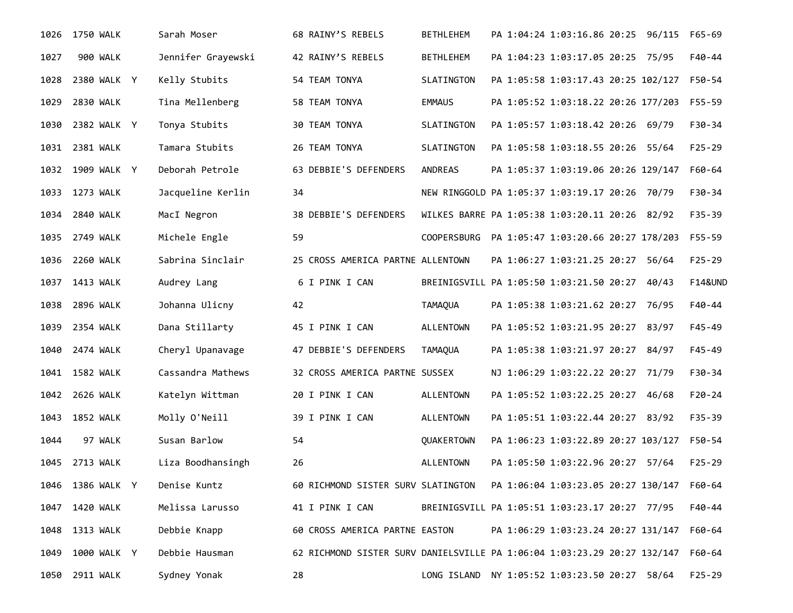| 1026 | 1750 WALK        | Sarah Moser        | 68 RAINY'S REBELS                  | <b>BETHLEHEM</b> | PA 1:04:24 1:03:16.86 20:25 96/115                                       | F65-69             |
|------|------------------|--------------------|------------------------------------|------------------|--------------------------------------------------------------------------|--------------------|
| 1027 | 900 WALK         | Jennifer Grayewski | 42 RAINY'S REBELS                  | <b>BETHLEHEM</b> | PA 1:04:23 1:03:17.05 20:25 75/95                                        | F40-44             |
| 1028 | 2380 WALK Y      | Kelly Stubits      | 54 TEAM TONYA                      | SLATINGTON       | PA 1:05:58 1:03:17.43 20:25 102/127                                      | F50-54             |
| 1029 | 2830 WALK        | Tina Mellenberg    | 58 TEAM TONYA                      | <b>EMMAUS</b>    | PA 1:05:52 1:03:18.22 20:26 177/203                                      | F55-59             |
| 1030 | 2382 WALK Y      | Tonya Stubits      | 30 TEAM TONYA                      | SLATINGTON       | PA 1:05:57 1:03:18.42 20:26 69/79                                        | $F30-34$           |
| 1031 | 2381 WALK        | Tamara Stubits     | 26 TEAM TONYA                      | SLATINGTON       | PA 1:05:58 1:03:18.55 20:26 55/64                                        | $F25 - 29$         |
| 1032 | 1909 WALK Y      | Deborah Petrole    | 63 DEBBIE'S DEFENDERS              | <b>ANDREAS</b>   | PA 1:05:37 1:03:19.06 20:26 129/147                                      | F60-64             |
|      | 1033 1273 WALK   | Jacqueline Kerlin  | 34                                 |                  | NEW RINGGOLD PA 1:05:37 1:03:19.17 20:26 70/79                           | F30-34             |
| 1034 | 2840 WALK        | MacI Negron        | 38 DEBBIE'S DEFENDERS              |                  | WILKES BARRE PA 1:05:38 1:03:20.11 20:26 82/92                           | F35-39             |
| 1035 | 2749 WALK        | Michele Engle      | 59                                 |                  | COOPERSBURG PA 1:05:47 1:03:20.66 20:27 178/203                          | F55-59             |
| 1036 | <b>2260 WALK</b> | Sabrina Sinclair   | 25 CROSS AMERICA PARTNE ALLENTOWN  |                  | PA 1:06:27 1:03:21.25 20:27 56/64                                        | $F25 - 29$         |
| 1037 | 1413 WALK        | Audrey Lang        | 6 I PINK I CAN                     |                  | BREINIGSVILL PA 1:05:50 1:03:21.50 20:27<br>40/43                        | <b>F14&amp;UND</b> |
| 1038 | <b>2896 WALK</b> | Johanna Ulicny     | 42                                 | <b>TAMAQUA</b>   | PA 1:05:38 1:03:21.62 20:27 76/95                                        | $F40 - 44$         |
| 1039 | 2354 WALK        | Dana Stillarty     | 45 I PINK I CAN                    | <b>ALLENTOWN</b> | PA 1:05:52 1:03:21.95 20:27 83/97                                        | $F45 - 49$         |
| 1040 | 2474 WALK        | Cheryl Upanavage   | 47 DEBBIE'S DEFENDERS              | <b>TAMAQUA</b>   | PA 1:05:38 1:03:21.97 20:27 84/97                                        | $F45 - 49$         |
|      | 1041 1582 WALK   | Cassandra Mathews  | 32 CROSS AMERICA PARTNE SUSSEX     |                  | NJ 1:06:29 1:03:22.22 20:27 71/79                                        | F30-34             |
| 1042 | 2626 WALK        | Katelyn Wittman    | 20 I PINK I CAN                    | <b>ALLENTOWN</b> | PA 1:05:52 1:03:22.25 20:27 46/68                                        | $F20-24$           |
| 1043 | <b>1852 WALK</b> | Molly O'Neill      | 39 I PINK I CAN                    | <b>ALLENTOWN</b> | PA 1:05:51 1:03:22.44 20:27 83/92                                        | F35-39             |
| 1044 | 97 WALK          | Susan Barlow       | 54                                 | QUAKERTOWN       | PA 1:06:23 1:03:22.89 20:27 103/127                                      | F50-54             |
| 1045 | 2713 WALK        | Liza Boodhansingh  | 26                                 | <b>ALLENTOWN</b> | PA 1:05:50 1:03:22.96 20:27 57/64                                        | $F25 - 29$         |
| 1046 | 1386 WALK Y      | Denise Kuntz       | 60 RICHMOND SISTER SURV SLATINGTON |                  | PA 1:06:04 1:03:23.05 20:27 130/147                                      | F60-64             |
| 1047 | 1420 WALK        | Melissa Larusso    | 41 I PINK I CAN                    |                  | BREINIGSVILL PA 1:05:51 1:03:23.17 20:27 77/95                           | F40-44             |
| 1048 | 1313 WALK        | Debbie Knapp       | 60 CROSS AMERICA PARTNE EASTON     |                  | PA 1:06:29 1:03:23.24 20:27 131/147                                      | F60-64             |
| 1049 | 1000 WALK Y      | Debbie Hausman     |                                    |                  | 62 RICHMOND SISTER SURV DANIELSVILLE PA 1:06:04 1:03:23.29 20:27 132/147 | F60-64             |
| 1050 | 2911 WALK        | Sydney Yonak       | 28                                 |                  | LONG ISLAND NY 1:05:52 1:03:23.50 20:27 58/64                            | $F25 - 29$         |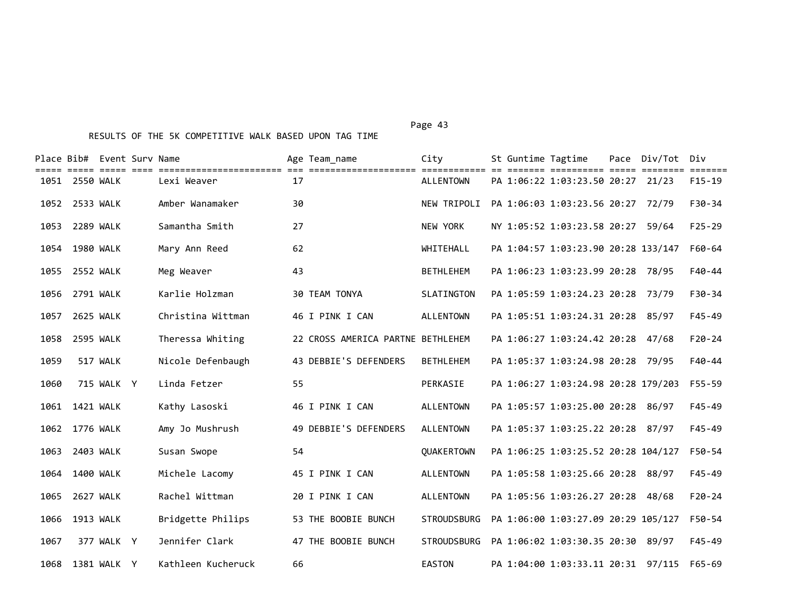Place Bib# Event Surv Name Age Team\_name City St Guntime Tagtime Pace Div/Tot Div ===== ===== ===== ==== ======================= === ==================== ============ == ======= ========== ===== ======== ======= 1051 2550 WALK Lexi Weaver 17 ALLENTOWN PA 1:06:22 1:03:23.50 20:27 21/23 F15-19 1052 2533 WALK Amber Wanamaker 30 NEW TRIPOLI PA 1:06:03 1:03:23.56 20:27 72/79 F30-34 1053 2289 WALK Samantha Smith 27 NEW YORK NY 1:05:52 1:03:23.58 20:27 59/64 F25-29 1054 1980 WALK Mary Ann Reed 62 WHITEHALL PA 1:04:57 1:03:23.90 20:28 133/147 F60-64 1055 2552 WALK Meg Weaver 43 BETHLEHEM PA 1:06:23 1:03:23.99 20:28 78/95 F40-44 1056 2791 WALK Karlie Holzman 30 TEAM TONYA SLATINGTON PA 1:05:59 1:03:24.23 20:28 73/79 F30-34 1057 2625 WALK Christina Wittman 46 I PINK I CAN ALLENTOWN PA 1:05:51 1:03:24.31 20:28 85/97 F45-49 1058 2595 WALK Theressa Whiting 22 CROSS AMERICA PARTNE BETHLEHEM PA 1:06:27 1:03:24.42 20:28 47/68 F20-24 1059 517 WALK Nicole Defenbaugh 43 DEBBIE'S DEFENDERS BETHLEHEM PA 1:05:37 1:03:24.98 20:28 79/95 F40-44 1060 715 WALK Y Linda Fetzer 55 PERKASIE PA 1:06:27 1:03:24.98 20:28 179/203 F55-59 1061 1421 WALK Kathy Lasoski 46 I PINK I CAN ALLENTOWN PA 1:05:57 1:03:25.00 20:28 86/97 F45-49 1062 1776 WALK Amy Jo Mushrush 49 DEBBIE'S DEFENDERS ALLENTOWN PA 1:05:37 1:03:25.22 20:28 87/97 F45-49 1063 2403 WALK Susan Swope 54 QUAKERTOWN PA 1:06:25 1:03:25.52 20:28 104/127 F50-54 1064 1400 WALK Michele Lacomy 45 I PINK I CAN ALLENTOWN PA 1:05:58 1:03:25.66 20:28 88/97 F45-49 1065 2627 WALK Rachel Wittman 20 I PINK I CAN ALLENTOWN PA 1:05:56 1:03:26.27 20:28 48/68 F20-24 1066 1913 WALK Bridgette Philips 53 THE BOOBIE BUNCH STROUDSBURG PA 1:06:00 1:03:27.09 20:29 105/127 F50-54 1067 377 WALK Y Jennifer Clark 47 THE BOOBIE BUNCH STROUDSBURG PA 1:06:02 1:03:30.35 20:30 89/97 F45-49

1068 1381 WALK Y Kathleen Kucheruck 66 EASTON PA 1:04:00 1:03:33.11 20:31 97/115 F65-69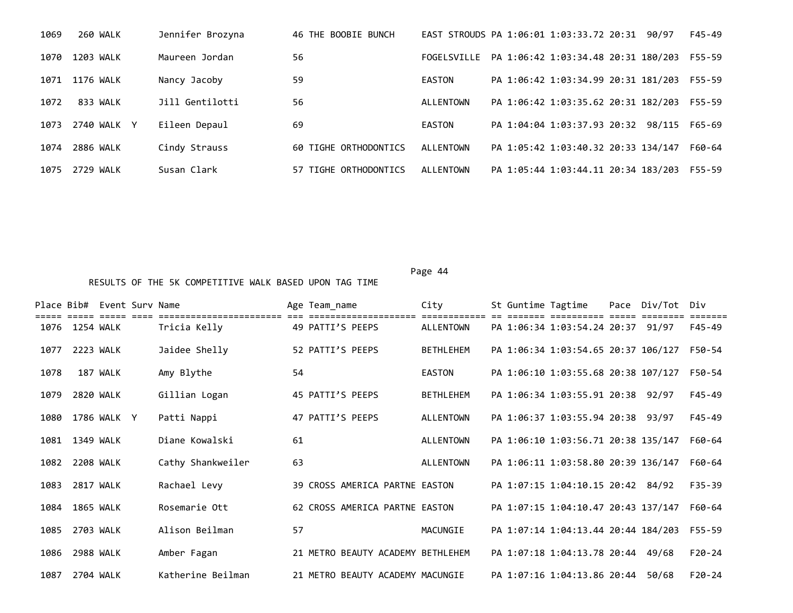| 1069 | 260 WALK     | Jennifer Brozyna | 46 THE BOOBIE BUNCH   |             | EAST STROUDS PA 1:06:01 1:03:33.72 20:31<br>F45-49<br>90/97 |  |
|------|--------------|------------------|-----------------------|-------------|-------------------------------------------------------------|--|
| 1070 | 1203 WALK    | Maureen Jordan   | 56                    | FOGELSVILLE | PA 1:06:42 1:03:34.48 20:31 180/203<br>F55-59               |  |
| 1071 | 1176 WALK    | Nancy Jacoby     | 59                    | EASTON      | PA 1:06:42 1:03:34.99 20:31 181/203<br>F55-59               |  |
| 1072 | 833 WALK     | Jill Gentilotti  | 56                    | ALLENTOWN   | PA 1:06:42 1:03:35.62 20:31 182/203<br>F55-59               |  |
| 1073 | 2740 WALK Y  | Eileen Depaul    | 69                    | EASTON      | PA 1:04:04 1:03:37.93 20:32<br>98/115<br>F65-69             |  |
| 1074 | 2886 WALK    | Cindy Strauss    | 60 TIGHE ORTHODONTICS | ALLENTOWN   | F60-64<br>PA 1:05:42 1:03:40.32 20:33 134/147               |  |
| 1075 | 2729<br>WALK | Susan Clark      | 57 TIGHE ORTHODONTICS | ALLENTOWN   | PA 1:05:44 1:03:44.11 20:34 183/203<br>F55-59               |  |

Page 44

Place Bib# Event Surv Name Age Team\_name City St Guntime Tagtime Pace Div/Tot Div ===== ===== ===== ==== ======================= === ==================== ============ == ======= ========== ===== ======== ======= 1076 1254 WALK Tricia Kelly 49 PATTI'S PEEPS ALLENTOWN PA 1:06:34 1:03:54.24 20:37 91/97 F45-49 1077 2223 WALK Jaidee Shelly 52 PATTI'S PEEPS BETHLEHEM PA 1:06:34 1:03:54.65 20:37 106/127 F50-54 1078 187 WALK Amy Blythe 54 EASTON PA 1:06:10 1:03:55.68 20:38 107/127 F50-54 1079 2820 WALK Gillian Logan 45 PATTI'S PEEPS BETHLEHEM PA 1:06:34 1:03:55.91 20:38 92/97 F45-49 1080 1786 WALK Y Patti Nappi 47 PATTI'S PEEPS ALLENTOWN PA 1:06:37 1:03:55.94 20:38 93/97 F45-49 1081 1349 WALK Diane Kowalski 61 ALLENTOWN PA 1:06:10 1:03:56.71 20:38 135/147 F60-64 1082 2208 WALK Cathy Shankweiler 63 ALLENTOWN PA 1:06:11 1:03:58.80 20:39 136/147 F60-64 1083 2817 WALK Rachael Levy 39 CROSS AMERICA PARTNE EASTON PA 1:07:15 1:04:10.15 20:42 84/92 F35-39 1084 1865 WALK Rosemarie Ott 62 CROSS AMERICA PARTNE EASTON PA 1:07:15 1:04:10.47 20:43 137/147 F60-64 1085 2703 WALK Alison Beilman 57 MACUNGIE PA 1:07:14 1:04:13.44 20:44 184/203 F55-59 1086 2988 WALK Amber Fagan 21 METRO BEAUTY ACADEMY BETHLEHEM PA 1:07:18 1:04:13.78 20:44 49/68 F20-24 1087 2704 WALK Katherine Beilman 21 METRO BEAUTY ACADEMY MACUNGIE PA 1:07:16 1:04:13.86 20:44 50/68 F20-24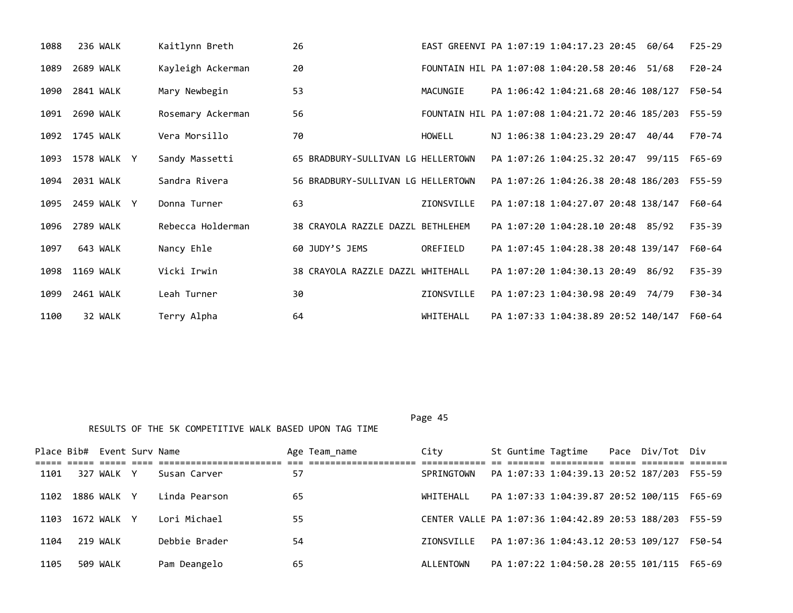| 1088 | 236 WALK         | Kaitlynn Breth    | 26                                 |            | EAST GREENVI PA 1:07:19 1:04:17.23 20:45 60/64 |                                                  | $F25-29$   |
|------|------------------|-------------------|------------------------------------|------------|------------------------------------------------|--------------------------------------------------|------------|
| 1089 | 2689 WALK        | Kayleigh Ackerman | 20                                 |            | FOUNTAIN HIL PA 1:07:08 1:04:20.58 20:46 51/68 |                                                  | $F20-24$   |
| 1090 | 2841 WALK        | Mary Newbegin     | 53                                 | MACUNGIE   | PA 1:06:42 1:04:21.68 20:46 108/127            |                                                  | F50-54     |
|      | 1091 2690 WALK   | Rosemary Ackerman | 56                                 |            |                                                | FOUNTAIN HIL PA 1:07:08 1:04:21.72 20:46 185/203 | F55-59     |
|      | 1092 1745 WALK   | Vera Morsillo     | 70                                 | HOWELL     | NJ 1:06:38 1:04:23.29 20:47 40/44              |                                                  | F70-74     |
|      | 1093 1578 WALK Y | Sandy Massetti    | 65 BRADBURY-SULLIVAN LG HELLERTOWN |            | PA 1:07:26 1:04:25.32 20:47 99/115             |                                                  | F65-69     |
| 1094 | 2031 WALK        | Sandra Rivera     | 56 BRADBURY-SULLIVAN LG HELLERTOWN |            | PA 1:07:26 1:04:26.38 20:48 186/203            |                                                  | F55-59     |
| 1095 | 2459 WALK Y      | Donna Turner      | 63                                 | ZIONSVILLE | PA 1:07:18 1:04:27.07 20:48 138/147            |                                                  | F60-64     |
|      | 1096 2789 WALK   | Rebecca Holderman | 38 CRAYOLA RAZZLE DAZZL BETHLEHEM  |            | PA 1:07:20 1:04:28.10 20:48 85/92              |                                                  | $F35 - 39$ |
| 1097 | 643 WALK         | Nancy Ehle        | 60 JUDY'S JEMS                     | OREFIELD   | PA 1:07:45 1:04:28.38 20:48 139/147            |                                                  | F60-64     |
| 1098 | 1169 WALK        | Vicki Irwin       | 38 CRAYOLA RAZZLE DAZZL WHITEHALL  |            | PA 1:07:20 1:04:30.13 20:49 86/92              |                                                  | $F35 - 39$ |
| 1099 | 2461 WALK        | Leah Turner       | 30                                 | ZIONSVILLE | PA 1:07:23 1:04:30.98 20:49 74/79              |                                                  | F30-34     |
| 1100 | 32 WALK          | Terry Alpha       | 64                                 | WHITEHALL  |                                                | PA 1:07:33 1:04:38.89 20:52 140/147              | F60-64     |

|      | Place Bib# Event Sury Name |             |               |    | Age Team name | City                                             |  | St Guntime Tagtime                  | Pace Div/Tot Div |        |
|------|----------------------------|-------------|---------------|----|---------------|--------------------------------------------------|--|-------------------------------------|------------------|--------|
| 1101 |                            | 327 WALK Y  | Susan Carver  | 57 |               | SPRINGTOWN                                       |  | PA 1:07:33 1:04:39.13 20:52 187/203 |                  | F55-59 |
| 1102 |                            | 1886 WALK Y | Linda Pearson | 65 |               | WHITEHALL                                        |  | PA 1:07:33 1:04:39.87 20:52 100/115 |                  | F65-69 |
| 1103 |                            | 1672 WALK Y | Lori Michael  | 55 |               | CENTER VALLE PA 1:07:36 1:04:42.89 20:53 188/203 |  |                                     |                  | F55-59 |
| 1104 |                            | 219 WALK    | Debbie Brader | 54 |               | ZTONSVTLLF                                       |  | PA 1:07:36 1:04:43.12 20:53 109/127 |                  | F50-54 |
| 1105 |                            | 509 WALK    | Pam Deangelo  | 65 |               | ALLENTOWN                                        |  | PA 1:07:22 1:04:50.28 20:55 101/115 |                  | F65-69 |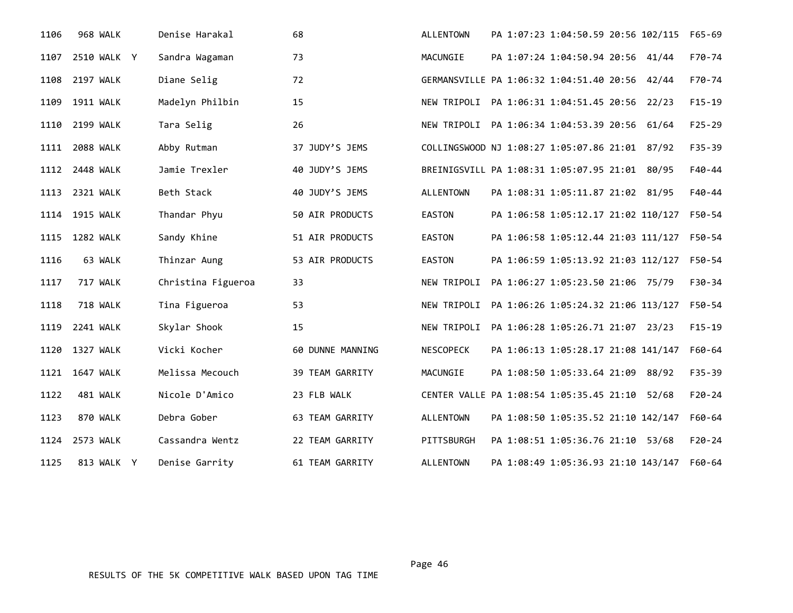| 1106 | 968 WALK         | Denise Harakal     | 68               | <b>ALLENTOWN</b>                               | PA 1:07:23 1:04:50.59 20:56 102/115 |       | $F65 - 69$ |
|------|------------------|--------------------|------------------|------------------------------------------------|-------------------------------------|-------|------------|
| 1107 | 2510 WALK Y      | Sandra Wagaman     | 73               | MACUNGIE                                       | PA 1:07:24 1:04:50.94 20:56 41/44   |       | F70-74     |
| 1108 | 2197 WALK        | Diane Selig        | 72               | GERMANSVILLE PA 1:06:32 1:04:51.40 20:56 42/44 |                                     |       | F70-74     |
| 1109 | <b>1911 WALK</b> | Madelyn Philbin    | 15               | NEW TRIPOLI                                    | PA 1:06:31 1:04:51.45 20:56 22/23   |       | $F15-19$   |
| 1110 | 2199 WALK        | Tara Selig         | 26               | NEW TRIPOLI                                    | PA 1:06:34 1:04:53.39 20:56 61/64   |       | $F25 - 29$ |
| 1111 | <b>2088 WALK</b> | Abby Rutman        | 37 JUDY'S JEMS   | COLLINGSWOOD NJ 1:08:27 1:05:07.86 21:01 87/92 |                                     |       | $F35 - 39$ |
| 1112 | 2448 WALK        | Jamie Trexler      | 40 JUDY'S JEMS   | BREINIGSVILL PA 1:08:31 1:05:07.95 21:01 80/95 |                                     |       | F40-44     |
| 1113 | 2321 WALK        | Beth Stack         | 40 JUDY'S JEMS   | <b>ALLENTOWN</b>                               | PA 1:08:31 1:05:11.87 21:02 81/95   |       | F40-44     |
| 1114 | <b>1915 WALK</b> | Thandar Phyu       | 50 AIR PRODUCTS  | <b>EASTON</b>                                  | PA 1:06:58 1:05:12.17 21:02 110/127 |       | F50-54     |
| 1115 | 1282 WALK        | Sandy Khine        | 51 AIR PRODUCTS  | EASTON                                         | PA 1:06:58 1:05:12.44 21:03 111/127 |       | F50-54     |
| 1116 | 63 WALK          | Thinzar Aung       | 53 AIR PRODUCTS  | EASTON                                         | PA 1:06:59 1:05:13.92 21:03 112/127 |       | F50-54     |
| 1117 | 717 WALK         | Christina Figueroa | 33               | NEW TRIPOLI                                    | PA 1:06:27 1:05:23.50 21:06 75/79   |       | F30-34     |
| 1118 | 718 WALK         | Tina Figueroa      | 53               | NEW TRIPOLI                                    | PA 1:06:26 1:05:24.32 21:06 113/127 |       | F50-54     |
| 1119 | 2241 WALK        | Skylar Shook       | 15               | NEW TRIPOLI                                    | PA 1:06:28 1:05:26.71 21:07 23/23   |       | $F15 - 19$ |
| 1120 | <b>1327 WALK</b> | Vicki Kocher       | 60 DUNNE MANNING | <b>NESCOPECK</b>                               | PA 1:06:13 1:05:28.17 21:08 141/147 |       | F60-64     |
| 1121 | 1647 WALK        | Melissa Mecouch    | 39 TEAM GARRITY  | MACUNGIE                                       | PA 1:08:50 1:05:33.64 21:09 88/92   |       | $F35 - 39$ |
| 1122 | 481 WALK         | Nicole D'Amico     | 23 FLB WALK      | CENTER VALLE PA 1:08:54 1:05:35.45 21:10       |                                     | 52/68 | $F20-24$   |
| 1123 | 870 WALK         | Debra Gober        | 63 TEAM GARRITY  | <b>ALLENTOWN</b>                               | PA 1:08:50 1:05:35.52 21:10 142/147 |       | F60-64     |
| 1124 | 2573 WALK        | Cassandra Wentz    | 22 TEAM GARRITY  | PITTSBURGH                                     | PA 1:08:51 1:05:36.76 21:10 53/68   |       | $F20-24$   |
| 1125 | 813 WALK Y       | Denise Garrity     | 61 TEAM GARRITY  | <b>ALLENTOWN</b>                               | PA 1:08:49 1:05:36.93 21:10 143/147 |       | F60-64     |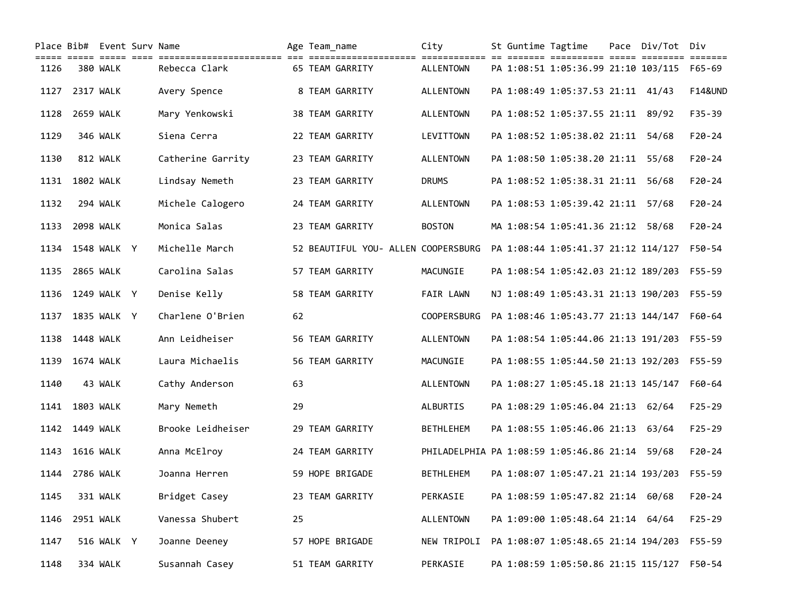|      |                  | Place Bib# Event Surv Name | coll coll coll the continuities (in continuities) and the college continues of the college college college co |    | Age Team name |                                     | City                                           |  | St Guntime Tagtime                  | Pace Div/Tot Div |                    |
|------|------------------|----------------------------|---------------------------------------------------------------------------------------------------------------|----|---------------|-------------------------------------|------------------------------------------------|--|-------------------------------------|------------------|--------------------|
| 1126 |                  | 380 WALK                   | Rebecca Clark                                                                                                 |    |               | 65 TEAM GARRITY                     | <b>ALLENTOWN</b>                               |  | PA 1:08:51 1:05:36.99 21:10 103/115 |                  | F65-69             |
| 1127 | 2317 WALK        |                            | Avery Spence                                                                                                  |    |               | 8 TEAM GARRITY                      | <b>ALLENTOWN</b>                               |  | PA 1:08:49 1:05:37.53 21:11 41/43   |                  | <b>F14&amp;UND</b> |
| 1128 | <b>2659 WALK</b> |                            | Mary Yenkowski                                                                                                |    |               | 38 TEAM GARRITY                     | <b>ALLENTOWN</b>                               |  | PA 1:08:52 1:05:37.55 21:11 89/92   |                  | $F35 - 39$         |
| 1129 |                  | 346 WALK                   | Siena Cerra                                                                                                   |    |               | 22 TEAM GARRITY                     | LEVITTOWN                                      |  | PA 1:08:52 1:05:38.02 21:11 54/68   |                  | $F20 - 24$         |
| 1130 |                  | 812 WALK                   | Catherine Garrity                                                                                             |    |               | 23 TEAM GARRITY                     | <b>ALLENTOWN</b>                               |  | PA 1:08:50 1:05:38.20 21:11 55/68   |                  | $F20 - 24$         |
| 1131 | 1802 WALK        |                            | Lindsay Nemeth                                                                                                |    |               | 23 TEAM GARRITY                     | <b>DRUMS</b>                                   |  | PA 1:08:52 1:05:38.31 21:11 56/68   |                  | $F20 - 24$         |
| 1132 |                  | 294 WALK                   | Michele Calogero                                                                                              |    |               | 24 TEAM GARRITY                     | <b>ALLENTOWN</b>                               |  | PA 1:08:53 1:05:39.42 21:11 57/68   |                  | $F20 - 24$         |
| 1133 | 2098 WALK        |                            | Monica Salas                                                                                                  |    |               | 23 TEAM GARRITY                     | <b>BOSTON</b>                                  |  | MA 1:08:54 1:05:41.36 21:12 58/68   |                  | $F20-24$           |
| 1134 |                  | 1548 WALK Y                | Michelle March                                                                                                |    |               | 52 BEAUTIFUL YOU- ALLEN COOPERSBURG |                                                |  | PA 1:08:44 1:05:41.37 21:12 114/127 |                  | F50-54             |
| 1135 | <b>2865 WALK</b> |                            | Carolina Salas                                                                                                |    |               | 57 TEAM GARRITY                     | MACUNGIE                                       |  | PA 1:08:54 1:05:42.03 21:12 189/203 |                  | $F55 - 59$         |
|      |                  | 1136 1249 WALK Y           | Denise Kelly                                                                                                  |    |               | 58 TEAM GARRITY                     | FAIR LAWN                                      |  | NJ 1:08:49 1:05:43.31 21:13 190/203 |                  | $F55 - 59$         |
| 1137 |                  | 1835 WALK Y                | Charlene O'Brien                                                                                              | 62 |               |                                     | <b>COOPERSBURG</b>                             |  | PA 1:08:46 1:05:43.77 21:13 144/147 |                  | F60-64             |
| 1138 | 1448 WALK        |                            | Ann Leidheiser                                                                                                |    |               | 56 TEAM GARRITY                     | <b>ALLENTOWN</b>                               |  | PA 1:08:54 1:05:44.06 21:13 191/203 |                  | $F55 - 59$         |
| 1139 | 1674 WALK        |                            | Laura Michaelis                                                                                               |    |               | 56 TEAM GARRITY                     | MACUNGIE                                       |  | PA 1:08:55 1:05:44.50 21:13 192/203 |                  | F55-59             |
| 1140 |                  | 43 WALK                    | Cathy Anderson                                                                                                | 63 |               |                                     | <b>ALLENTOWN</b>                               |  | PA 1:08:27 1:05:45.18 21:13 145/147 |                  | F60-64             |
| 1141 | 1803 WALK        |                            | Mary Nemeth                                                                                                   | 29 |               |                                     | ALBURTIS                                       |  | PA 1:08:29 1:05:46.04 21:13 62/64   |                  | $F25 - 29$         |
|      | 1142 1449 WALK   |                            | Brooke Leidheiser                                                                                             |    |               | 29 TEAM GARRITY                     | <b>BETHLEHEM</b>                               |  | PA 1:08:55 1:05:46.06 21:13 63/64   |                  | $F25 - 29$         |
| 1143 | <b>1616 WALK</b> |                            | Anna McElroy                                                                                                  |    |               | 24 TEAM GARRITY                     | PHILADELPHIA PA 1:08:59 1:05:46.86 21:14 59/68 |  |                                     |                  | $F20 - 24$         |
| 1144 | 2786 WALK        |                            | Joanna Herren                                                                                                 |    |               | 59 HOPE BRIGADE                     | <b>BETHLEHEM</b>                               |  | PA 1:08:07 1:05:47.21 21:14 193/203 |                  | F55-59             |
| 1145 |                  | 331 WALK                   | Bridget Casey                                                                                                 |    |               | 23 TEAM GARRITY                     | PERKASIE                                       |  | PA 1:08:59 1:05:47.82 21:14 60/68   |                  | $F20 - 24$         |
| 1146 | 2951 WALK        |                            | Vanessa Shubert                                                                                               | 25 |               |                                     | ALLENTOWN                                      |  | PA 1:09:00 1:05:48.64 21:14 64/64   |                  | $F25 - 29$         |
| 1147 |                  | 516 WALK Y                 | Joanne Deeney                                                                                                 |    |               | 57 HOPE BRIGADE                     | NEW TRIPOLI                                    |  | PA 1:08:07 1:05:48.65 21:14 194/203 |                  | F55-59             |
| 1148 |                  | 334 WALK                   | Susannah Casey                                                                                                |    |               | 51 TEAM GARRITY                     | PERKASIE                                       |  | PA 1:08:59 1:05:50.86 21:15 115/127 |                  | F50-54             |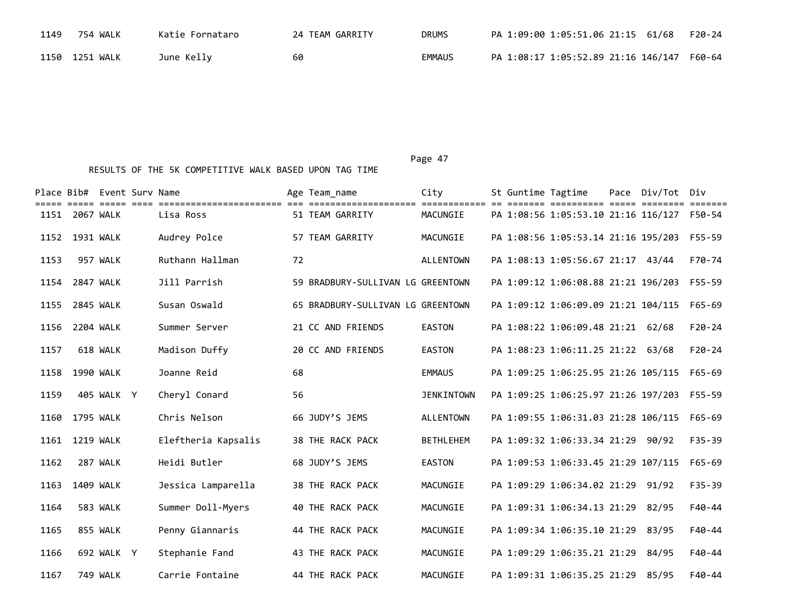| 1149 | 754 WALK       | Katie Fornataro | 24 TEAM GARRITY | <b>DRUMS</b>  | PA 1:09:00 1:05:51.06 21:15 61/68          | F20-24 |
|------|----------------|-----------------|-----------------|---------------|--------------------------------------------|--------|
|      | 1150 1251 WALK | June Kelly      | 60              | <b>EMMAUS</b> | PA 1:08:17 1:05:52.89 21:16 146/147 F60-64 |        |

|      |                  | Place Bib# Event Sury Name<br>————————— |                                          |    | Age Team name                           | City                     |  | St Guntime Tagtime<br>===== ========== | Pace Div/Tot Div |                   |
|------|------------------|-----------------------------------------|------------------------------------------|----|-----------------------------------------|--------------------------|--|----------------------------------------|------------------|-------------------|
| 1151 | 2067 WALK        |                                         | ===========================<br>Lisa Ross |    | ====================<br>51 TEAM GARRITY | ============<br>MACUNGIE |  | PA 1:08:56 1:05:53.10 21:16 116/127    |                  | =======<br>F50-54 |
| 1152 | 1931 WALK        |                                         | Audrey Polce                             |    | 57 TEAM GARRITY                         | MACUNGIE                 |  | PA 1:08:56 1:05:53.14 21:16 195/203    |                  | F55-59            |
| 1153 |                  | 957 WALK                                | Ruthann Hallman                          | 72 |                                         | <b>ALLENTOWN</b>         |  | PA 1:08:13 1:05:56.67 21:17 43/44      |                  | F70-74            |
| 1154 | 2847 WALK        |                                         | Jill Parrish                             |    | 59 BRADBURY-SULLIVAN LG GREENTOWN       |                          |  | PA 1:09:12 1:06:08.88 21:21 196/203    |                  | $F55 - 59$        |
| 1155 | <b>2845 WALK</b> |                                         | Susan Oswald                             |    | 65 BRADBURY-SULLIVAN LG GREENTOWN       |                          |  | PA 1:09:12 1:06:09.09 21:21 104/115    |                  | $F65 - 69$        |
| 1156 | 2204 WALK        |                                         | Summer Server                            |    | 21 CC AND FRIENDS                       | <b>EASTON</b>            |  | PA 1:08:22 1:06:09.48 21:21 62/68      |                  | $F20-24$          |
| 1157 |                  | 618 WALK                                | Madison Duffy                            |    | 20 CC AND FRIENDS                       | <b>EASTON</b>            |  | PA 1:08:23 1:06:11.25 21:22 63/68      |                  | $F20 - 24$        |
|      | 1158 1990 WALK   |                                         | Joanne Reid                              | 68 |                                         | <b>EMMAUS</b>            |  | PA 1:09:25 1:06:25.95 21:26 105/115    |                  | F65-69            |
| 1159 |                  | 405 WALK Y                              | Cheryl Conard                            | 56 |                                         | <b>JENKINTOWN</b>        |  | PA 1:09:25 1:06:25.97 21:26 197/203    |                  | $F55 - 59$        |
| 1160 | 1795 WALK        |                                         | Chris Nelson                             |    | 66 JUDY'S JEMS                          | <b>ALLENTOWN</b>         |  | PA 1:09:55 1:06:31.03 21:28 106/115    |                  | $F65 - 69$        |
| 1161 | <b>1219 WALK</b> |                                         | Eleftheria Kapsalis                      |    | 38 THE RACK PACK                        | <b>BETHLEHEM</b>         |  | PA 1:09:32 1:06:33.34 21:29            | 90/92            | $F35 - 39$        |
| 1162 |                  | 287 WALK                                | Heidi Butler                             |    | 68 JUDY'S JEMS                          | <b>EASTON</b>            |  | PA 1:09:53 1:06:33.45 21:29 107/115    |                  | $F65 - 69$        |
| 1163 | 1409 WALK        |                                         | Jessica Lamparella                       |    | 38 THE RACK PACK                        | MACUNGIE                 |  | PA 1:09:29 1:06:34.02 21:29            | 91/92            | $F35 - 39$        |
| 1164 |                  | 583 WALK                                | Summer Doll-Myers                        |    | 40 THE RACK PACK                        | MACUNGIE                 |  | PA 1:09:31 1:06:34.13 21:29            | 82/95            | $F40 - 44$        |
| 1165 |                  | 855 WALK                                | Penny Giannaris                          |    | 44 THE RACK PACK                        | MACUNGIE                 |  | PA 1:09:34 1:06:35.10 21:29            | 83/95            | $F40 - 44$        |
| 1166 |                  | 692 WALK Y                              | Stephanie Fand                           |    | 43 THE RACK PACK                        | MACUNGIE                 |  | PA 1:09:29 1:06:35.21 21:29            | 84/95            | F40-44            |
| 1167 |                  | 749 WALK                                | Carrie Fontaine                          |    | 44 THE RACK PACK                        | MACUNGIE                 |  | PA 1:09:31 1:06:35.25 21:29            | 85/95            | $F40 - 44$        |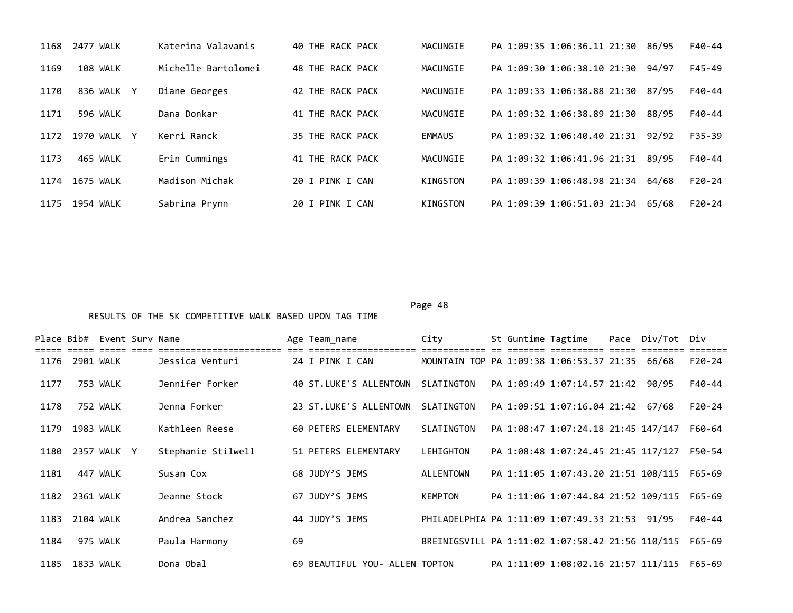| 1168 | 2477 WALK   | Katerina Valavanis  | 40 THE RACK PACK | MACUNGIE      | PA 1:09:35 1:06:36.11 21:30 | F40-44<br>86/95     |
|------|-------------|---------------------|------------------|---------------|-----------------------------|---------------------|
| 1169 | 108 WALK    | Michelle Bartolomei | 48 THE RACK PACK | MACUNGIE      | PA 1:09:30 1:06:38.10 21:30 | F45-49<br>94/97     |
| 1170 | 836 WALK Y  | Diane Georges       | 42 THE RACK PACK | MACUNGIE      | PA 1:09:33 1:06:38.88 21:30 | F40-44<br>87/95     |
| 1171 | 596 WALK    | Dana Donkar         | 41 THE RACK PACK | MACUNGIE      | PA 1:09:32 1:06:38.89 21:30 | F40-44<br>88/95     |
| 1172 | 1970 WALK Y | Kerri Ranck         | 35 THE RACK PACK | <b>EMMAUS</b> | PA 1:09:32 1:06:40.40 21:31 | $F35 - 39$<br>92/92 |
| 1173 | 465 WALK    | Erin Cummings       | 41 THE RACK PACK | MACUNGIE      | PA 1:09:32 1:06:41.96 21:31 | F40-44<br>89/95     |
| 1174 | 1675 WALK   | Madison Michak      | 20 I PINK I CAN  | KINGSTON      | PA 1:09:39 1:06:48.98 21:34 | $F20-24$<br>64/68   |
| 1175 | 1954 WALK   | Sabrina Prynn       | 20 I PINK I CAN  | KINGSTON      | PA 1:09:39 1:06:51.03 21:34 | $F20-24$<br>65/68   |

|      | Place Bib# Event Surv Name |  |                    |    | Age Team_name                  | City                                             | St Guntime Tagtime |                                     | Pace Div/Tot Div |          |
|------|----------------------------|--|--------------------|----|--------------------------------|--------------------------------------------------|--------------------|-------------------------------------|------------------|----------|
| 1176 | 2901 WALK                  |  | Jessica Venturi    |    | 24 I PINK I CAN                | MOUNTAIN TOP PA 1:09:38 1:06:53.37 21:35 66/68   |                    |                                     |                  | $F20-24$ |
| 1177 | 753 WALK                   |  | Jennifer Forker    |    | 40 ST.LUKE'S ALLENTOWN         | SLATINGTON                                       |                    | PA 1:09:49 1:07:14.57 21:42         | 90/95            | F40-44   |
| 1178 | 752 WALK                   |  | Jenna Forker       |    | 23 ST.LUKE'S ALLENTOWN         | SLATINGTON                                       |                    | PA 1:09:51 1:07:16.04 21:42         | 67/68            | $F20-24$ |
| 1179 | 1983 WALK                  |  | Kathleen Reese     |    | 60 PETERS ELEMENTARY           | SLATINGTON                                       |                    | PA 1:08:47 1:07:24.18 21:45 147/147 |                  | F60-64   |
| 1180 | 2357 WALK Y                |  | Stephanie Stilwell |    | 51 PETERS ELEMENTARY           | LEHIGHTON                                        |                    | PA 1:08:48 1:07:24.45 21:45 117/127 |                  | F50-54   |
| 1181 | 447 WALK                   |  | Susan Cox          |    | 68 JUDY'S JEMS                 | ALLENTOWN                                        |                    | PA 1:11:05 1:07:43.20 21:51 108/115 |                  | F65-69   |
| 1182 | 2361 WALK                  |  | Jeanne Stock       |    | 67 JUDY'S JEMS                 | <b>KEMPTON</b>                                   |                    | PA 1:11:06 1:07:44.84 21:52 109/115 |                  | F65-69   |
| 1183 | 2104 WALK                  |  | Andrea Sanchez     |    | 44 JUDY'S JEMS                 | PHILADELPHIA PA 1:11:09 1:07:49.33 21:53         |                    |                                     | 91/95            | F40-44   |
| 1184 | 975 WALK                   |  | Paula Harmony      | 69 |                                | BREINIGSVILL PA 1:11:02 1:07:58.42 21:56 110/115 |                    |                                     |                  | F65-69   |
| 1185 | 1833 WALK                  |  | Dona Obal          |    | 69 BEAUTIFUL YOU- ALLEN TOPTON |                                                  |                    | PA 1:11:09 1:08:02.16 21:57 111/115 |                  | F65-69   |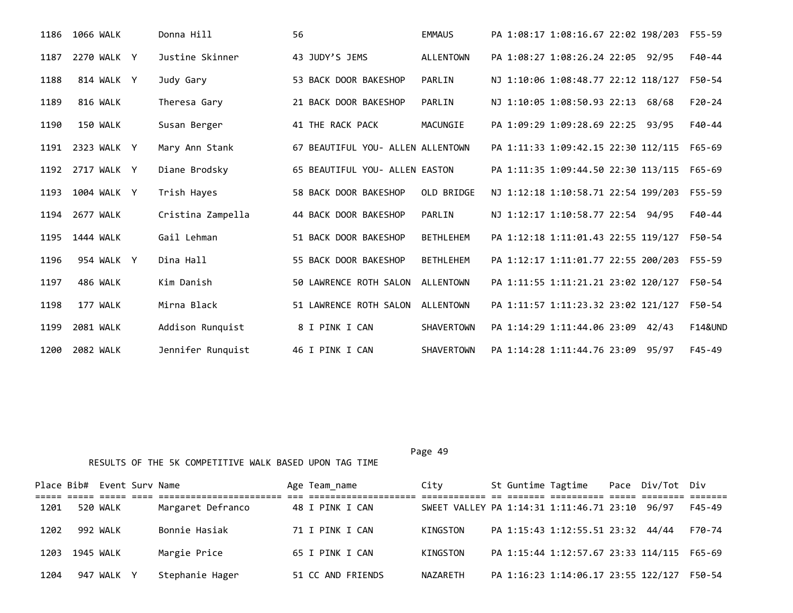| 1186 | <b>1066 WALK</b> | Donna Hill        | 56                                | <b>EMMAUS</b>     | PA 1:08:17 1:08:16.67 22:02 198/203 F55-59                 |  |
|------|------------------|-------------------|-----------------------------------|-------------------|------------------------------------------------------------|--|
| 1187 | 2270 WALK Y      | Justine Skinner   | 43 JUDY'S JEMS                    | <b>ALLENTOWN</b>  | PA 1:08:27 1:08:26.24 22:05 92/95<br>F40-44                |  |
| 1188 | 814 WALK Y       | Judy Gary         | 53 BACK DOOR BAKESHOP             | PARLIN            | NJ 1:10:06 1:08:48.77 22:12 118/127<br>F50-54              |  |
| 1189 | 816 WALK         | Theresa Gary      | 21 BACK DOOR BAKESHOP             | PARLIN            | NJ 1:10:05 1:08:50.93 22:13 68/68<br>$F20-24$              |  |
| 1190 | 150 WALK         | Susan Berger      | 41 THE RACK PACK                  | MACUNGIE          | PA 1:09:29 1:09:28.69 22:25 93/95<br>F40-44                |  |
| 1191 | 2323 WALK Y      | Mary Ann Stank    | 67 BEAUTIFUL YOU- ALLEN ALLENTOWN |                   | PA 1:11:33 1:09:42.15 22:30 112/115<br>F65-69              |  |
|      | 1192 2717 WALK Y | Diane Brodsky     | 65 BEAUTIFUL YOU- ALLEN EASTON    |                   | PA 1:11:35 1:09:44.50 22:30 113/115<br>F65-69              |  |
| 1193 | 1004 WALK Y      | Trish Hayes       | 58 BACK DOOR BAKESHOP             | OLD BRIDGE        | NJ 1:12:18 1:10:58.71 22:54 199/203<br>F55-59              |  |
| 1194 | 2677 WALK        | Cristina Zampella | 44 BACK DOOR BAKESHOP             | PARLIN            | NJ 1:12:17 1:10:58.77 22:54 94/95<br>F40-44                |  |
| 1195 | 1444 WALK        | Gail Lehman       | 51 BACK DOOR BAKESHOP             | <b>BETHLEHEM</b>  | PA 1:12:18 1:11:01.43 22:55 119/127 F50-54                 |  |
| 1196 | 954 WALK Y       | Dina Hall         | 55 BACK DOOR BAKESHOP             | <b>BETHLEHEM</b>  | PA 1:12:17 1:11:01.77 22:55 200/203 F55-59                 |  |
| 1197 | 486 WALK         | Kim Danish        | 50 LAWRENCE ROTH SALON            | ALLENTOWN         | PA 1:11:55 1:11:21.21 23:02 120/127 F50-54                 |  |
| 1198 | 177 WALK         | Mirna Black       | 51 LAWRENCE ROTH SALON            | ALLENTOWN         | PA 1:11:57 1:11:23.32 23:02 121/127<br>F50-54              |  |
| 1199 | 2081 WALK        | Addison Runquist  | 8 I PINK I CAN                    | <b>SHAVERTOWN</b> | PA 1:14:29 1:11:44.06 23:09<br><b>F14&amp;UND</b><br>42/43 |  |
| 1200 | 2082 WALK        | Jennifer Runquist | 46 I PINK I CAN                   | <b>SHAVERTOWN</b> | PA 1:14:28 1:11:44.76 23:09<br>F45-49<br>95/97             |  |

|      |           | Place Bib# Event Surv Name |                   | Age Team_name     | City                                           |  | St Guntime Tagtime Pace Div/Tot Div        |  |            |  |
|------|-----------|----------------------------|-------------------|-------------------|------------------------------------------------|--|--------------------------------------------|--|------------|--|
|      |           |                            |                   |                   |                                                |  |                                            |  |            |  |
| 1201 |           | 520 WALK                   | Margaret Defranco | 48 I PINK I CAN   | SWEET VALLEY PA 1:14:31 1:11:46.71 23:10 96/97 |  |                                            |  | $F45 - 49$ |  |
| 1202 |           | 992 WALK                   | Bonnie Hasiak     | 71 I PINK I CAN   | KINGSTON                                       |  | PA 1:15:43 1:12:55.51 23:32 44/44          |  | F70-74     |  |
| 1203 | 1945 WALK |                            | Margie Price      | 65 I PINK I CAN   | KINGSTON                                       |  | PA 1:15:44 1:12:57.67 23:33 114/115 F65-69 |  |            |  |
| 1204 |           | 947 WALK Y                 | Stephanie Hager   | 51 CC AND FRIENDS | NAZARETH                                       |  | PA 1:16:23 1:14:06.17 23:55 122/127        |  | F50-54     |  |